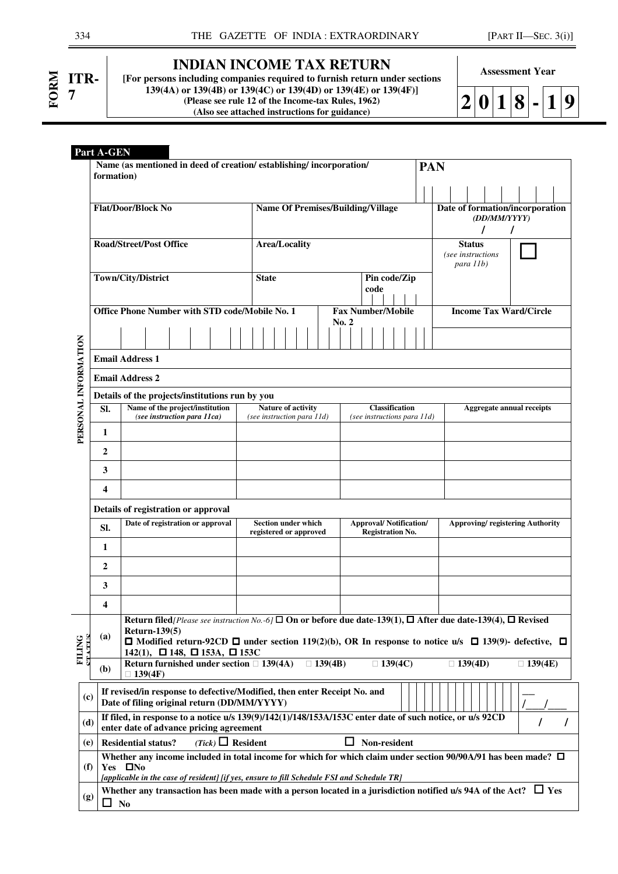| ITR-<br>7 |
|-----------|
|           |
|           |

## **INDIAN INCOME TAX RETURN**

**[For persons including companies required to furnish return under sections 139(4A) or 139(4B) or 139(4C) or 139(4D) or 139(4E) or 139(4F)] (Please see rule 12 of the Income-tax Rules, 1962) (Also see attached instructions for guidance)**

**Assessment Year** 

| ۱<br>∼.<br>◢ | ! () | $\vert$ 11: |  | Ш |
|--------------|------|-------------|--|---|
|              |      |             |  |   |

|                      | Part A-GEN |                                                                                                                                                     |                                                         |                                                          |                                                                                                                                                                                                                                                |  |  |  |  |  |  |  |
|----------------------|------------|-----------------------------------------------------------------------------------------------------------------------------------------------------|---------------------------------------------------------|----------------------------------------------------------|------------------------------------------------------------------------------------------------------------------------------------------------------------------------------------------------------------------------------------------------|--|--|--|--|--|--|--|
|                      | formation) | Name (as mentioned in deed of creation/establishing/incorporation/                                                                                  |                                                         |                                                          | <b>PAN</b>                                                                                                                                                                                                                                     |  |  |  |  |  |  |  |
|                      |            | <b>Flat/Door/Block No</b>                                                                                                                           | <b>Name Of Premises/Building/Village</b>                |                                                          | Date of formation/incorporation<br>(DD/MM/YYYY)                                                                                                                                                                                                |  |  |  |  |  |  |  |
|                      |            | <b>Road/Street/Post Office</b>                                                                                                                      | Area/Locality                                           |                                                          | 7<br><b>Status</b><br>(see instructions<br>para 11b)                                                                                                                                                                                           |  |  |  |  |  |  |  |
|                      |            | Town/City/District                                                                                                                                  | <b>State</b>                                            | Pin code/Zip<br>code                                     |                                                                                                                                                                                                                                                |  |  |  |  |  |  |  |
|                      |            | Office Phone Number with STD code/Mobile No. 1                                                                                                      |                                                         | <b>Fax Number/Mobile</b>                                 | <b>Income Tax Ward/Circle</b>                                                                                                                                                                                                                  |  |  |  |  |  |  |  |
|                      |            |                                                                                                                                                     |                                                         | $\bf{No.}$ 2                                             |                                                                                                                                                                                                                                                |  |  |  |  |  |  |  |
|                      |            | <b>Email Address 1</b>                                                                                                                              |                                                         |                                                          |                                                                                                                                                                                                                                                |  |  |  |  |  |  |  |
|                      |            | <b>Email Address 2</b>                                                                                                                              |                                                         |                                                          |                                                                                                                                                                                                                                                |  |  |  |  |  |  |  |
|                      |            | Details of the projects/institutions run by you                                                                                                     |                                                         |                                                          |                                                                                                                                                                                                                                                |  |  |  |  |  |  |  |
| PERSONAL INFORMATION | SI.        | Name of the project/institution<br>(see instruction para 11ca)                                                                                      | <b>Nature of activity</b><br>(see instruction para 11d) | <b>Classification</b><br>(see instructions para 11d)     | <b>Aggregate annual receipts</b>                                                                                                                                                                                                               |  |  |  |  |  |  |  |
|                      | 1          |                                                                                                                                                     |                                                         |                                                          |                                                                                                                                                                                                                                                |  |  |  |  |  |  |  |
|                      | 2          |                                                                                                                                                     |                                                         |                                                          |                                                                                                                                                                                                                                                |  |  |  |  |  |  |  |
|                      | 3          |                                                                                                                                                     |                                                         |                                                          |                                                                                                                                                                                                                                                |  |  |  |  |  |  |  |
|                      | 4          |                                                                                                                                                     |                                                         |                                                          |                                                                                                                                                                                                                                                |  |  |  |  |  |  |  |
|                      |            | Details of registration or approval                                                                                                                 |                                                         |                                                          |                                                                                                                                                                                                                                                |  |  |  |  |  |  |  |
|                      | SI.        | Date of registration or approval                                                                                                                    | <b>Section under which</b><br>registered or approved    | <b>Approval/Notification/</b><br><b>Registration No.</b> | <b>Approving/registering Authority</b>                                                                                                                                                                                                         |  |  |  |  |  |  |  |
|                      | 1          |                                                                                                                                                     |                                                         |                                                          |                                                                                                                                                                                                                                                |  |  |  |  |  |  |  |
|                      | 2          |                                                                                                                                                     |                                                         |                                                          |                                                                                                                                                                                                                                                |  |  |  |  |  |  |  |
|                      | 3          |                                                                                                                                                     |                                                         |                                                          |                                                                                                                                                                                                                                                |  |  |  |  |  |  |  |
|                      | 4          |                                                                                                                                                     |                                                         |                                                          |                                                                                                                                                                                                                                                |  |  |  |  |  |  |  |
| <b>FILING</b><br>Ę   | (a)        | <b>Return-139(5)</b><br>142(1), $\Box$ 148, $\Box$ 153A, $\Box$ 153C                                                                                |                                                         |                                                          | Return filed/Please see instruction No.-6/ $\square$ On or before due date-139(1), $\square$ After due date-139(4), $\square$ Revised<br>□ Modified return-92CD □ under section 119(2)(b), OR In response to notice u/s □ 139(9)- defective, □ |  |  |  |  |  |  |  |
| Ě                    | (b)        | <b>Return furnished under section</b><br>139(4F)                                                                                                    | 139(4B)<br>139(4A)                                      | 139(4C)                                                  | 139(4D)<br>139(4E)                                                                                                                                                                                                                             |  |  |  |  |  |  |  |
| (c)                  |            | If revised/in response to defective/Modified, then enter Receipt No. and<br>Date of filing original return (DD/MM/YYYY)                             |                                                         |                                                          |                                                                                                                                                                                                                                                |  |  |  |  |  |  |  |
| (d)                  |            | If filed, in response to a notice u/s 139(9)/142(1)/148/153A/153C enter date of such notice, or u/s 92CD<br>enter date of advance pricing agreement |                                                         |                                                          |                                                                                                                                                                                                                                                |  |  |  |  |  |  |  |
| (e)                  |            | $(Tick)$ Resident<br><b>Residential status?</b>                                                                                                     |                                                         | Non-resident<br>ப                                        |                                                                                                                                                                                                                                                |  |  |  |  |  |  |  |
| (f)                  |            | Yes $\Box$ No<br>[applicable in the case of resident] [if yes, ensure to fill Schedule FSI and Schedule TR]                                         |                                                         |                                                          | Whether any income included in total income for which for which claim under section 90/90A/91 has been made? $\Box$                                                                                                                            |  |  |  |  |  |  |  |
| (g)                  | ப          | <b>No</b>                                                                                                                                           |                                                         |                                                          | Whether any transaction has been made with a person located in a jurisdiction notified u/s 94A of the Act? $\Box$ Yes                                                                                                                          |  |  |  |  |  |  |  |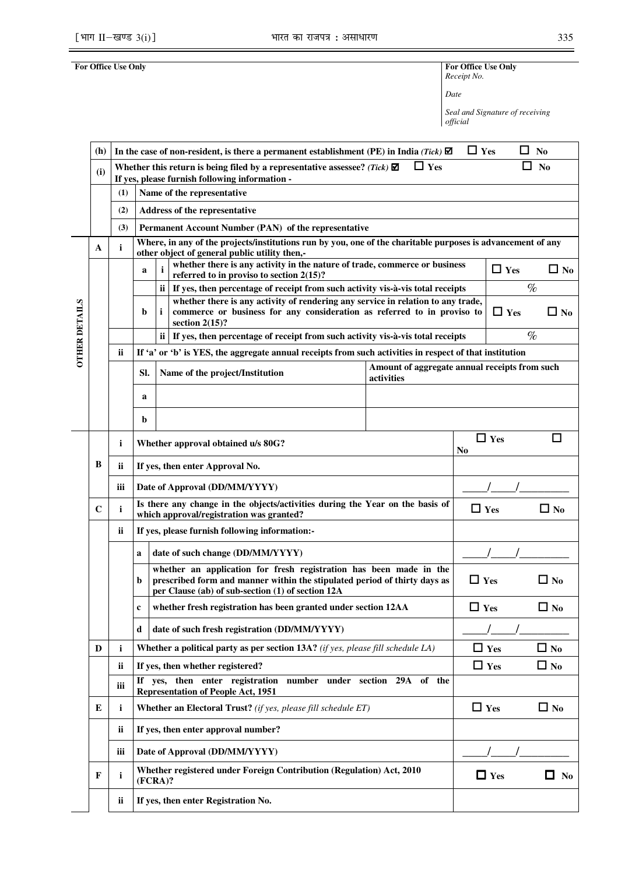**For Office Use Only For Office Use Only** *Receipt No.* 

*Date* 

*Seal and Signature of receiving official*

| (h)         |     |                                                               |                                                                                                                                                                                                                                                                                                                                                                  |                                                                                                                                                                                                                                                                                                                                                                                                                                                                                                                                                                                                                                                        | ΙI                                                                                                                                                                                                                                                                                                                                                                                                                       | No                                                                                                                                                                                                                                                                                                                                                                                                         |  |
|-------------|-----|---------------------------------------------------------------|------------------------------------------------------------------------------------------------------------------------------------------------------------------------------------------------------------------------------------------------------------------------------------------------------------------------------------------------------------------|--------------------------------------------------------------------------------------------------------------------------------------------------------------------------------------------------------------------------------------------------------------------------------------------------------------------------------------------------------------------------------------------------------------------------------------------------------------------------------------------------------------------------------------------------------------------------------------------------------------------------------------------------------|--------------------------------------------------------------------------------------------------------------------------------------------------------------------------------------------------------------------------------------------------------------------------------------------------------------------------------------------------------------------------------------------------------------------------|------------------------------------------------------------------------------------------------------------------------------------------------------------------------------------------------------------------------------------------------------------------------------------------------------------------------------------------------------------------------------------------------------------|--|
| (i)         |     |                                                               | $\Box$ Yes                                                                                                                                                                                                                                                                                                                                                       |                                                                                                                                                                                                                                                                                                                                                                                                                                                                                                                                                                                                                                                        |                                                                                                                                                                                                                                                                                                                                                                                                                          | N <sub>0</sub>                                                                                                                                                                                                                                                                                                                                                                                             |  |
|             |     |                                                               |                                                                                                                                                                                                                                                                                                                                                                  |                                                                                                                                                                                                                                                                                                                                                                                                                                                                                                                                                                                                                                                        |                                                                                                                                                                                                                                                                                                                                                                                                                          |                                                                                                                                                                                                                                                                                                                                                                                                            |  |
|             |     |                                                               |                                                                                                                                                                                                                                                                                                                                                                  |                                                                                                                                                                                                                                                                                                                                                                                                                                                                                                                                                                                                                                                        |                                                                                                                                                                                                                                                                                                                                                                                                                          |                                                                                                                                                                                                                                                                                                                                                                                                            |  |
|             |     |                                                               |                                                                                                                                                                                                                                                                                                                                                                  |                                                                                                                                                                                                                                                                                                                                                                                                                                                                                                                                                                                                                                                        |                                                                                                                                                                                                                                                                                                                                                                                                                          |                                                                                                                                                                                                                                                                                                                                                                                                            |  |
|             |     |                                                               |                                                                                                                                                                                                                                                                                                                                                                  |                                                                                                                                                                                                                                                                                                                                                                                                                                                                                                                                                                                                                                                        |                                                                                                                                                                                                                                                                                                                                                                                                                          |                                                                                                                                                                                                                                                                                                                                                                                                            |  |
|             |     | other object of general public utility then,-                 |                                                                                                                                                                                                                                                                                                                                                                  |                                                                                                                                                                                                                                                                                                                                                                                                                                                                                                                                                                                                                                                        |                                                                                                                                                                                                                                                                                                                                                                                                                          |                                                                                                                                                                                                                                                                                                                                                                                                            |  |
|             |     | a<br>referred to in proviso to section $2(15)$ ?              |                                                                                                                                                                                                                                                                                                                                                                  |                                                                                                                                                                                                                                                                                                                                                                                                                                                                                                                                                                                                                                                        |                                                                                                                                                                                                                                                                                                                                                                                                                          | $\Box$ No                                                                                                                                                                                                                                                                                                                                                                                                  |  |
|             |     |                                                               |                                                                                                                                                                                                                                                                                                                                                                  |                                                                                                                                                                                                                                                                                                                                                                                                                                                                                                                                                                                                                                                        |                                                                                                                                                                                                                                                                                                                                                                                                                          | $\%$                                                                                                                                                                                                                                                                                                                                                                                                       |  |
|             |     | i<br>b<br>section $2(15)$ ?                                   |                                                                                                                                                                                                                                                                                                                                                                  |                                                                                                                                                                                                                                                                                                                                                                                                                                                                                                                                                                                                                                                        | $\Box$ Yes                                                                                                                                                                                                                                                                                                                                                                                                               | $\Box$ No                                                                                                                                                                                                                                                                                                                                                                                                  |  |
|             |     | ii.                                                           |                                                                                                                                                                                                                                                                                                                                                                  |                                                                                                                                                                                                                                                                                                                                                                                                                                                                                                                                                                                                                                                        |                                                                                                                                                                                                                                                                                                                                                                                                                          | $\%$                                                                                                                                                                                                                                                                                                                                                                                                       |  |
|             | ii  |                                                               |                                                                                                                                                                                                                                                                                                                                                                  |                                                                                                                                                                                                                                                                                                                                                                                                                                                                                                                                                                                                                                                        |                                                                                                                                                                                                                                                                                                                                                                                                                          |                                                                                                                                                                                                                                                                                                                                                                                                            |  |
|             |     | Name of the project/Institution<br>SI.                        |                                                                                                                                                                                                                                                                                                                                                                  |                                                                                                                                                                                                                                                                                                                                                                                                                                                                                                                                                                                                                                                        |                                                                                                                                                                                                                                                                                                                                                                                                                          |                                                                                                                                                                                                                                                                                                                                                                                                            |  |
|             |     | a                                                             |                                                                                                                                                                                                                                                                                                                                                                  |                                                                                                                                                                                                                                                                                                                                                                                                                                                                                                                                                                                                                                                        |                                                                                                                                                                                                                                                                                                                                                                                                                          |                                                                                                                                                                                                                                                                                                                                                                                                            |  |
|             |     | b                                                             |                                                                                                                                                                                                                                                                                                                                                                  |                                                                                                                                                                                                                                                                                                                                                                                                                                                                                                                                                                                                                                                        |                                                                                                                                                                                                                                                                                                                                                                                                                          |                                                                                                                                                                                                                                                                                                                                                                                                            |  |
|             | i   | Whether approval obtained u/s 80G?                            |                                                                                                                                                                                                                                                                                                                                                                  |                                                                                                                                                                                                                                                                                                                                                                                                                                                                                                                                                                                                                                                        |                                                                                                                                                                                                                                                                                                                                                                                                                          |                                                                                                                                                                                                                                                                                                                                                                                                            |  |
| В           | ii  | If yes, then enter Approval No.                               |                                                                                                                                                                                                                                                                                                                                                                  |                                                                                                                                                                                                                                                                                                                                                                                                                                                                                                                                                                                                                                                        |                                                                                                                                                                                                                                                                                                                                                                                                                          |                                                                                                                                                                                                                                                                                                                                                                                                            |  |
|             | iii | Date of Approval (DD/MM/YYYY)                                 |                                                                                                                                                                                                                                                                                                                                                                  |                                                                                                                                                                                                                                                                                                                                                                                                                                                                                                                                                                                                                                                        |                                                                                                                                                                                                                                                                                                                                                                                                                          |                                                                                                                                                                                                                                                                                                                                                                                                            |  |
| $\mathbf C$ | i   |                                                               |                                                                                                                                                                                                                                                                                                                                                                  | $\Box$ Yes<br>$\square$ No                                                                                                                                                                                                                                                                                                                                                                                                                                                                                                                                                                                                                             |                                                                                                                                                                                                                                                                                                                                                                                                                          |                                                                                                                                                                                                                                                                                                                                                                                                            |  |
|             | ii  | If yes, please furnish following information:-                |                                                                                                                                                                                                                                                                                                                                                                  |                                                                                                                                                                                                                                                                                                                                                                                                                                                                                                                                                                                                                                                        |                                                                                                                                                                                                                                                                                                                                                                                                                          |                                                                                                                                                                                                                                                                                                                                                                                                            |  |
|             |     | date of such change (DD/MM/YYYY)<br>a                         |                                                                                                                                                                                                                                                                                                                                                                  |                                                                                                                                                                                                                                                                                                                                                                                                                                                                                                                                                                                                                                                        |                                                                                                                                                                                                                                                                                                                                                                                                                          |                                                                                                                                                                                                                                                                                                                                                                                                            |  |
|             |     | b                                                             |                                                                                                                                                                                                                                                                                                                                                                  |                                                                                                                                                                                                                                                                                                                                                                                                                                                                                                                                                                                                                                                        |                                                                                                                                                                                                                                                                                                                                                                                                                          | $\Box$ No                                                                                                                                                                                                                                                                                                                                                                                                  |  |
|             |     |                                                               |                                                                                                                                                                                                                                                                                                                                                                  |                                                                                                                                                                                                                                                                                                                                                                                                                                                                                                                                                                                                                                                        |                                                                                                                                                                                                                                                                                                                                                                                                                          | $\Box$ No                                                                                                                                                                                                                                                                                                                                                                                                  |  |
|             |     | date of such fresh registration (DD/MM/YYYY)<br>d             |                                                                                                                                                                                                                                                                                                                                                                  |                                                                                                                                                                                                                                                                                                                                                                                                                                                                                                                                                                                                                                                        |                                                                                                                                                                                                                                                                                                                                                                                                                          |                                                                                                                                                                                                                                                                                                                                                                                                            |  |
| D           | i   |                                                               |                                                                                                                                                                                                                                                                                                                                                                  |                                                                                                                                                                                                                                                                                                                                                                                                                                                                                                                                                                                                                                                        |                                                                                                                                                                                                                                                                                                                                                                                                                          | $\Box$ No                                                                                                                                                                                                                                                                                                                                                                                                  |  |
|             | ii  | If yes, then whether registered?                              |                                                                                                                                                                                                                                                                                                                                                                  |                                                                                                                                                                                                                                                                                                                                                                                                                                                                                                                                                                                                                                                        |                                                                                                                                                                                                                                                                                                                                                                                                                          | $\Box$ No                                                                                                                                                                                                                                                                                                                                                                                                  |  |
|             | iii | If<br><b>Representation of People Act, 1951</b>               |                                                                                                                                                                                                                                                                                                                                                                  |                                                                                                                                                                                                                                                                                                                                                                                                                                                                                                                                                                                                                                                        |                                                                                                                                                                                                                                                                                                                                                                                                                          |                                                                                                                                                                                                                                                                                                                                                                                                            |  |
| E           | i   | Whether an Electoral Trust? (if yes, please fill schedule ET) |                                                                                                                                                                                                                                                                                                                                                                  |                                                                                                                                                                                                                                                                                                                                                                                                                                                                                                                                                                                                                                                        |                                                                                                                                                                                                                                                                                                                                                                                                                          | $\Box$ No                                                                                                                                                                                                                                                                                                                                                                                                  |  |
|             | ii  | If yes, then enter approval number?                           |                                                                                                                                                                                                                                                                                                                                                                  |                                                                                                                                                                                                                                                                                                                                                                                                                                                                                                                                                                                                                                                        |                                                                                                                                                                                                                                                                                                                                                                                                                          |                                                                                                                                                                                                                                                                                                                                                                                                            |  |
|             | iii | Date of Approval (DD/MM/YYYY)                                 |                                                                                                                                                                                                                                                                                                                                                                  |                                                                                                                                                                                                                                                                                                                                                                                                                                                                                                                                                                                                                                                        |                                                                                                                                                                                                                                                                                                                                                                                                                          |                                                                                                                                                                                                                                                                                                                                                                                                            |  |
| F           | i   | $(FCRA)$ ?                                                    |                                                                                                                                                                                                                                                                                                                                                                  |                                                                                                                                                                                                                                                                                                                                                                                                                                                                                                                                                                                                                                                        |                                                                                                                                                                                                                                                                                                                                                                                                                          | П<br>No                                                                                                                                                                                                                                                                                                                                                                                                    |  |
|             | ii  | If yes, then enter Registration No.                           |                                                                                                                                                                                                                                                                                                                                                                  |                                                                                                                                                                                                                                                                                                                                                                                                                                                                                                                                                                                                                                                        |                                                                                                                                                                                                                                                                                                                                                                                                                          |                                                                                                                                                                                                                                                                                                                                                                                                            |  |
|             | A   | (1)<br>(2)<br>(3)<br>i                                        | Whether this return is being filed by a representative assessee? (Tick) $\blacksquare$<br>If yes, please furnish following information -<br>Name of the representative<br>Address of the representative<br>Permanent Account Number (PAN) of the representative<br>which approval/registration was granted?<br>per Clause (ab) of sub-section (1) of section 12A | In the case of non-resident, is there a permanent establishment (PE) in India (Tick) $\boxtimes$<br>activities<br>Is there any change in the objects/activities during the Year on the basis of<br>whether an application for fresh registration has been made in the<br>prescribed form and manner within the stipulated period of thirty days as<br>whether fresh registration has been granted under section 12AA<br><b>Whether a political party as per section 13A?</b> (if yes, please fill schedule LA)<br>yes, then enter registration number under section 29A of the<br>Whether registered under Foreign Contribution (Regulation) Act, 2010 | whether there is any activity in the nature of trade, commerce or business<br>ii   If yes, then percentage of receipt from such activity vis-à-vis total receipts<br>whether there is any activity of rendering any service in relation to any trade,<br>commerce or business for any consideration as referred to in proviso to<br>If yes, then percentage of receipt from such activity vis-à-vis total receipts<br>No | $\Box$ Yes<br>ப<br>Where, in any of the projects/institutions run by you, one of the charitable purposes is advancement of any<br>$\Box$ Yes<br>If 'a' or 'b' is YES, the aggregate annual receipts from such activities in respect of that institution<br>Amount of aggregate annual receipts from such<br>$\Box$ Yes<br>$\Box$ Yes<br>$\Box$ Yes<br>$\Box$ Yes<br>$\Box$ Yes<br>$\Box$ Yes<br>$\Box$ Yes |  |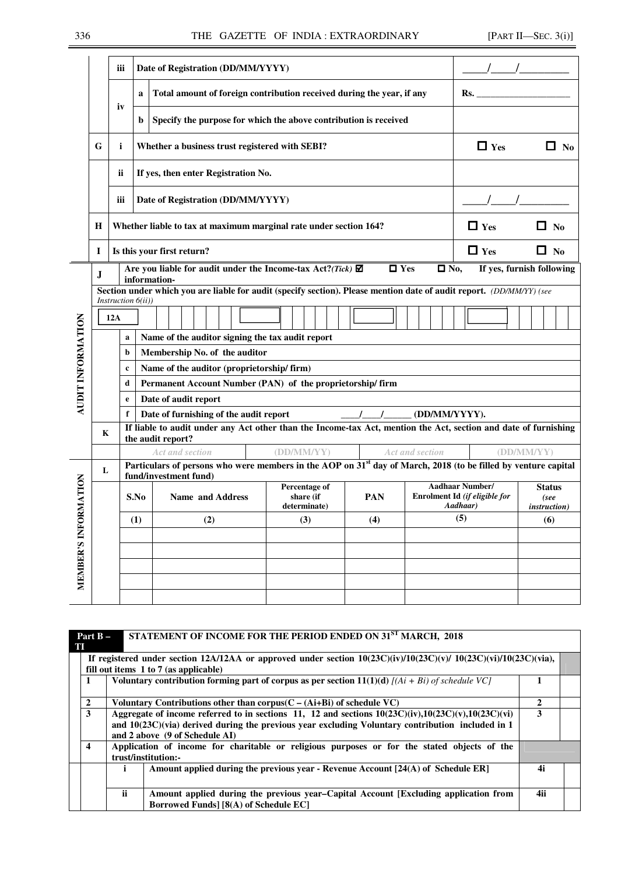### 336 THE GAZETTE OF INDIA : EXTRAORDINARY [PART II—SEC. 3(i)]

|                   |        | iii                                                                  |                                                                                                        | Date of Registration (DD/MM/YYYY)                                                                                                                                                                                                                                                                                                                                                                                                                                                                                                                                                                                                        |                                            |                          |                                                   |                                                                     |                                               |  |  |  |  |  |  |  |
|-------------------|--------|----------------------------------------------------------------------|--------------------------------------------------------------------------------------------------------|------------------------------------------------------------------------------------------------------------------------------------------------------------------------------------------------------------------------------------------------------------------------------------------------------------------------------------------------------------------------------------------------------------------------------------------------------------------------------------------------------------------------------------------------------------------------------------------------------------------------------------------|--------------------------------------------|--------------------------|---------------------------------------------------|---------------------------------------------------------------------|-----------------------------------------------|--|--|--|--|--|--|--|
|                   |        |                                                                      | $\mathbf{a}$                                                                                           | Total amount of foreign contribution received during the year, if any                                                                                                                                                                                                                                                                                                                                                                                                                                                                                                                                                                    |                                            |                          |                                                   | Rs.                                                                 |                                               |  |  |  |  |  |  |  |
|                   |        | iv                                                                   | b                                                                                                      | Specify the purpose for which the above contribution is received                                                                                                                                                                                                                                                                                                                                                                                                                                                                                                                                                                         |                                            |                          |                                                   |                                                                     |                                               |  |  |  |  |  |  |  |
|                   | G      | i                                                                    |                                                                                                        | Whether a business trust registered with SEBI?                                                                                                                                                                                                                                                                                                                                                                                                                                                                                                                                                                                           |                                            |                          |                                                   | $\Box$ Yes                                                          | $\Box$ No                                     |  |  |  |  |  |  |  |
|                   |        | ij                                                                   |                                                                                                        | If yes, then enter Registration No.                                                                                                                                                                                                                                                                                                                                                                                                                                                                                                                                                                                                      |                                            |                          |                                                   |                                                                     |                                               |  |  |  |  |  |  |  |
|                   |        | iii                                                                  | Date of Registration (DD/MM/YYYY)                                                                      |                                                                                                                                                                                                                                                                                                                                                                                                                                                                                                                                                                                                                                          |                                            |                          |                                                   |                                                                     |                                               |  |  |  |  |  |  |  |
|                   | Н      |                                                                      | $\Box$ Yes<br>П<br>Whether liable to tax at maximum marginal rate under section 164?<br>N <sub>0</sub> |                                                                                                                                                                                                                                                                                                                                                                                                                                                                                                                                                                                                                                          |                                            |                          |                                                   |                                                                     |                                               |  |  |  |  |  |  |  |
|                   | 1      | $\Box$ Yes<br>Is this your first return?<br>$\Box$ No                |                                                                                                        |                                                                                                                                                                                                                                                                                                                                                                                                                                                                                                                                                                                                                                          |                                            |                          |                                                   |                                                                     |                                               |  |  |  |  |  |  |  |
| AUDIT INFORMATION | J<br>K | Instruction $6(ii)$ )<br>12A<br>a<br>b<br>$\mathbf c$<br>d<br>e<br>f |                                                                                                        | Are you liable for audit under the Income-tax Act?(Tick) $\boxtimes$<br>information-<br>Section under which you are liable for audit (specify section). Please mention date of audit report. (DD/MM/YY) (see<br>Name of the auditor signing the tax audit report<br>Membership No. of the auditor<br>Name of the auditor (proprietorship/firm)<br>Permanent Account Number (PAN) of the proprietorship/firm<br>Date of audit report<br>Date of furnishing of the audit report<br>If liable to audit under any Act other than the Income-tax Act, mention the Act, section and date of furnishing<br>the audit report?<br>Act and section | (DD/MM/YY)                                 | $\Box$ Yes<br>$\sqrt{1}$ | $\square$ No,<br>(DD/MM/YYYY).<br>Act and section |                                                                     | If yes, furnish following<br>(DD/MM/YY)       |  |  |  |  |  |  |  |
|                   | L      |                                                                      |                                                                                                        | Particulars of persons who were members in the AOP on 31 <sup>st</sup> day of March, 2018 (to be filled by venture capital<br>fund/investment fund)                                                                                                                                                                                                                                                                                                                                                                                                                                                                                      |                                            |                          |                                                   |                                                                     |                                               |  |  |  |  |  |  |  |
| <b>RMATION</b>    |        |                                                                      | S.No                                                                                                   | Name and Address                                                                                                                                                                                                                                                                                                                                                                                                                                                                                                                                                                                                                         | Percentage of<br>share (if<br>determinate) | <b>PAN</b>               |                                                   | <b>Aadhaar Number/</b><br>Enrolment Id (if eligible for<br>Aadhaar) | <b>Status</b><br>(see<br><i>instruction</i> ) |  |  |  |  |  |  |  |
|                   |        |                                                                      | (1)                                                                                                    | (2)                                                                                                                                                                                                                                                                                                                                                                                                                                                                                                                                                                                                                                      | (3)                                        | (4)                      |                                                   | (5)                                                                 | (6)                                           |  |  |  |  |  |  |  |
|                   |        |                                                                      |                                                                                                        |                                                                                                                                                                                                                                                                                                                                                                                                                                                                                                                                                                                                                                          |                                            |                          |                                                   |                                                                     |                                               |  |  |  |  |  |  |  |
| MEMBER'S INFO     |        |                                                                      |                                                                                                        |                                                                                                                                                                                                                                                                                                                                                                                                                                                                                                                                                                                                                                          |                                            |                          |                                                   |                                                                     |                                               |  |  |  |  |  |  |  |
|                   |        |                                                                      |                                                                                                        |                                                                                                                                                                                                                                                                                                                                                                                                                                                                                                                                                                                                                                          |                                            |                          |                                                   |                                                                     |                                               |  |  |  |  |  |  |  |
|                   |        |                                                                      |                                                                                                        |                                                                                                                                                                                                                                                                                                                                                                                                                                                                                                                                                                                                                                          |                                            |                          |                                                   |                                                                     |                                               |  |  |  |  |  |  |  |

| T | Part $B -$                                                                                         |     | STATEMENT OF INCOME FOR THE PERIOD ENDED ON 31 <sup>ST</sup> MARCH, 2018                                                                                                                                                                             |     |  |  |  |  |
|---|----------------------------------------------------------------------------------------------------|-----|------------------------------------------------------------------------------------------------------------------------------------------------------------------------------------------------------------------------------------------------------|-----|--|--|--|--|
|   |                                                                                                    |     | If registered under section 12A/12AA or approved under section $10(23C)(\frac{1}{V})/10(23C)(\frac{1}{V})/10(23C)(\frac{1}{V})/10(23C)(\frac{1}{V})$<br>fill out items 1 to 7 (as applicable)                                                        |     |  |  |  |  |
|   | Voluntary contribution forming part of corpus as per section $11(1)(d)$ [(Ai + Bi) of schedule VC] |     |                                                                                                                                                                                                                                                      |     |  |  |  |  |
|   | $\overline{2}$                                                                                     |     | Voluntary Contributions other than corpus( $C - (Ai+Bi)$ of schedule VC)                                                                                                                                                                             | 2   |  |  |  |  |
|   | 3                                                                                                  |     | Aggregate of income referred to in sections 11, 12 and sections $10(23C)(iv)$ , $10(23C)(v)$ , $10(23C)(vi)$<br>and $10(23C)(via)$ derived during the previous year excluding Voluntary contribution included in 1<br>and 2 above (9 of Schedule AI) | 3   |  |  |  |  |
|   | $\overline{\mathbf{4}}$                                                                            |     | Application of income for charitable or religious purposes or for the stated objects of the<br>trust/institution:-                                                                                                                                   |     |  |  |  |  |
|   |                                                                                                    |     | Amount applied during the previous year - Revenue Account $[24(A)$ of Schedule ER]                                                                                                                                                                   | 4i  |  |  |  |  |
|   |                                                                                                    | ii. | Amount applied during the previous year–Capital Account [Excluding application from<br>Borrowed Funds] [8(A) of Schedule EC]                                                                                                                         | 4ii |  |  |  |  |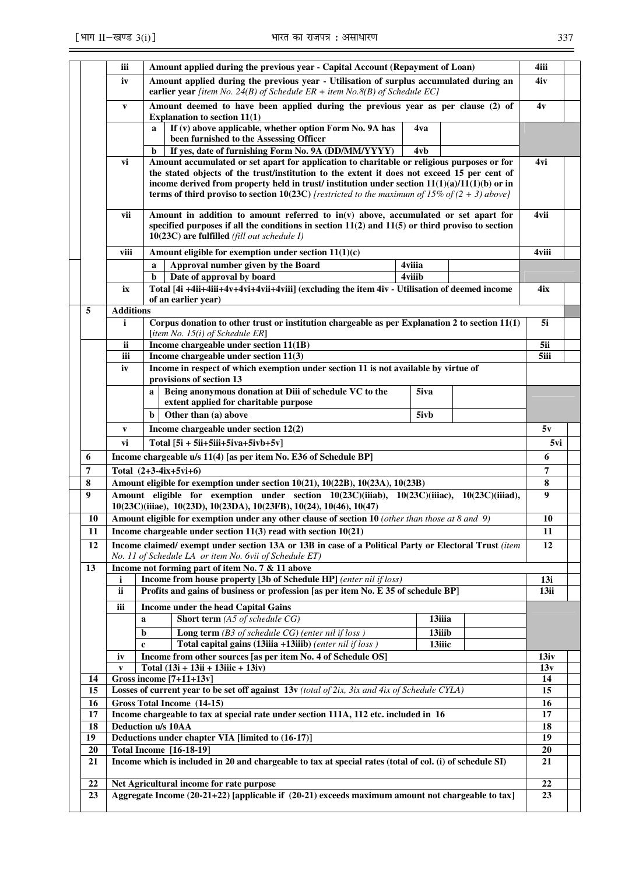| ۰.<br>$\sim$ | ۰,<br>٠ |  |
|--------------|---------|--|

|          | iii              | Amount applied during the previous year - Capital Account (Repayment of Loan)                                                                                                                                                                                                                                                                                                                          |                  |  | 4iii     |  |  |  |  |  |  |  |
|----------|------------------|--------------------------------------------------------------------------------------------------------------------------------------------------------------------------------------------------------------------------------------------------------------------------------------------------------------------------------------------------------------------------------------------------------|------------------|--|----------|--|--|--|--|--|--|--|
|          | iv               | Amount applied during the previous year - Utilisation of surplus accumulated during an<br>earlier year [item No. 24(B) of Schedule $ER + item No. 8(B)$ of Schedule EC]                                                                                                                                                                                                                                |                  |  | 4iv      |  |  |  |  |  |  |  |
|          | $\mathbf{v}$     | Amount deemed to have been applied during the previous year as per clause (2) of<br>Explanation to section $11(1)$                                                                                                                                                                                                                                                                                     |                  |  | 4v       |  |  |  |  |  |  |  |
|          |                  | If (v) above applicable, whether option Form No. 9A has<br>$\mathbf{a}$<br>been furnished to the Assessing Officer                                                                                                                                                                                                                                                                                     | 4va              |  |          |  |  |  |  |  |  |  |
|          |                  | If yes, date of furnishing Form No. 9A (DD/MM/YYYY)<br>b                                                                                                                                                                                                                                                                                                                                               | 4vb              |  |          |  |  |  |  |  |  |  |
|          | vi               | Amount accumulated or set apart for application to charitable or religious purposes or for<br>the stated objects of the trust/institution to the extent it does not exceed 15 per cent of<br>income derived from property held in trust/ institution under section $11(1)(a)/11(1)(b)$ or in<br><b>terms of third proviso to section 10(23C)</b> [restricted to the maximum of 15% of $(2 + 3)$ above] |                  |  | 4vi      |  |  |  |  |  |  |  |
|          | vii              | Amount in addition to amount referred to $in(v)$ above, accumulated or set apart for<br>specified purposes if all the conditions in section $11(2)$ and $11(5)$ or third proviso to section<br>$10(23C)$ are fulfilled <i>(fill out schedule I)</i>                                                                                                                                                    |                  |  | 4vii     |  |  |  |  |  |  |  |
|          | viii             | Amount eligible for exemption under section $11(1)(c)$                                                                                                                                                                                                                                                                                                                                                 |                  |  | 4viii    |  |  |  |  |  |  |  |
|          |                  | Approval number given by the Board<br>4viiia<br>a                                                                                                                                                                                                                                                                                                                                                      |                  |  |          |  |  |  |  |  |  |  |
|          |                  | 4viiib<br>Date of approval by board<br>b                                                                                                                                                                                                                                                                                                                                                               |                  |  |          |  |  |  |  |  |  |  |
|          | ix               | Total [4i +4ii+4iii+4v+4vi+4vii+4viii] (excluding the item 4iv - Utilisation of deemed income<br>of an earlier year)                                                                                                                                                                                                                                                                                   |                  |  | 4ix      |  |  |  |  |  |  |  |
| 5        | <b>Additions</b> |                                                                                                                                                                                                                                                                                                                                                                                                        |                  |  |          |  |  |  |  |  |  |  |
|          | i                | Corpus donation to other trust or institution chargeable as per Explanation 2 to section 11(1)<br>[item No. 15(i) of Schedule $ER$ ]                                                                                                                                                                                                                                                                   |                  |  | 5i       |  |  |  |  |  |  |  |
|          | ii               | Income chargeable under section 11(1B)                                                                                                                                                                                                                                                                                                                                                                 |                  |  | 5ii      |  |  |  |  |  |  |  |
|          | iii              | Income chargeable under section 11(3)                                                                                                                                                                                                                                                                                                                                                                  |                  |  | 5iii     |  |  |  |  |  |  |  |
|          | iv               | Income in respect of which exemption under section 11 is not available by virtue of<br>provisions of section 13                                                                                                                                                                                                                                                                                        |                  |  |          |  |  |  |  |  |  |  |
|          |                  | Being anonymous donation at Diii of schedule VC to the<br>a<br>extent applied for charitable purpose                                                                                                                                                                                                                                                                                                   | 5iva             |  |          |  |  |  |  |  |  |  |
|          |                  | Other than (a) above<br>$\mathbf b$                                                                                                                                                                                                                                                                                                                                                                    | 5ivb             |  |          |  |  |  |  |  |  |  |
|          | $\mathbf{V}$     | Income chargeable under section 12(2)                                                                                                                                                                                                                                                                                                                                                                  |                  |  | 5v       |  |  |  |  |  |  |  |
|          | vi               | Total $[5i + 5ii + 5iii + 5iva + 5ivb + 5v]$                                                                                                                                                                                                                                                                                                                                                           |                  |  | 5vi      |  |  |  |  |  |  |  |
| 6        |                  | Income chargeable u/s 11(4) [as per item No. E36 of Schedule BP]                                                                                                                                                                                                                                                                                                                                       |                  |  | 6        |  |  |  |  |  |  |  |
| 7        |                  | Total $(2+3-4ix+5vi+6)$                                                                                                                                                                                                                                                                                                                                                                                |                  |  | 7        |  |  |  |  |  |  |  |
| 8        |                  | Amount eligible for exemption under section 10(21), 10(22B), 10(23A), 10(23B)                                                                                                                                                                                                                                                                                                                          |                  |  | 8        |  |  |  |  |  |  |  |
| 9        |                  | Amount eligible for exemption under section 10(23C)(iiiab), 10(23C)(iiiac), 10(23C)(iiiad),                                                                                                                                                                                                                                                                                                            |                  |  | 9        |  |  |  |  |  |  |  |
| 10       |                  | 10(23C)(iiiae), 10(23D), 10(23DA), 10(23FB), 10(24), 10(46), 10(47)<br>Amount eligible for exemption under any other clause of section 10 (other than those at 8 and 9)                                                                                                                                                                                                                                |                  |  | 10       |  |  |  |  |  |  |  |
| 11       |                  | Income chargeable under section $11(3)$ read with section $10(21)$                                                                                                                                                                                                                                                                                                                                     |                  |  | 11       |  |  |  |  |  |  |  |
| 12       |                  | Income claimed/ exempt under section 13A or 13B in case of a Political Party or Electoral Trust (item                                                                                                                                                                                                                                                                                                  |                  |  | 12       |  |  |  |  |  |  |  |
|          |                  | No. 11 of Schedule LA or item No. 6vii of Schedule ET)                                                                                                                                                                                                                                                                                                                                                 |                  |  |          |  |  |  |  |  |  |  |
| 13       |                  | Income not forming part of item No. 7 & 11 above                                                                                                                                                                                                                                                                                                                                                       |                  |  |          |  |  |  |  |  |  |  |
|          | i                | Income from house property [3b of Schedule HP] (enter nil if loss)                                                                                                                                                                                                                                                                                                                                     |                  |  | 13i      |  |  |  |  |  |  |  |
|          | ii               | Profits and gains of business or profession [as per item No. E 35 of schedule BP]                                                                                                                                                                                                                                                                                                                      |                  |  | 13ii     |  |  |  |  |  |  |  |
|          | iii              | Income under the head Capital Gains                                                                                                                                                                                                                                                                                                                                                                    |                  |  |          |  |  |  |  |  |  |  |
|          |                  | <b>Short term</b> (A5 of schedule $CG$ )<br>a                                                                                                                                                                                                                                                                                                                                                          | 13iiia           |  |          |  |  |  |  |  |  |  |
|          | $\mathbf c$      | <b>Long term</b> (B3 of schedule $CG$ ) (enter nil if loss)<br>b<br>Total capital gains (13iiia +13iiib) (enter nil if loss)                                                                                                                                                                                                                                                                           | 13iiib<br>13iiic |  |          |  |  |  |  |  |  |  |
|          | iv               | Income from other sources [as per item No. 4 of Schedule OS]                                                                                                                                                                                                                                                                                                                                           |                  |  | 13iv     |  |  |  |  |  |  |  |
|          | $\mathbf{v}$     | Total $(13i + 13ii + 13iiic + 13iv)$                                                                                                                                                                                                                                                                                                                                                                   |                  |  | 13v      |  |  |  |  |  |  |  |
| 14       |                  | Gross income [7+11+13v]                                                                                                                                                                                                                                                                                                                                                                                |                  |  | 14       |  |  |  |  |  |  |  |
| 15       |                  | Losses of current year to be set off against 13v (total of 2ix, 3ix and 4ix of Schedule CYLA)                                                                                                                                                                                                                                                                                                          |                  |  | 15       |  |  |  |  |  |  |  |
| 16       |                  | <b>Gross Total Income (14-15)</b><br>Income chargeable to tax at special rate under section 111A, 112 etc. included in 16                                                                                                                                                                                                                                                                              |                  |  | 16<br>17 |  |  |  |  |  |  |  |
| 17<br>18 |                  | Deduction u/s 10AA                                                                                                                                                                                                                                                                                                                                                                                     |                  |  | 18       |  |  |  |  |  |  |  |
| 19       |                  | Deductions under chapter VIA [limited to (16-17)]                                                                                                                                                                                                                                                                                                                                                      |                  |  | 19       |  |  |  |  |  |  |  |
| 20       |                  | <b>Total Income [16-18-19]</b>                                                                                                                                                                                                                                                                                                                                                                         |                  |  | 20       |  |  |  |  |  |  |  |
| 21       |                  | Income which is included in 20 and chargeable to tax at special rates (total of col. (i) of schedule SI)                                                                                                                                                                                                                                                                                               |                  |  | 21       |  |  |  |  |  |  |  |
| 22       |                  | Net Agricultural income for rate purpose                                                                                                                                                                                                                                                                                                                                                               |                  |  | 22       |  |  |  |  |  |  |  |
| 23       |                  | Aggregate Income (20-21+22) [applicable if (20-21) exceeds maximum amount not chargeable to tax]                                                                                                                                                                                                                                                                                                       |                  |  | 23       |  |  |  |  |  |  |  |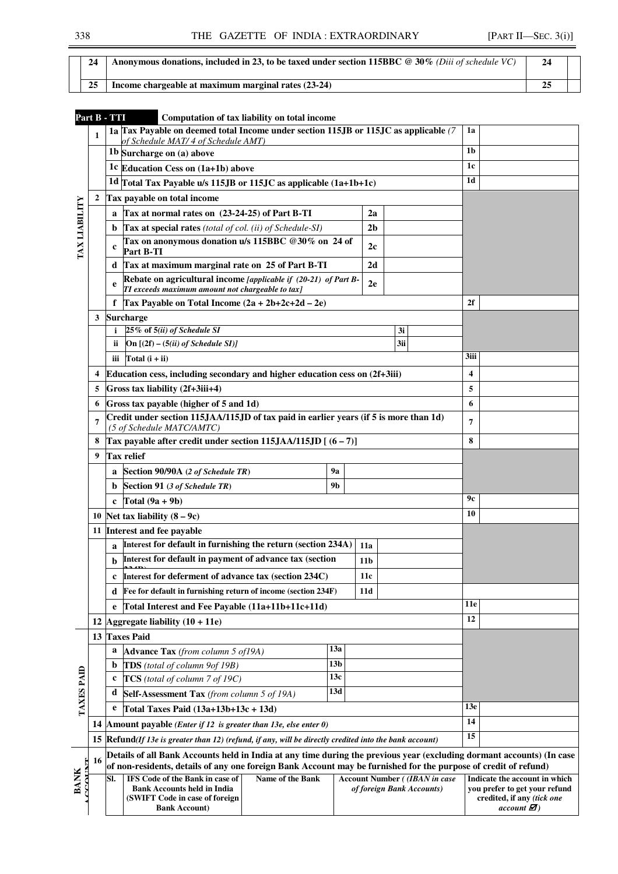| 24 | <b>Anonymous donations, included in 23, to be taxed under section 115BBC @ 30% (Diii of schedule VC)</b> |  |
|----|----------------------------------------------------------------------------------------------------------|--|
| 25 | Income chargeable at maximum marginal rates $(23-24)$                                                    |  |

| 1a Tax Payable on deemed total Income under section 115JB or 115JC as applicable (7)<br>1a<br>$\mathbf{1}$<br>of Schedule MAT/ 4 of Schedule AMT)<br>1 <sub>b</sub><br>1b Surcharge on (a) above<br>1c<br>1c Education Cess on (1a+1b) above<br>1 <sub>d</sub><br>1d Total Tax Payable u/s 115JB or 115JC as applicable $(1a+1b+1c)$<br>Tax payable on total income<br>$\boldsymbol{2}$<br>TAX LIABILITY<br>Tax at normal rates on (23-24-25) of Part B-TI<br>2a<br>a<br>Tax at special rates (total of col. (ii) of Schedule-SI)<br>b.<br>2 <sub>b</sub><br>Tax on anonymous donation u/s 115BBC @30% on 24 of<br>2c<br>$\mathbf c$<br>Part B-TI<br>Tax at maximum marginal rate on 25 of Part B-TI<br>2d<br>d<br>Rebate on agricultural income [applicable if (20-21) of Part B-<br>2e<br>e<br>TI exceeds maximum amount not chargeable to tax]<br>Tax Payable on Total Income $(2a + 2b+2c+2d - 2e)$<br>f<br>2f<br><b>Surcharge</b><br>3<br>25% of 5(ii) of Schedule SI<br>3i<br>i<br>3ii<br>On $[(2f) - (5(ii) of Schedule SI)]$<br><b>ii</b><br>3iii<br>Total $(i + ii)$<br>iii<br>Education cess, including secondary and higher education cess on (2f+3iii)<br>4<br>4<br>5<br>Gross tax liability (2f+3iii+4)<br>5<br>Gross tax payable (higher of 5 and 1d)<br>6<br>6<br>Credit under section 115JAA/115JD of tax paid in earlier years (if 5 is more than 1d)<br>7<br>7<br>(5 of Schedule MATC/AMTC)<br>Tax payable after credit under section $115JAA/115JD$ [ $(6-7)$ ]<br>8<br>8<br><b>Tax relief</b><br>9<br>Section 90/90A (2 of Schedule TR)<br>9a<br>a<br>9 <sub>b</sub><br>Section 91 (3 of Schedule TR)<br>b<br>9с<br>Total $(9a + 9b)$<br>10<br>10 Net tax liability $(8-9c)$<br>11 Interest and fee payable<br>Interest for default in furnishing the return (section 234A)<br>11a<br>$\mathbf{a}$<br>Interest for default in payment of advance tax (section<br>11 <sub>b</sub><br>b<br>c Interest for deferment of advance tax (section 234C)<br>11c<br>Fee for default in furnishing return of income (section 234F)<br>11d<br>d<br>11e<br>Total Interest and Fee Payable (11a+11b+11c+11d)<br>e<br>12<br>12 Aggregate liability $(10 + 11e)$<br>13 Taxes Paid<br>13a<br>a<br><b>Advance Tax</b> (from column 5 of 19A)<br>13 <sub>b</sub><br>TDS (total of column 9of 19B)<br>b<br><b>TAXES PAID</b><br>13c<br>TCS (total of column 7 of 19C)<br>c<br>13d |                                                                                                                                  |
|-----------------------------------------------------------------------------------------------------------------------------------------------------------------------------------------------------------------------------------------------------------------------------------------------------------------------------------------------------------------------------------------------------------------------------------------------------------------------------------------------------------------------------------------------------------------------------------------------------------------------------------------------------------------------------------------------------------------------------------------------------------------------------------------------------------------------------------------------------------------------------------------------------------------------------------------------------------------------------------------------------------------------------------------------------------------------------------------------------------------------------------------------------------------------------------------------------------------------------------------------------------------------------------------------------------------------------------------------------------------------------------------------------------------------------------------------------------------------------------------------------------------------------------------------------------------------------------------------------------------------------------------------------------------------------------------------------------------------------------------------------------------------------------------------------------------------------------------------------------------------------------------------------------------------------------------------------------------------------------------------------------------------------------------------------------------------------------------------------------------------------------------------------------------------------------------------------------------------------------------------------------------------------------------------------------------------------------------------------------------------------------|----------------------------------------------------------------------------------------------------------------------------------|
|                                                                                                                                                                                                                                                                                                                                                                                                                                                                                                                                                                                                                                                                                                                                                                                                                                                                                                                                                                                                                                                                                                                                                                                                                                                                                                                                                                                                                                                                                                                                                                                                                                                                                                                                                                                                                                                                                                                                                                                                                                                                                                                                                                                                                                                                                                                                                                                   |                                                                                                                                  |
|                                                                                                                                                                                                                                                                                                                                                                                                                                                                                                                                                                                                                                                                                                                                                                                                                                                                                                                                                                                                                                                                                                                                                                                                                                                                                                                                                                                                                                                                                                                                                                                                                                                                                                                                                                                                                                                                                                                                                                                                                                                                                                                                                                                                                                                                                                                                                                                   |                                                                                                                                  |
|                                                                                                                                                                                                                                                                                                                                                                                                                                                                                                                                                                                                                                                                                                                                                                                                                                                                                                                                                                                                                                                                                                                                                                                                                                                                                                                                                                                                                                                                                                                                                                                                                                                                                                                                                                                                                                                                                                                                                                                                                                                                                                                                                                                                                                                                                                                                                                                   |                                                                                                                                  |
|                                                                                                                                                                                                                                                                                                                                                                                                                                                                                                                                                                                                                                                                                                                                                                                                                                                                                                                                                                                                                                                                                                                                                                                                                                                                                                                                                                                                                                                                                                                                                                                                                                                                                                                                                                                                                                                                                                                                                                                                                                                                                                                                                                                                                                                                                                                                                                                   |                                                                                                                                  |
|                                                                                                                                                                                                                                                                                                                                                                                                                                                                                                                                                                                                                                                                                                                                                                                                                                                                                                                                                                                                                                                                                                                                                                                                                                                                                                                                                                                                                                                                                                                                                                                                                                                                                                                                                                                                                                                                                                                                                                                                                                                                                                                                                                                                                                                                                                                                                                                   |                                                                                                                                  |
|                                                                                                                                                                                                                                                                                                                                                                                                                                                                                                                                                                                                                                                                                                                                                                                                                                                                                                                                                                                                                                                                                                                                                                                                                                                                                                                                                                                                                                                                                                                                                                                                                                                                                                                                                                                                                                                                                                                                                                                                                                                                                                                                                                                                                                                                                                                                                                                   |                                                                                                                                  |
|                                                                                                                                                                                                                                                                                                                                                                                                                                                                                                                                                                                                                                                                                                                                                                                                                                                                                                                                                                                                                                                                                                                                                                                                                                                                                                                                                                                                                                                                                                                                                                                                                                                                                                                                                                                                                                                                                                                                                                                                                                                                                                                                                                                                                                                                                                                                                                                   |                                                                                                                                  |
|                                                                                                                                                                                                                                                                                                                                                                                                                                                                                                                                                                                                                                                                                                                                                                                                                                                                                                                                                                                                                                                                                                                                                                                                                                                                                                                                                                                                                                                                                                                                                                                                                                                                                                                                                                                                                                                                                                                                                                                                                                                                                                                                                                                                                                                                                                                                                                                   |                                                                                                                                  |
|                                                                                                                                                                                                                                                                                                                                                                                                                                                                                                                                                                                                                                                                                                                                                                                                                                                                                                                                                                                                                                                                                                                                                                                                                                                                                                                                                                                                                                                                                                                                                                                                                                                                                                                                                                                                                                                                                                                                                                                                                                                                                                                                                                                                                                                                                                                                                                                   |                                                                                                                                  |
|                                                                                                                                                                                                                                                                                                                                                                                                                                                                                                                                                                                                                                                                                                                                                                                                                                                                                                                                                                                                                                                                                                                                                                                                                                                                                                                                                                                                                                                                                                                                                                                                                                                                                                                                                                                                                                                                                                                                                                                                                                                                                                                                                                                                                                                                                                                                                                                   |                                                                                                                                  |
|                                                                                                                                                                                                                                                                                                                                                                                                                                                                                                                                                                                                                                                                                                                                                                                                                                                                                                                                                                                                                                                                                                                                                                                                                                                                                                                                                                                                                                                                                                                                                                                                                                                                                                                                                                                                                                                                                                                                                                                                                                                                                                                                                                                                                                                                                                                                                                                   |                                                                                                                                  |
|                                                                                                                                                                                                                                                                                                                                                                                                                                                                                                                                                                                                                                                                                                                                                                                                                                                                                                                                                                                                                                                                                                                                                                                                                                                                                                                                                                                                                                                                                                                                                                                                                                                                                                                                                                                                                                                                                                                                                                                                                                                                                                                                                                                                                                                                                                                                                                                   |                                                                                                                                  |
|                                                                                                                                                                                                                                                                                                                                                                                                                                                                                                                                                                                                                                                                                                                                                                                                                                                                                                                                                                                                                                                                                                                                                                                                                                                                                                                                                                                                                                                                                                                                                                                                                                                                                                                                                                                                                                                                                                                                                                                                                                                                                                                                                                                                                                                                                                                                                                                   |                                                                                                                                  |
|                                                                                                                                                                                                                                                                                                                                                                                                                                                                                                                                                                                                                                                                                                                                                                                                                                                                                                                                                                                                                                                                                                                                                                                                                                                                                                                                                                                                                                                                                                                                                                                                                                                                                                                                                                                                                                                                                                                                                                                                                                                                                                                                                                                                                                                                                                                                                                                   |                                                                                                                                  |
|                                                                                                                                                                                                                                                                                                                                                                                                                                                                                                                                                                                                                                                                                                                                                                                                                                                                                                                                                                                                                                                                                                                                                                                                                                                                                                                                                                                                                                                                                                                                                                                                                                                                                                                                                                                                                                                                                                                                                                                                                                                                                                                                                                                                                                                                                                                                                                                   |                                                                                                                                  |
|                                                                                                                                                                                                                                                                                                                                                                                                                                                                                                                                                                                                                                                                                                                                                                                                                                                                                                                                                                                                                                                                                                                                                                                                                                                                                                                                                                                                                                                                                                                                                                                                                                                                                                                                                                                                                                                                                                                                                                                                                                                                                                                                                                                                                                                                                                                                                                                   |                                                                                                                                  |
|                                                                                                                                                                                                                                                                                                                                                                                                                                                                                                                                                                                                                                                                                                                                                                                                                                                                                                                                                                                                                                                                                                                                                                                                                                                                                                                                                                                                                                                                                                                                                                                                                                                                                                                                                                                                                                                                                                                                                                                                                                                                                                                                                                                                                                                                                                                                                                                   |                                                                                                                                  |
|                                                                                                                                                                                                                                                                                                                                                                                                                                                                                                                                                                                                                                                                                                                                                                                                                                                                                                                                                                                                                                                                                                                                                                                                                                                                                                                                                                                                                                                                                                                                                                                                                                                                                                                                                                                                                                                                                                                                                                                                                                                                                                                                                                                                                                                                                                                                                                                   |                                                                                                                                  |
|                                                                                                                                                                                                                                                                                                                                                                                                                                                                                                                                                                                                                                                                                                                                                                                                                                                                                                                                                                                                                                                                                                                                                                                                                                                                                                                                                                                                                                                                                                                                                                                                                                                                                                                                                                                                                                                                                                                                                                                                                                                                                                                                                                                                                                                                                                                                                                                   |                                                                                                                                  |
|                                                                                                                                                                                                                                                                                                                                                                                                                                                                                                                                                                                                                                                                                                                                                                                                                                                                                                                                                                                                                                                                                                                                                                                                                                                                                                                                                                                                                                                                                                                                                                                                                                                                                                                                                                                                                                                                                                                                                                                                                                                                                                                                                                                                                                                                                                                                                                                   |                                                                                                                                  |
|                                                                                                                                                                                                                                                                                                                                                                                                                                                                                                                                                                                                                                                                                                                                                                                                                                                                                                                                                                                                                                                                                                                                                                                                                                                                                                                                                                                                                                                                                                                                                                                                                                                                                                                                                                                                                                                                                                                                                                                                                                                                                                                                                                                                                                                                                                                                                                                   |                                                                                                                                  |
|                                                                                                                                                                                                                                                                                                                                                                                                                                                                                                                                                                                                                                                                                                                                                                                                                                                                                                                                                                                                                                                                                                                                                                                                                                                                                                                                                                                                                                                                                                                                                                                                                                                                                                                                                                                                                                                                                                                                                                                                                                                                                                                                                                                                                                                                                                                                                                                   |                                                                                                                                  |
|                                                                                                                                                                                                                                                                                                                                                                                                                                                                                                                                                                                                                                                                                                                                                                                                                                                                                                                                                                                                                                                                                                                                                                                                                                                                                                                                                                                                                                                                                                                                                                                                                                                                                                                                                                                                                                                                                                                                                                                                                                                                                                                                                                                                                                                                                                                                                                                   |                                                                                                                                  |
|                                                                                                                                                                                                                                                                                                                                                                                                                                                                                                                                                                                                                                                                                                                                                                                                                                                                                                                                                                                                                                                                                                                                                                                                                                                                                                                                                                                                                                                                                                                                                                                                                                                                                                                                                                                                                                                                                                                                                                                                                                                                                                                                                                                                                                                                                                                                                                                   |                                                                                                                                  |
|                                                                                                                                                                                                                                                                                                                                                                                                                                                                                                                                                                                                                                                                                                                                                                                                                                                                                                                                                                                                                                                                                                                                                                                                                                                                                                                                                                                                                                                                                                                                                                                                                                                                                                                                                                                                                                                                                                                                                                                                                                                                                                                                                                                                                                                                                                                                                                                   |                                                                                                                                  |
|                                                                                                                                                                                                                                                                                                                                                                                                                                                                                                                                                                                                                                                                                                                                                                                                                                                                                                                                                                                                                                                                                                                                                                                                                                                                                                                                                                                                                                                                                                                                                                                                                                                                                                                                                                                                                                                                                                                                                                                                                                                                                                                                                                                                                                                                                                                                                                                   |                                                                                                                                  |
|                                                                                                                                                                                                                                                                                                                                                                                                                                                                                                                                                                                                                                                                                                                                                                                                                                                                                                                                                                                                                                                                                                                                                                                                                                                                                                                                                                                                                                                                                                                                                                                                                                                                                                                                                                                                                                                                                                                                                                                                                                                                                                                                                                                                                                                                                                                                                                                   |                                                                                                                                  |
|                                                                                                                                                                                                                                                                                                                                                                                                                                                                                                                                                                                                                                                                                                                                                                                                                                                                                                                                                                                                                                                                                                                                                                                                                                                                                                                                                                                                                                                                                                                                                                                                                                                                                                                                                                                                                                                                                                                                                                                                                                                                                                                                                                                                                                                                                                                                                                                   |                                                                                                                                  |
|                                                                                                                                                                                                                                                                                                                                                                                                                                                                                                                                                                                                                                                                                                                                                                                                                                                                                                                                                                                                                                                                                                                                                                                                                                                                                                                                                                                                                                                                                                                                                                                                                                                                                                                                                                                                                                                                                                                                                                                                                                                                                                                                                                                                                                                                                                                                                                                   |                                                                                                                                  |
|                                                                                                                                                                                                                                                                                                                                                                                                                                                                                                                                                                                                                                                                                                                                                                                                                                                                                                                                                                                                                                                                                                                                                                                                                                                                                                                                                                                                                                                                                                                                                                                                                                                                                                                                                                                                                                                                                                                                                                                                                                                                                                                                                                                                                                                                                                                                                                                   |                                                                                                                                  |
|                                                                                                                                                                                                                                                                                                                                                                                                                                                                                                                                                                                                                                                                                                                                                                                                                                                                                                                                                                                                                                                                                                                                                                                                                                                                                                                                                                                                                                                                                                                                                                                                                                                                                                                                                                                                                                                                                                                                                                                                                                                                                                                                                                                                                                                                                                                                                                                   |                                                                                                                                  |
|                                                                                                                                                                                                                                                                                                                                                                                                                                                                                                                                                                                                                                                                                                                                                                                                                                                                                                                                                                                                                                                                                                                                                                                                                                                                                                                                                                                                                                                                                                                                                                                                                                                                                                                                                                                                                                                                                                                                                                                                                                                                                                                                                                                                                                                                                                                                                                                   |                                                                                                                                  |
|                                                                                                                                                                                                                                                                                                                                                                                                                                                                                                                                                                                                                                                                                                                                                                                                                                                                                                                                                                                                                                                                                                                                                                                                                                                                                                                                                                                                                                                                                                                                                                                                                                                                                                                                                                                                                                                                                                                                                                                                                                                                                                                                                                                                                                                                                                                                                                                   |                                                                                                                                  |
|                                                                                                                                                                                                                                                                                                                                                                                                                                                                                                                                                                                                                                                                                                                                                                                                                                                                                                                                                                                                                                                                                                                                                                                                                                                                                                                                                                                                                                                                                                                                                                                                                                                                                                                                                                                                                                                                                                                                                                                                                                                                                                                                                                                                                                                                                                                                                                                   |                                                                                                                                  |
|                                                                                                                                                                                                                                                                                                                                                                                                                                                                                                                                                                                                                                                                                                                                                                                                                                                                                                                                                                                                                                                                                                                                                                                                                                                                                                                                                                                                                                                                                                                                                                                                                                                                                                                                                                                                                                                                                                                                                                                                                                                                                                                                                                                                                                                                                                                                                                                   |                                                                                                                                  |
|                                                                                                                                                                                                                                                                                                                                                                                                                                                                                                                                                                                                                                                                                                                                                                                                                                                                                                                                                                                                                                                                                                                                                                                                                                                                                                                                                                                                                                                                                                                                                                                                                                                                                                                                                                                                                                                                                                                                                                                                                                                                                                                                                                                                                                                                                                                                                                                   |                                                                                                                                  |
|                                                                                                                                                                                                                                                                                                                                                                                                                                                                                                                                                                                                                                                                                                                                                                                                                                                                                                                                                                                                                                                                                                                                                                                                                                                                                                                                                                                                                                                                                                                                                                                                                                                                                                                                                                                                                                                                                                                                                                                                                                                                                                                                                                                                                                                                                                                                                                                   |                                                                                                                                  |
| d<br>Self-Assessment Tax (from column 5 of 19A)                                                                                                                                                                                                                                                                                                                                                                                                                                                                                                                                                                                                                                                                                                                                                                                                                                                                                                                                                                                                                                                                                                                                                                                                                                                                                                                                                                                                                                                                                                                                                                                                                                                                                                                                                                                                                                                                                                                                                                                                                                                                                                                                                                                                                                                                                                                                   |                                                                                                                                  |
| 13 <sub>e</sub><br>e<br>Total Taxes Paid $(13a+13b+13c+13d)$                                                                                                                                                                                                                                                                                                                                                                                                                                                                                                                                                                                                                                                                                                                                                                                                                                                                                                                                                                                                                                                                                                                                                                                                                                                                                                                                                                                                                                                                                                                                                                                                                                                                                                                                                                                                                                                                                                                                                                                                                                                                                                                                                                                                                                                                                                                      |                                                                                                                                  |
| 14<br>14 Amount payable ( <i>Enter if 12 is greater than 13e, else enter 0</i> )                                                                                                                                                                                                                                                                                                                                                                                                                                                                                                                                                                                                                                                                                                                                                                                                                                                                                                                                                                                                                                                                                                                                                                                                                                                                                                                                                                                                                                                                                                                                                                                                                                                                                                                                                                                                                                                                                                                                                                                                                                                                                                                                                                                                                                                                                                  |                                                                                                                                  |
| 15<br>15<br>$Refund (If 13e is greater than 12) (refund, if any, will be directly credited into the bank account)$                                                                                                                                                                                                                                                                                                                                                                                                                                                                                                                                                                                                                                                                                                                                                                                                                                                                                                                                                                                                                                                                                                                                                                                                                                                                                                                                                                                                                                                                                                                                                                                                                                                                                                                                                                                                                                                                                                                                                                                                                                                                                                                                                                                                                                                                |                                                                                                                                  |
| Details of all Bank Accounts held in India at any time during the previous year (excluding dormant accounts) (In case                                                                                                                                                                                                                                                                                                                                                                                                                                                                                                                                                                                                                                                                                                                                                                                                                                                                                                                                                                                                                                                                                                                                                                                                                                                                                                                                                                                                                                                                                                                                                                                                                                                                                                                                                                                                                                                                                                                                                                                                                                                                                                                                                                                                                                                             |                                                                                                                                  |
| 16<br>of non-residents, details of any one foreign Bank Account may be furnished for the purpose of credit of refund)                                                                                                                                                                                                                                                                                                                                                                                                                                                                                                                                                                                                                                                                                                                                                                                                                                                                                                                                                                                                                                                                                                                                                                                                                                                                                                                                                                                                                                                                                                                                                                                                                                                                                                                                                                                                                                                                                                                                                                                                                                                                                                                                                                                                                                                             |                                                                                                                                  |
| <b>TAINT</b><br><b>BANK</b><br>Name of the Bank<br>SI.<br><b>IFS Code of the Bank in case of</b><br><b>Account Number (IBAN in case</b><br><b>Bank Accounts held in India</b><br>of foreign Bank Accounts)<br>(SWIFT Code in case of foreign)<br><b>Bank Account)</b>                                                                                                                                                                                                                                                                                                                                                                                                                                                                                                                                                                                                                                                                                                                                                                                                                                                                                                                                                                                                                                                                                                                                                                                                                                                                                                                                                                                                                                                                                                                                                                                                                                                                                                                                                                                                                                                                                                                                                                                                                                                                                                             | Indicate the account in which<br>you prefer to get your refund<br>credited, if any <i>(tick one</i><br>$account\ \blacksquare$ ) |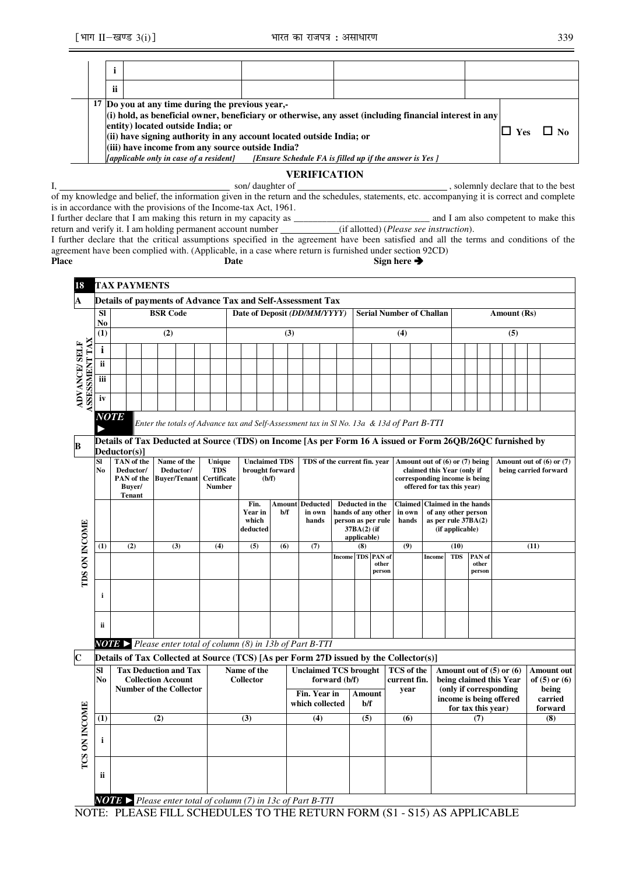| <br>п                                                                                                                                                                                                                                                                                                                                                                                                                             |  |  |  |  |  |  |  |  |  |  |  |  |
|-----------------------------------------------------------------------------------------------------------------------------------------------------------------------------------------------------------------------------------------------------------------------------------------------------------------------------------------------------------------------------------------------------------------------------------|--|--|--|--|--|--|--|--|--|--|--|--|
| 17 Do you at any time during the previous year,-<br>(i) hold, as beneficial owner, beneficiary or otherwise, any asset (including financial interest in any<br>entity) located outside India; or<br>(ii) have signing authority in any account located outside India; or<br>(iii) have income from any source outside India?<br>[applicable only in case of a resident]<br>[Ensure Schedule FA is filled up if the answer is Yes] |  |  |  |  |  |  |  |  |  |  |  |  |
|                                                                                                                                                                                                                                                                                                                                                                                                                                   |  |  |  |  |  |  |  |  |  |  |  |  |

I, solemnly declare that to the best  $\frac{1}{2}$  , solemnly declare that to the best of my knowledge and belief, the information given in the return and the schedules, statements, etc. accompanying it is correct and complete is in accordance with the provisions of the Income-tax Act, 1961.

I further declare that I am making this return in my capacity as \_\_\_\_\_\_\_\_\_\_\_\_\_\_\_\_\_\_\_\_\_\_\_\_\_\_\_\_\_ and I am also competent to make this return and verify it. I am holding permanent account number (if allotted) (*Please see instruction*).

I further declare that the critical assumptions specified in the agreement have been satisfied and all the terms and conditions of the agreement have been complied with. (Applicable, in a case where return is furnished under section 92CD) Place **Date Date** Sign here **→** 

| 18                                          |                                                                                                                                                                                                                       | <b>TAX PAYMENTS</b>                                                                   |                                                 |                                                                                             |                                                                                                                 |     |                                      |               |                              |                                    |               |                                                                                                                                |                      |                                                                 |                                                          |                                                                                                |                    |                                                                                   |  |             |                                                       |                                                 |
|---------------------------------------------|-----------------------------------------------------------------------------------------------------------------------------------------------------------------------------------------------------------------------|---------------------------------------------------------------------------------------|-------------------------------------------------|---------------------------------------------------------------------------------------------|-----------------------------------------------------------------------------------------------------------------|-----|--------------------------------------|---------------|------------------------------|------------------------------------|---------------|--------------------------------------------------------------------------------------------------------------------------------|----------------------|-----------------------------------------------------------------|----------------------------------------------------------|------------------------------------------------------------------------------------------------|--------------------|-----------------------------------------------------------------------------------|--|-------------|-------------------------------------------------------|-------------------------------------------------|
| A                                           |                                                                                                                                                                                                                       | Details of payments of Advance Tax and Self-Assessment Tax                            |                                                 |                                                                                             |                                                                                                                 |     |                                      |               |                              |                                    |               |                                                                                                                                |                      |                                                                 |                                                          |                                                                                                |                    |                                                                                   |  |             |                                                       |                                                 |
|                                             | <b>SI</b><br>No                                                                                                                                                                                                       |                                                                                       |                                                 | <b>BSR</b> Code                                                                             |                                                                                                                 |     | Date of Deposit (DD/MM/YYYY)         |               |                              |                                    |               |                                                                                                                                |                      |                                                                 | <b>Serial Number of Challan</b>                          |                                                                                                |                    |                                                                                   |  | Amount (Rs) |                                                       |                                                 |
|                                             | (1)                                                                                                                                                                                                                   |                                                                                       |                                                 | (2)                                                                                         |                                                                                                                 |     |                                      |               | (3)                          |                                    |               |                                                                                                                                |                      |                                                                 | (4)                                                      |                                                                                                |                    |                                                                                   |  | (5)         |                                                       |                                                 |
|                                             | $\mathbf{i}$                                                                                                                                                                                                          |                                                                                       |                                                 |                                                                                             |                                                                                                                 |     |                                      |               |                              |                                    |               |                                                                                                                                |                      |                                                                 |                                                          |                                                                                                |                    |                                                                                   |  |             |                                                       |                                                 |
|                                             | ii                                                                                                                                                                                                                    |                                                                                       |                                                 |                                                                                             |                                                                                                                 |     |                                      |               |                              |                                    |               |                                                                                                                                |                      |                                                                 |                                                          |                                                                                                |                    |                                                                                   |  |             |                                                       |                                                 |
| <b>SSESSMENT TAX</b><br><b>ADVANCE/SELF</b> | iii                                                                                                                                                                                                                   |                                                                                       |                                                 |                                                                                             |                                                                                                                 |     |                                      |               |                              |                                    |               |                                                                                                                                |                      |                                                                 |                                                          |                                                                                                |                    |                                                                                   |  |             |                                                       |                                                 |
|                                             | iv                                                                                                                                                                                                                    |                                                                                       |                                                 |                                                                                             |                                                                                                                 |     |                                      |               |                              |                                    |               |                                                                                                                                |                      |                                                                 |                                                          |                                                                                                |                    |                                                                                   |  |             |                                                       |                                                 |
|                                             | <b>NOTE</b><br>Enter the totals of Advance tax and Self-Assessment tax in Sl No. 13a & 13d of Part B-TTI<br>Details of Tax Deducted at Source (TDS) on Income [As per Form 16 A issued or Form 26QB/26QC furnished by |                                                                                       |                                                 |                                                                                             |                                                                                                                 |     |                                      |               |                              |                                    |               |                                                                                                                                |                      |                                                                 |                                                          |                                                                                                |                    |                                                                                   |  |             |                                                       |                                                 |
| в                                           |                                                                                                                                                                                                                       |                                                                                       |                                                 |                                                                                             |                                                                                                                 |     |                                      |               |                              |                                    |               |                                                                                                                                |                      |                                                                 |                                                          |                                                                                                |                    |                                                                                   |  |             |                                                       |                                                 |
|                                             | SI<br>No                                                                                                                                                                                                              | Deductor(s)]<br>TAN of the<br>Deductor/<br>PAN of the<br>Buver/<br><b>Tenant</b>      | Name of the<br>Deductor/<br><b>Buyer/Tenant</b> |                                                                                             | Unique<br><b>Unclaimed TDS</b><br><b>TDS</b><br>brought forward<br><b>Certificate</b><br>(b/f)<br><b>Number</b> |     |                                      |               | TDS of the current fin. year |                                    |               |                                                                                                                                |                      | Amount out of (6) or (7) being<br>corresponding income is being | claimed this Year (only if<br>offered for tax this year) |                                                                                                |                    |                                                                                   |  |             | Amount out of $(6)$ or $(7)$<br>being carried forward |                                                 |
| <b>TDS ON INCOME</b>                        |                                                                                                                                                                                                                       |                                                                                       |                                                 |                                                                                             |                                                                                                                 |     | Fin.<br>Year in<br>which<br>deducted | Amount<br>b/f |                              | <b>Deducted</b><br>in own<br>hands |               | Deducted in the<br><b>Claimed</b><br>hands of any other<br>in own<br>person as per rule<br>hands<br>37BA(2) (if<br>applicable) |                      |                                                                 |                                                          | <b>Claimed in the hands</b><br>of any other person<br>as per rule $37BA(2)$<br>(if applicable) |                    |                                                                                   |  |             |                                                       |                                                 |
|                                             | (1)                                                                                                                                                                                                                   | (2)                                                                                   |                                                 | (3)                                                                                         |                                                                                                                 | (4) | (5)                                  |               | (6)<br>(7)                   |                                    |               | (8)                                                                                                                            |                      | <b>TDS</b> PAN of                                               | (9)                                                      |                                                                                                | (10)<br><b>TDS</b> | PAN of                                                                            |  |             | (11)                                                  |                                                 |
|                                             |                                                                                                                                                                                                                       |                                                                                       |                                                 |                                                                                             |                                                                                                                 |     |                                      |               |                              |                                    | <b>Income</b> |                                                                                                                                |                      | other<br>person                                                 |                                                          | Income                                                                                         |                    | other<br>person                                                                   |  |             |                                                       |                                                 |
|                                             | i                                                                                                                                                                                                                     |                                                                                       |                                                 |                                                                                             |                                                                                                                 |     |                                      |               |                              |                                    |               |                                                                                                                                |                      |                                                                 |                                                          |                                                                                                |                    |                                                                                   |  |             |                                                       |                                                 |
|                                             | ii                                                                                                                                                                                                                    |                                                                                       |                                                 |                                                                                             |                                                                                                                 |     |                                      |               |                              |                                    |               |                                                                                                                                |                      |                                                                 |                                                          |                                                                                                |                    |                                                                                   |  |             |                                                       |                                                 |
|                                             |                                                                                                                                                                                                                       | <b>NOTE</b> Please enter total of column (8) in 13b of Part B-TTI                     |                                                 |                                                                                             |                                                                                                                 |     |                                      |               |                              |                                    |               |                                                                                                                                |                      |                                                                 |                                                          |                                                                                                |                    |                                                                                   |  |             |                                                       |                                                 |
| $\overline{\mathbf{C}}$                     |                                                                                                                                                                                                                       | Details of Tax Collected at Source (TCS) [As per Form 27D issued by the Collector(s)] |                                                 |                                                                                             |                                                                                                                 |     |                                      |               |                              |                                    |               |                                                                                                                                |                      |                                                                 |                                                          |                                                                                                |                    |                                                                                   |  |             |                                                       |                                                 |
|                                             | Sl<br>No                                                                                                                                                                                                              |                                                                                       |                                                 | <b>Tax Deduction and Tax</b><br><b>Collection Account</b><br><b>Number of the Collector</b> |                                                                                                                 |     | Name of the<br><b>Collector</b>      |               |                              | <b>Unclaimed TCS brought</b>       | forward (b/f) |                                                                                                                                |                      |                                                                 | TCS of the<br>current fin.<br>year                       |                                                                                                |                    | Amount out of $(5)$ or $(6)$<br>being claimed this Year<br>(only if corresponding |  |             |                                                       | <b>Amount out</b><br>of $(5)$ or $(6)$<br>being |
|                                             |                                                                                                                                                                                                                       |                                                                                       |                                                 |                                                                                             |                                                                                                                 |     |                                      |               |                              | Fin. Year in<br>which collected    |               |                                                                                                                                | <b>Amount</b><br>b/f |                                                                 |                                                          |                                                                                                |                    | income is being offered<br>for tax this year)                                     |  |             |                                                       | carried<br>forward                              |
|                                             | (1)                                                                                                                                                                                                                   |                                                                                       | (2)                                             |                                                                                             |                                                                                                                 |     | (3)                                  |               |                              | (4)                                |               |                                                                                                                                | (5)                  |                                                                 | (6)                                                      |                                                                                                |                    | (7)                                                                               |  |             |                                                       | (8)                                             |
| <b>TCS ON INCOME</b>                        | i                                                                                                                                                                                                                     |                                                                                       |                                                 |                                                                                             |                                                                                                                 |     |                                      |               |                              |                                    |               |                                                                                                                                |                      |                                                                 |                                                          |                                                                                                |                    |                                                                                   |  |             |                                                       |                                                 |
|                                             | ii                                                                                                                                                                                                                    |                                                                                       |                                                 |                                                                                             |                                                                                                                 |     |                                      |               |                              |                                    |               |                                                                                                                                |                      |                                                                 |                                                          |                                                                                                |                    |                                                                                   |  |             |                                                       |                                                 |
|                                             |                                                                                                                                                                                                                       | <b>NOTE</b> > Please enter total of column (7) in 13c of Part B-TTI                   |                                                 |                                                                                             |                                                                                                                 |     |                                      |               |                              |                                    |               |                                                                                                                                |                      |                                                                 |                                                          |                                                                                                |                    |                                                                                   |  |             |                                                       |                                                 |
|                                             |                                                                                                                                                                                                                       | NOTE: PLEASE FILL SCHEDULES TO THE RETURN FORM (S1 - S15) AS APPLICABLE               |                                                 |                                                                                             |                                                                                                                 |     |                                      |               |                              |                                    |               |                                                                                                                                |                      |                                                                 |                                                          |                                                                                                |                    |                                                                                   |  |             |                                                       |                                                 |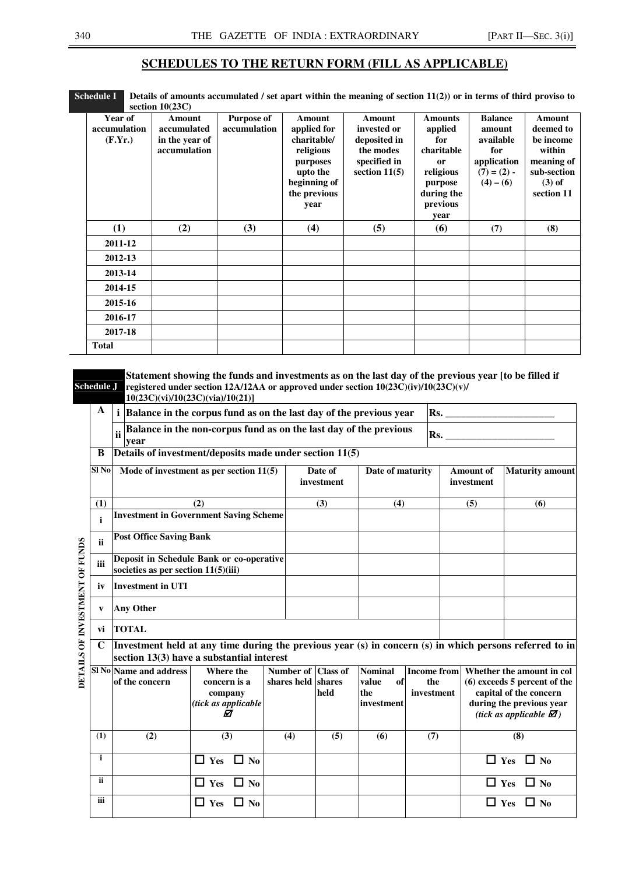#### **SCHEDULES TO THE RETURN FORM (FILL AS APPLICABLE)**

| Schedule $I$ Details of amounts accumulated / set apart within the meaning of section $11(2)$ ) or in terms of third proviso to |  |
|---------------------------------------------------------------------------------------------------------------------------------|--|
| section $10(23C)$                                                                                                               |  |

| Year of<br>accumulation<br>(F.Yr.) | $\frac{1}{2}$<br>Amount<br>accumulated<br>in the year of<br>accumulation | <b>Purpose of</b><br>accumulation | Amount<br>applied for<br>charitable/<br>religious | Amount<br>invested or<br>deposited in<br>the modes | <b>Amounts</b><br>applied<br>for<br>charitable | <b>Balance</b><br>amount<br>available<br>for | Amount<br>deemed to<br>be income<br>within |
|------------------------------------|--------------------------------------------------------------------------|-----------------------------------|---------------------------------------------------|----------------------------------------------------|------------------------------------------------|----------------------------------------------|--------------------------------------------|
|                                    |                                                                          |                                   | purposes<br>upto the<br>beginning of              | specified in<br>section $11(5)$                    | <b>or</b><br>religious                         | application<br>$(7) = (2) -$                 | meaning of<br>sub-section<br>$(3)$ of      |
|                                    |                                                                          |                                   | the previous                                      |                                                    | purpose<br>during the                          | $(4) - (6)$                                  | section 11                                 |
|                                    |                                                                          |                                   | year                                              |                                                    | previous<br>year                               |                                              |                                            |
| (1)                                | (2)                                                                      | (3)                               | (4)                                               | (5)                                                | (6)                                            | (7)                                          | (8)                                        |
| 2011-12                            |                                                                          |                                   |                                                   |                                                    |                                                |                                              |                                            |
| 2012-13                            |                                                                          |                                   |                                                   |                                                    |                                                |                                              |                                            |
| 2013-14                            |                                                                          |                                   |                                                   |                                                    |                                                |                                              |                                            |
| 2014-15                            |                                                                          |                                   |                                                   |                                                    |                                                |                                              |                                            |
| 2015-16                            |                                                                          |                                   |                                                   |                                                    |                                                |                                              |                                            |
| 2016-17                            |                                                                          |                                   |                                                   |                                                    |                                                |                                              |                                            |
| 2017-18                            |                                                                          |                                   |                                                   |                                                    |                                                |                                              |                                            |
| <b>Total</b>                       |                                                                          |                                   |                                                   |                                                    |                                                |                                              |                                            |

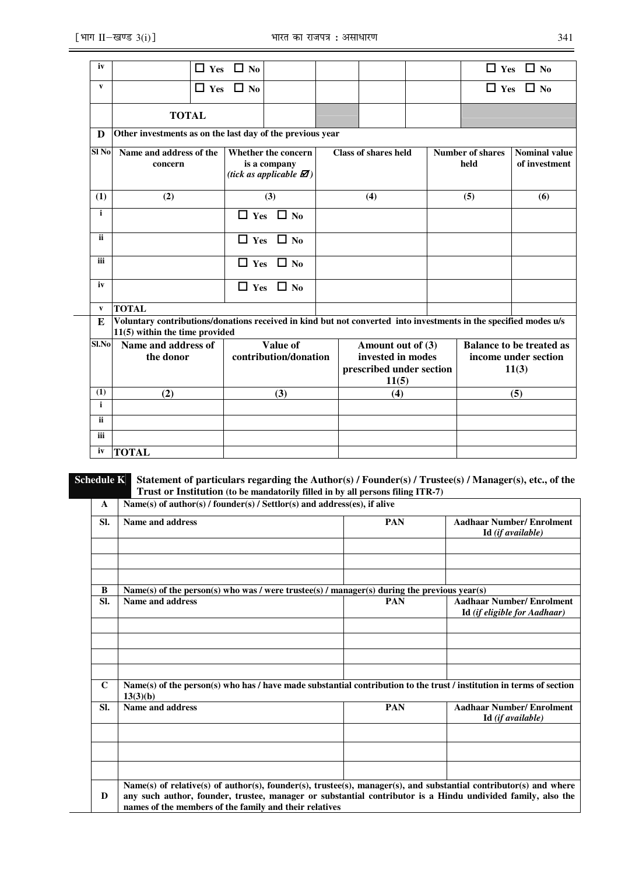| iv           |                                                                                                                                                      | $\Box$ Yes $\Box$ No                                                                       |                             |     |                                                                             |  |                                 | $\Box$ Yes                                                       | $\Box$ No            |  |  |
|--------------|------------------------------------------------------------------------------------------------------------------------------------------------------|--------------------------------------------------------------------------------------------|-----------------------------|-----|-----------------------------------------------------------------------------|--|---------------------------------|------------------------------------------------------------------|----------------------|--|--|
| $\mathbf{v}$ |                                                                                                                                                      | $\Box$ Yes $\Box$ No                                                                       |                             |     |                                                                             |  |                                 |                                                                  | $\Box$ Yes $\Box$ No |  |  |
|              | <b>TOTAL</b>                                                                                                                                         |                                                                                            |                             |     |                                                                             |  |                                 |                                                                  |                      |  |  |
| D            | Other investments as on the last day of the previous year                                                                                            |                                                                                            |                             |     |                                                                             |  |                                 |                                                                  |                      |  |  |
| $SI$ No      | Name and address of the<br>concern                                                                                                                   | <b>Whether the concern</b><br>is a company<br>(tick as applicable $\mathbf{\mathcal{D}}$ ) | <b>Class of shares held</b> |     |                                                                             |  | <b>Number of shares</b><br>held | <b>Nominal value</b><br>of investment                            |                      |  |  |
| (1)          | (2)                                                                                                                                                  | (3)                                                                                        |                             |     | (4)                                                                         |  |                                 | (5)                                                              | (6)                  |  |  |
| $\mathbf{i}$ |                                                                                                                                                      | $\Box$ Yes $\Box$ No                                                                       |                             |     |                                                                             |  |                                 |                                                                  |                      |  |  |
| ii.          |                                                                                                                                                      | $\Box$ No<br>$\Box$ Yes                                                                    |                             |     |                                                                             |  |                                 |                                                                  |                      |  |  |
| iii          |                                                                                                                                                      | $\Box$ Yes $\Box$ No                                                                       |                             |     |                                                                             |  |                                 |                                                                  |                      |  |  |
| iv           |                                                                                                                                                      | $\Box$ Yes $\Box$ No                                                                       |                             |     |                                                                             |  |                                 |                                                                  |                      |  |  |
| $\mathbf{v}$ | <b>TOTAL</b>                                                                                                                                         |                                                                                            |                             |     |                                                                             |  |                                 |                                                                  |                      |  |  |
| E            | Voluntary contributions/donations received in kind but not converted into investments in the specified modes u/s<br>$11(5)$ within the time provided |                                                                                            |                             |     |                                                                             |  |                                 |                                                                  |                      |  |  |
| Sl.No        | Name and address of<br>the donor                                                                                                                     | Value of<br>contribution/donation                                                          |                             |     | Amount out of (3)<br>invested in modes<br>prescribed under section<br>11(5) |  |                                 | <b>Balance to be treated as</b><br>income under section<br>11(3) |                      |  |  |
| (1)          | (3)<br>(2)                                                                                                                                           |                                                                                            |                             | (4) |                                                                             |  |                                 | (5)                                                              |                      |  |  |
| i            |                                                                                                                                                      |                                                                                            |                             |     |                                                                             |  |                                 |                                                                  |                      |  |  |
| <b>ii</b>    |                                                                                                                                                      |                                                                                            |                             |     |                                                                             |  |                                 |                                                                  |                      |  |  |
| iii          |                                                                                                                                                      |                                                                                            |                             |     |                                                                             |  |                                 |                                                                  |                      |  |  |
| iv           | <b>TOTAL</b>                                                                                                                                         |                                                                                            |                             |     |                                                                             |  |                                 |                                                                  |                      |  |  |

#### **Schedule K Statement of particulars regarding the Author(s) / Founder(s) / Trustee(s) / Manager(s), etc., of the Trust or Institution (to be mandatorily filled in by all persons filing ITR-7)** ٦

**A Name(s) of author(s) / founder(s) / Settlor(s) and address(es), if alive** 

| SI.         | Name and address                                                                                                                                                                                                                                                                           | <b>PAN</b> | <b>Aadhaar Number/Enrolment</b>                                        |
|-------------|--------------------------------------------------------------------------------------------------------------------------------------------------------------------------------------------------------------------------------------------------------------------------------------------|------------|------------------------------------------------------------------------|
|             |                                                                                                                                                                                                                                                                                            |            | Id (if available)                                                      |
|             |                                                                                                                                                                                                                                                                                            |            |                                                                        |
| B           | Name(s) of the person(s) who was / were trustee(s) / manager(s) during the previous year(s)                                                                                                                                                                                                |            |                                                                        |
| SI.         | Name and address                                                                                                                                                                                                                                                                           | <b>PAN</b> | <b>Aadhaar Number/Enrolment</b><br><b>Id</b> (if eligible for Aadhaar) |
|             |                                                                                                                                                                                                                                                                                            |            |                                                                        |
| $\mathbf C$ | Name(s) of the person(s) who has / have made substantial contribution to the trust / institution in terms of section<br>13(3)(b)                                                                                                                                                           |            |                                                                        |
| SI.         | <b>Name and address</b>                                                                                                                                                                                                                                                                    | <b>PAN</b> | <b>Aadhaar Number/ Enrolment</b><br>Id (if available)                  |
|             |                                                                                                                                                                                                                                                                                            |            |                                                                        |
|             |                                                                                                                                                                                                                                                                                            |            |                                                                        |
| D           | Name(s) of relative(s) of author(s), founder(s), trustee(s), manager(s), and substantial contributor(s) and where<br>any such author, founder, trustee, manager or substantial contributor is a Hindu undivided family, also the<br>names of the members of the family and their relatives |            |                                                                        |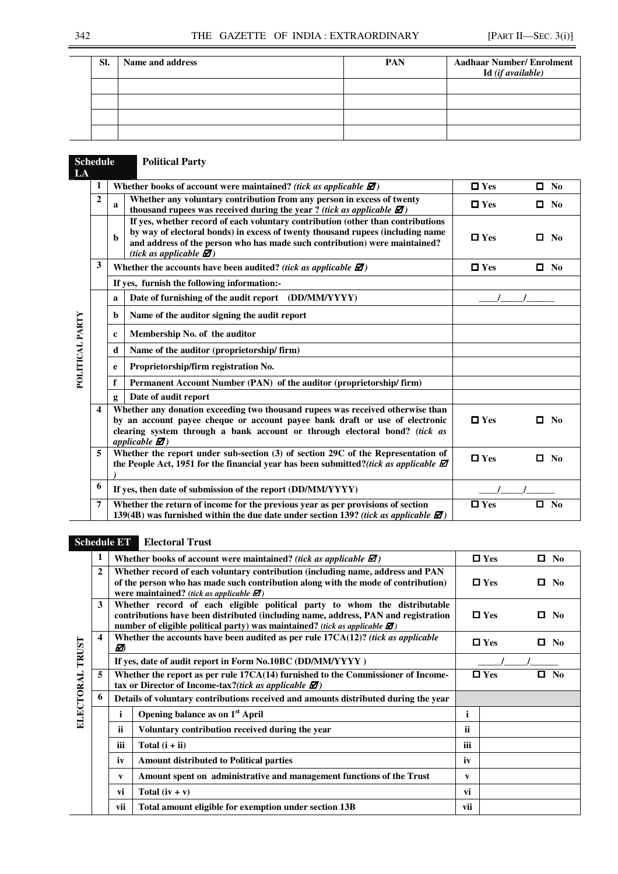| SI. | Name and address | PAN | <b>Aadhaar Number/Enrolment</b><br>Id (if available) |
|-----|------------------|-----|------------------------------------------------------|
|     |                  |     |                                                      |
|     |                  |     |                                                      |
|     |                  |     |                                                      |
|     |                  |     |                                                      |

|                 | <b>Schedule</b><br>LA |              | <b>Political Party</b>                                                                                                                                                                                                                                                                          |            |           |                |
|-----------------|-----------------------|--------------|-------------------------------------------------------------------------------------------------------------------------------------------------------------------------------------------------------------------------------------------------------------------------------------------------|------------|-----------|----------------|
|                 | 1                     |              | Whether books of account were maintained? (tick as applicable $\mathbf{\mathcal{D}}$ )                                                                                                                                                                                                          | $\Box$ Yes | $\Box$ No |                |
|                 | $\overline{2}$        | a            | Whether any voluntary contribution from any person in excess of twenty<br>thousand rupees was received during the year? (tick as applicable $\mathbb{Z}$ )                                                                                                                                      | $\Box$ Yes | $\Box$ No |                |
|                 |                       | $\mathbf{h}$ | If yes, whether record of each voluntary contribution (other than contributions<br>by way of electoral bonds) in excess of twenty thousand rupees (including name<br>and address of the person who has made such contribution) were maintained?<br>(tick as applicable $\mathbf{\varnothing}$ ) | $\Box$ Yes | О         | No.            |
|                 | 3                     |              | Whether the accounts have been audited? (tick as applicable $\mathbf{\mathcal{Z}}$ )                                                                                                                                                                                                            | $\Box$ Yes | $\Box$ No |                |
|                 |                       |              | If yes, furnish the following information:-                                                                                                                                                                                                                                                     |            |           |                |
|                 |                       | a            | Date of furnishing of the audit report (DD/MM/YYYY)                                                                                                                                                                                                                                             |            |           |                |
|                 |                       | b.           | Name of the auditor signing the audit report                                                                                                                                                                                                                                                    |            |           |                |
| POLITICAL PARTY |                       | $\mathbf c$  | Membership No. of the auditor                                                                                                                                                                                                                                                                   |            |           |                |
|                 |                       | d            | Name of the auditor (proprietorship/firm)                                                                                                                                                                                                                                                       |            |           |                |
|                 |                       | e            | Proprietorship/firm registration No.                                                                                                                                                                                                                                                            |            |           |                |
|                 |                       | f            | Permanent Account Number (PAN) of the auditor (proprietorship/firm)                                                                                                                                                                                                                             |            |           |                |
|                 |                       | g            | Date of audit report                                                                                                                                                                                                                                                                            |            |           |                |
|                 | 4                     |              | Whether any donation exceeding two thousand rupees was received otherwise than<br>by an account payee cheque or account payee bank draft or use of electronic<br>clearing system through a bank account or through electoral bond? (tick as<br>applicable $\mathbf{\mathcal{D}}$ )              | $\Box$ Yes | п         | N <sub>0</sub> |
|                 | 5                     |              | Whether the report under sub-section (3) of section 29C of the Representation of<br>the People Act, 1951 for the financial year has been submitted?(tick as applicable $\Box$                                                                                                                   | $\Box$ Yes | $\Box$ No |                |
|                 | 6                     |              | If yes, then date of submission of the report (DD/MM/YYYY)                                                                                                                                                                                                                                      |            |           |                |
|                 | 7                     |              | Whether the return of income for the previous year as per provisions of section<br>139(4B) was furnished within the due date under section 139? (tick as applicable $\Box$ )                                                                                                                    | $\Box$ Yes | п         | N <sub>0</sub> |

# **Schedule ET Electoral Trust**

 $\overline{a}$ L,

|                 | 1 |             | Whether books of account were maintained? (tick as applicable $\mathbf{\mathcal{D}}$ )                                                                                                                                                                   |              | $\Box$ Yes | П. | No             |
|-----------------|---|-------------|----------------------------------------------------------------------------------------------------------------------------------------------------------------------------------------------------------------------------------------------------------|--------------|------------|----|----------------|
|                 | 2 |             | Whether record of each voluntary contribution (including name, address and PAN<br>of the person who has made such contribution along with the mode of contribution)<br>were maintained? (tick as applicable $\mathbf{\mathcal{D}}$ )                     |              | $\Box$ Yes | П  | N <sub>0</sub> |
|                 | 3 |             | Whether record of each eligible political party to whom the distributable<br>contributions have been distributed (including name, address, PAN and registration<br>number of eligible political party) was maintained? (tick as applicable $\mathbb Z$ ) |              | $\Box$ Yes | О  | N <sub>0</sub> |
|                 | 4 | ☑           | Whether the accounts have been audited as per rule $17CA(12)$ ? (tick as applicable                                                                                                                                                                      |              | $\Box$ Yes | 0  | No.            |
|                 |   |             | If yes, date of audit report in Form No.10BC (DD/MM/YYYY)                                                                                                                                                                                                |              |            |    |                |
| ELECTORAL TRUST | 5 |             | Whether the report as per rule 17CA(14) furnished to the Commissioner of Income-<br>tax or Director of Income-tax?(tick as applicable $\Box$ )                                                                                                           |              | $\Box$ Yes | п  | No             |
|                 | 6 |             | Details of voluntary contributions received and amounts distributed during the year                                                                                                                                                                      |              |            |    |                |
|                 |   | $\mathbf i$ | Opening balance as on 1 <sup>st</sup> April                                                                                                                                                                                                              | i            |            |    |                |
|                 |   | <b>ii</b>   | Voluntary contribution received during the year                                                                                                                                                                                                          | ii           |            |    |                |
|                 |   | iii         | Total $(i + ii)$                                                                                                                                                                                                                                         | iii          |            |    |                |
|                 |   | iv          | <b>Amount distributed to Political parties</b>                                                                                                                                                                                                           | iv           |            |    |                |
|                 |   | V           | Amount spent on administrative and management functions of the Trust                                                                                                                                                                                     | $\mathbf{v}$ |            |    |                |
|                 |   | vi          | Total $(iv + v)$                                                                                                                                                                                                                                         | vi           |            |    |                |
|                 |   | vii         | Total amount eligible for exemption under section 13B                                                                                                                                                                                                    | vii          |            |    |                |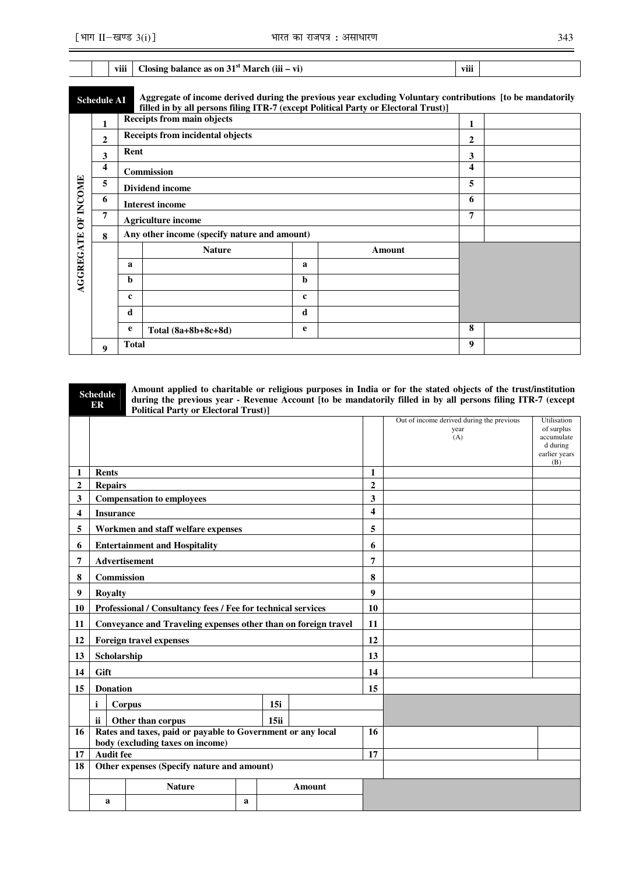|                                                                                                                                                                                                                       |             | viii         | Closing balance as on $31st March (iii - vi)$ |             |        | viii |  |  |  |  |  |
|-----------------------------------------------------------------------------------------------------------------------------------------------------------------------------------------------------------------------|-------------|--------------|-----------------------------------------------|-------------|--------|------|--|--|--|--|--|
| Aggregate of income derived during the previous year excluding Voluntary contributions [to be mandatorily<br><b>Schedule AI</b><br>filled in by all persons filing ITR-7 (except Political Party or Electoral Trust)] |             |              |                                               |             |        |      |  |  |  |  |  |
|                                                                                                                                                                                                                       | 1           |              | <b>Receipts from main objects</b>             | 1           |        |      |  |  |  |  |  |
|                                                                                                                                                                                                                       | $\mathbf 2$ |              | <b>Receipts from incidental objects</b>       |             |        | 2    |  |  |  |  |  |
|                                                                                                                                                                                                                       | 3           | Rent         |                                               | 3           |        |      |  |  |  |  |  |
|                                                                                                                                                                                                                       | 4           |              | Commission                                    | 4           |        |      |  |  |  |  |  |
|                                                                                                                                                                                                                       | 5           |              | <b>Dividend income</b>                        | 5           |        |      |  |  |  |  |  |
|                                                                                                                                                                                                                       | 6           |              | <b>Interest income</b>                        | 6           |        |      |  |  |  |  |  |
| <b>OF INCOME</b>                                                                                                                                                                                                      | 7           |              | <b>Agriculture income</b>                     | 7           |        |      |  |  |  |  |  |
|                                                                                                                                                                                                                       | 8           |              | Any other income (specify nature and amount)  |             |        |      |  |  |  |  |  |
| <b>AGGREGATE</b>                                                                                                                                                                                                      |             |              | <b>Nature</b>                                 |             | Amount |      |  |  |  |  |  |
|                                                                                                                                                                                                                       |             | a            |                                               | a           |        |      |  |  |  |  |  |
|                                                                                                                                                                                                                       |             | b            |                                               | b           |        |      |  |  |  |  |  |
|                                                                                                                                                                                                                       |             | $\mathbf c$  |                                               | $\mathbf c$ |        |      |  |  |  |  |  |
|                                                                                                                                                                                                                       |             | d            |                                               | d           |        |      |  |  |  |  |  |
|                                                                                                                                                                                                                       |             | e            | Total $(8a+8b+8c+8d)$                         | e           |        | 8    |  |  |  |  |  |
|                                                                                                                                                                                                                       | 9           | <b>Total</b> |                                               |             |        | 9    |  |  |  |  |  |

|                | <b>Schedule</b><br>ER | <b>Political Party or Electoral Trust)]</b>                                                     |   |      |        |                         | Amount applied to charitable or religious purposes in India or for the stated objects of the trust/institution<br>during the previous year - Revenue Account [to be mandatorily filled in by all persons filing ITR-7 (except |                                                                             |
|----------------|-----------------------|-------------------------------------------------------------------------------------------------|---|------|--------|-------------------------|-------------------------------------------------------------------------------------------------------------------------------------------------------------------------------------------------------------------------------|-----------------------------------------------------------------------------|
|                |                       |                                                                                                 |   |      |        |                         | Out of income derived during the previous<br>year<br>(A)                                                                                                                                                                      | Utilisation<br>of surplus<br>accumulate<br>d during<br>earlier years<br>(B) |
| 1              | <b>Rents</b>          |                                                                                                 |   |      |        | 1                       |                                                                                                                                                                                                                               |                                                                             |
| $\overline{2}$ | <b>Repairs</b>        |                                                                                                 |   |      |        | $\overline{2}$          |                                                                                                                                                                                                                               |                                                                             |
| 3              |                       | <b>Compensation to employees</b>                                                                |   |      |        | 3                       |                                                                                                                                                                                                                               |                                                                             |
| 4              | <b>Insurance</b>      |                                                                                                 |   |      |        | $\overline{\mathbf{4}}$ |                                                                                                                                                                                                                               |                                                                             |
| 5              |                       | Workmen and staff welfare expenses                                                              |   |      |        | 5                       |                                                                                                                                                                                                                               |                                                                             |
| 6              |                       | <b>Entertainment and Hospitality</b>                                                            |   |      |        | 6                       |                                                                                                                                                                                                                               |                                                                             |
| 7              | Advertisement         |                                                                                                 |   |      |        | 7                       |                                                                                                                                                                                                                               |                                                                             |
| 8              | <b>Commission</b>     |                                                                                                 |   |      |        | 8                       |                                                                                                                                                                                                                               |                                                                             |
| 9              | <b>Royalty</b>        |                                                                                                 |   |      |        | $\boldsymbol{9}$        |                                                                                                                                                                                                                               |                                                                             |
| 10             |                       | Professional / Consultancy fees / Fee for technical services                                    |   |      |        | 10                      |                                                                                                                                                                                                                               |                                                                             |
| 11             |                       | Conveyance and Traveling expenses other than on foreign travel                                  |   |      |        | 11                      |                                                                                                                                                                                                                               |                                                                             |
| 12             |                       | Foreign travel expenses                                                                         |   |      |        | 12                      |                                                                                                                                                                                                                               |                                                                             |
| 13             | Scholarship           |                                                                                                 |   |      |        | 13                      |                                                                                                                                                                                                                               |                                                                             |
| 14             | Gift                  |                                                                                                 |   |      |        | 14                      |                                                                                                                                                                                                                               |                                                                             |
| 15             | <b>Donation</b>       |                                                                                                 |   |      |        | 15                      |                                                                                                                                                                                                                               |                                                                             |
|                | i.                    | Corpus                                                                                          |   | 15i  |        |                         |                                                                                                                                                                                                                               |                                                                             |
|                | ii                    | Other than corpus                                                                               |   | 15ii |        |                         |                                                                                                                                                                                                                               |                                                                             |
| 16             |                       | Rates and taxes, paid or payable to Government or any local<br>body (excluding taxes on income) |   |      |        | 16                      |                                                                                                                                                                                                                               |                                                                             |
| 17             | <b>Audit fee</b>      |                                                                                                 |   |      | 17     |                         |                                                                                                                                                                                                                               |                                                                             |
| 18             |                       | Other expenses (Specify nature and amount)                                                      |   |      |        |                         |                                                                                                                                                                                                                               |                                                                             |
|                |                       | <b>Nature</b>                                                                                   |   |      | Amount |                         |                                                                                                                                                                                                                               |                                                                             |
|                | a                     |                                                                                                 | a |      |        |                         |                                                                                                                                                                                                                               |                                                                             |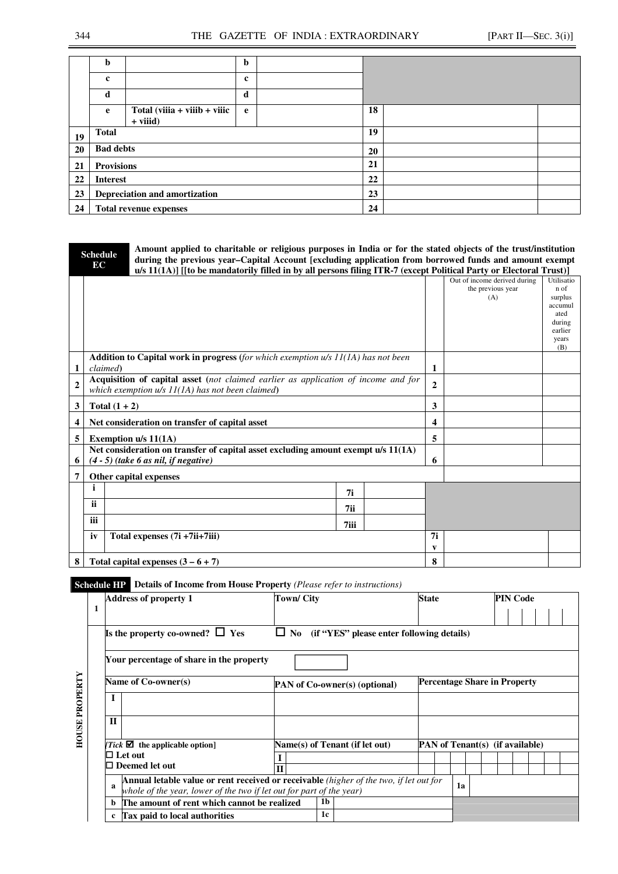|    | b                 |                                 | b           |    |  |
|----|-------------------|---------------------------------|-------------|----|--|
|    | $\bf c$           |                                 | $\mathbf c$ |    |  |
|    | d                 |                                 | d           |    |  |
|    | e                 | $Total (viiia + viiib + viiic)$ | e           | 18 |  |
|    |                   | $+$ viiid)                      |             |    |  |
| 19 | <b>Total</b>      |                                 |             | 19 |  |
| 20 | <b>Bad debts</b>  |                                 |             | 20 |  |
| 21 | <b>Provisions</b> |                                 |             | 21 |  |
| 22 | <b>Interest</b>   |                                 |             | 22 |  |
| 23 |                   | Depreciation and amortization   |             | 23 |  |
| 24 |                   | <b>Total revenue expenses</b>   |             | 24 |  |

|                | <b>Schedule</b> |                 | Amount applied to charitable or religious purposes in India or for the stated objects of the trust/institution     |      |              |                              |                |
|----------------|-----------------|-----------------|--------------------------------------------------------------------------------------------------------------------|------|--------------|------------------------------|----------------|
|                | EC              |                 | during the previous year-Capital Account [excluding application from borrowed funds and amount exempt              |      |              |                              |                |
|                |                 |                 | u/s 11(1A)] [[to be mandatorily filled in by all persons filing ITR-7 (except Political Party or Electoral Trust)] |      |              |                              |                |
|                |                 |                 |                                                                                                                    |      |              | Out of income derived during | Utilisatio     |
|                |                 |                 |                                                                                                                    |      |              | the previous year            | n of           |
|                |                 |                 |                                                                                                                    |      |              | (A)                          | surplus        |
|                |                 |                 |                                                                                                                    |      |              |                              | accumul        |
|                |                 |                 |                                                                                                                    |      |              |                              | ated<br>during |
|                |                 |                 |                                                                                                                    |      |              |                              | earlier        |
|                |                 |                 |                                                                                                                    |      |              |                              | years          |
|                |                 |                 |                                                                                                                    |      |              |                              | (B)            |
|                |                 |                 | <b>Addition to Capital work in progress</b> (for which exemption $u/s$ 11(1A) has not been                         |      |              |                              |                |
| 1              |                 | claimed)        |                                                                                                                    |      | 1            |                              |                |
|                |                 |                 | Acquisition of capital asset (not claimed earlier as application of income and for                                 |      |              |                              |                |
| $\overline{2}$ |                 |                 | which exemption $u/s$ $11(1A)$ has not been claimed)                                                               |      | $\mathbf{2}$ |                              |                |
| 3              |                 | Total $(1 + 2)$ |                                                                                                                    |      | 3            |                              |                |
| 4              |                 |                 | Net consideration on transfer of capital asset                                                                     |      | 4            |                              |                |
| 5              |                 |                 | Exemption u/s 11(1A)                                                                                               |      | 5            |                              |                |
|                |                 |                 | Net consideration on transfer of capital asset excluding amount exempt u/s 11(1A)                                  |      |              |                              |                |
| 6              |                 |                 | $(4-5)$ (take 6 as nil, if negative)                                                                               |      | 6            |                              |                |
|                |                 |                 |                                                                                                                    |      |              |                              |                |
| 7              |                 |                 | Other capital expenses                                                                                             |      |              |                              |                |
|                |                 |                 |                                                                                                                    | 7i   |              |                              |                |
|                | <b>ii</b>       |                 |                                                                                                                    | 7ii  |              |                              |                |
|                |                 |                 |                                                                                                                    |      |              |                              |                |
|                | iii             |                 |                                                                                                                    | 7iii |              |                              |                |
|                | iv              |                 | Total expenses (7i +7ii+7iii)                                                                                      |      | 7i           |                              |                |
|                |                 |                 |                                                                                                                    |      | V            |                              |                |
| 8              |                 |                 | Total capital expenses $(3-6+7)$                                                                                   | 8    |              |                              |                |

# **Schedule HP Details of Income from House Property** *(Please refer to instructions)*

|                       |   | <b>Address of property 1</b>                                                                | Town/ City   |                                                                                        | <b>State</b> |  |                                        |                                     | <b>PIN Code</b> |  |  |  |  |
|-----------------------|---|---------------------------------------------------------------------------------------------|--------------|----------------------------------------------------------------------------------------|--------------|--|----------------------------------------|-------------------------------------|-----------------|--|--|--|--|
|                       | 1 |                                                                                             |              |                                                                                        |              |  |                                        |                                     |                 |  |  |  |  |
|                       |   | Is the property co-owned? $\Box$ Yes<br>$\Box$ No (if "YES" please enter following details) |              |                                                                                        |              |  |                                        |                                     |                 |  |  |  |  |
| <b>HOUSE PROPERTY</b> |   | Your percentage of share in the property                                                    |              |                                                                                        |              |  |                                        |                                     |                 |  |  |  |  |
|                       |   | Name of Co-owner(s)                                                                         |              | <b>PAN</b> of Co-owner(s) (optional)                                                   |              |  |                                        | <b>Percentage Share in Property</b> |                 |  |  |  |  |
|                       |   |                                                                                             |              |                                                                                        |              |  |                                        |                                     |                 |  |  |  |  |
|                       |   | $\mathbf{H}$                                                                                |              |                                                                                        |              |  |                                        |                                     |                 |  |  |  |  |
|                       |   | Tick $\blacksquare$ the applicable option                                                   |              | Name(s) of Tenant (if let out)                                                         |              |  | <b>PAN</b> of Tenant(s) (if available) |                                     |                 |  |  |  |  |
|                       |   | $\Box$ Let out                                                                              |              |                                                                                        |              |  |                                        |                                     |                 |  |  |  |  |
|                       |   | $\Box$ Deemed let out                                                                       | $\mathbf{I}$ |                                                                                        |              |  |                                        |                                     |                 |  |  |  |  |
|                       |   | я<br>whole of the year, lower of the two if let out for part of the year)                   |              | Annual letable value or rent received or receivable (higher of the two, if let out for |              |  | 1a                                     |                                     |                 |  |  |  |  |
|                       |   | The amount of rent which cannot be realized                                                 |              | 1b                                                                                     |              |  |                                        |                                     |                 |  |  |  |  |
|                       |   | <b>Tax paid to local authorities</b>                                                        |              | 1c                                                                                     |              |  |                                        |                                     |                 |  |  |  |  |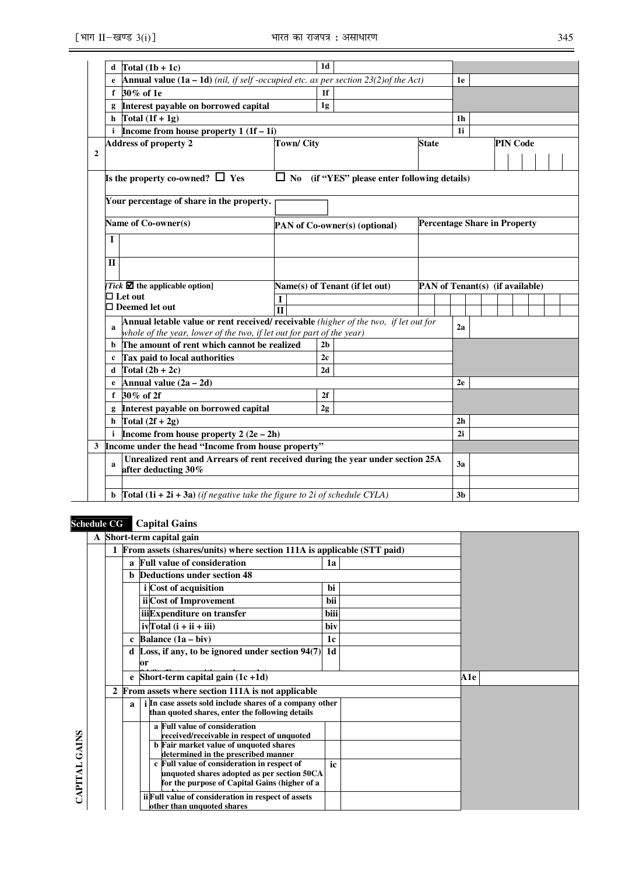|              | Total $(1b + 1c)$<br>d                                                                                                |                  | 1 <sub>d</sub>                                                                       |                                                     |                                     |                |  |                 |  |
|--------------|-----------------------------------------------------------------------------------------------------------------------|------------------|--------------------------------------------------------------------------------------|-----------------------------------------------------|-------------------------------------|----------------|--|-----------------|--|
|              | <b>Annual value (1a – 1d)</b> (nil, if self-occupied etc. as per section $23(2)$ of the Act)<br>e                     |                  |                                                                                      |                                                     |                                     | 1e             |  |                 |  |
|              | 30% of 1e<br>f                                                                                                        |                  | 1f                                                                                   |                                                     |                                     |                |  |                 |  |
|              | Interest payable on borrowed capital<br>g                                                                             |                  | 1g                                                                                   |                                                     |                                     |                |  |                 |  |
|              | Total $(1f + 1g)$<br>h                                                                                                |                  |                                                                                      |                                                     |                                     | 1 <sub>h</sub> |  |                 |  |
|              | Income from house property $1(1f-1i)$<br>i                                                                            |                  |                                                                                      |                                                     |                                     | 1i             |  |                 |  |
|              | <b>Address of property 2</b>                                                                                          | <b>Town/City</b> |                                                                                      |                                                     | <b>State</b>                        |                |  | <b>PIN Code</b> |  |
| $\mathbf{2}$ |                                                                                                                       |                  |                                                                                      |                                                     |                                     |                |  |                 |  |
|              | Is the property co-owned? $\Box$ Yes                                                                                  |                  |                                                                                      | $\Box$ No (if "YES" please enter following details) |                                     |                |  |                 |  |
|              | Your percentage of share in the property.                                                                             |                  |                                                                                      |                                                     |                                     |                |  |                 |  |
|              | Name of Co-owner(s)                                                                                                   |                  |                                                                                      | <b>PAN</b> of Co-owner(s) (optional)                | <b>Percentage Share in Property</b> |                |  |                 |  |
|              | L                                                                                                                     |                  |                                                                                      |                                                     |                                     |                |  |                 |  |
|              | П                                                                                                                     |                  |                                                                                      |                                                     |                                     |                |  |                 |  |
|              | Tick $\blacksquare$ the applicable option]                                                                            |                  |                                                                                      | Name(s) of Tenant (if let out)                      | PAN of Tenant(s) (if available)     |                |  |                 |  |
|              | $\Box$ Let out                                                                                                        |                  |                                                                                      |                                                     |                                     |                |  |                 |  |
|              | $\Box$ Deemed let out                                                                                                 | $\mathbf{H}$     |                                                                                      |                                                     |                                     |                |  |                 |  |
|              | a<br>whole of the year, lower of the two, if let out for part of the year)                                            |                  | Annual letable value or rent received/ receivable (higher of the two, if let out for |                                                     |                                     |                |  |                 |  |
|              | The amount of rent which cannot be realized<br>b                                                                      |                  | 2 <sub>b</sub>                                                                       |                                                     |                                     |                |  |                 |  |
|              | Tax paid to local authorities<br>c                                                                                    |                  | 2 <sub>c</sub>                                                                       |                                                     |                                     |                |  |                 |  |
|              | Total $(2b + 2c)$<br>d                                                                                                |                  | 2d                                                                                   |                                                     |                                     |                |  |                 |  |
|              | Annual value $(2a - 2d)$<br>e                                                                                         |                  |                                                                                      |                                                     |                                     | 2e             |  |                 |  |
|              | 30% of 2f<br>f                                                                                                        |                  | 2f                                                                                   |                                                     |                                     |                |  |                 |  |
|              | Interest payable on borrowed capital<br>g                                                                             |                  | 2g                                                                                   |                                                     |                                     |                |  |                 |  |
|              | Total $(2f + 2g)$<br>h                                                                                                |                  |                                                                                      |                                                     |                                     | 2 <sub>h</sub> |  |                 |  |
|              | Income from house property $2(2e-2h)$<br>j.                                                                           |                  |                                                                                      |                                                     |                                     | 2i             |  |                 |  |
|              | 3 Income under the head "Income from house property"                                                                  |                  |                                                                                      |                                                     |                                     |                |  |                 |  |
|              | Unrealized rent and Arrears of rent received during the year under section 25A<br>$\mathbf{a}$<br>after deducting 30% |                  |                                                                                      |                                                     |                                     | 3a             |  |                 |  |
|              |                                                                                                                       |                  |                                                                                      |                                                     |                                     |                |  |                 |  |
|              | <b>Total (1i + 2i + 3a)</b> (if negative take the figure to 2i of schedule CYLA)<br>b                                 |                  |                                                                                      |                                                     |                                     | 3 <sub>b</sub> |  |                 |  |

# **Schedule CG Capital Gains**

|               |              |              | A Short-term capital gain                                                                                  |      |     |
|---------------|--------------|--------------|------------------------------------------------------------------------------------------------------------|------|-----|
|               |              |              | From assets (shares/units) where section 111A is applicable (STT paid)                                     |      |     |
|               |              | a            | <b>Full value of consideration</b>                                                                         | 1a   |     |
|               |              |              | <b>Deductions under section 48</b>                                                                         |      |     |
|               |              |              | i Cost of acquisition                                                                                      | bi   |     |
|               |              |              | ii Cost of Improvement                                                                                     | bii  |     |
|               |              |              | iiiExpenditure on transfer                                                                                 | biii |     |
|               |              |              | $ivTotal(i + ii + iii)$                                                                                    | biv  |     |
|               |              | $\mathbf{c}$ | Balance $(1a - biv)$                                                                                       | 1c   |     |
|               |              |              | d Loss, if any, to be ignored under section $\overline{94(7)}$ 1d<br>or                                    |      |     |
|               |              |              | e Short-term capital gain $(1c + 1d)$                                                                      |      | A1e |
|               | $\mathbf{2}$ |              | From assets where section 111A is not applicable                                                           |      |     |
|               |              | $\mathbf{a}$ | i In case assets sold include shares of a company other<br>than quoted shares, enter the following details |      |     |
|               |              |              | a Full value of consideration<br>received/receivable in respect of unquoted                                |      |     |
|               |              |              | <b>b</b> Fair market value of unquoted shares<br>determined in the prescribed manner                       |      |     |
| CAPITAL GAINS |              |              | c Full value of consideration in respect of<br>unquoted shares adopted as per section 50CA                 | ic   |     |
|               |              |              | for the purpose of Capital Gains (higher of a                                                              |      |     |
|               |              |              | ii Full value of consideration in respect of assets<br>other than unquoted shares                          |      |     |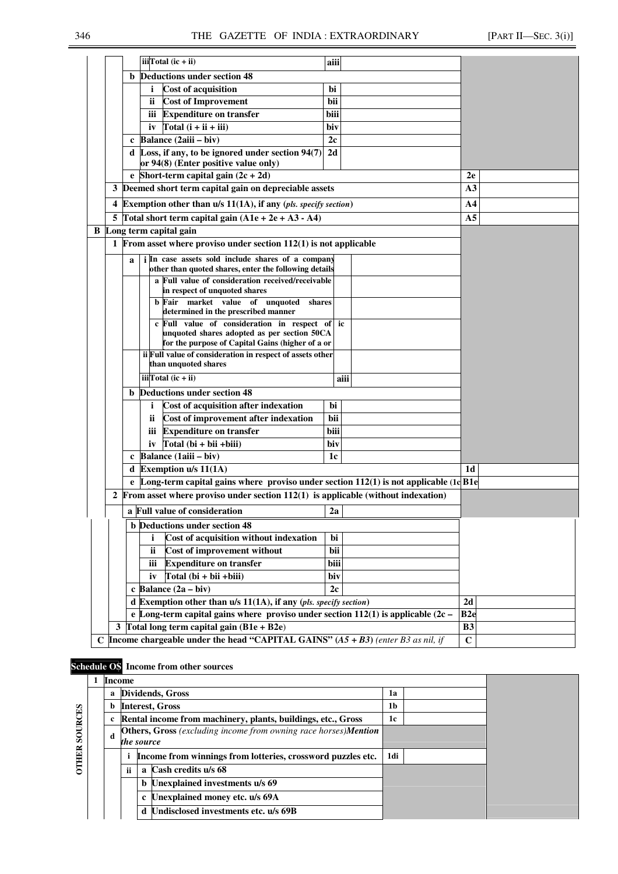|                                               |             | iii <sup>T</sup> otal $(ic + ii)$                                                                             | aiii            |                |
|-----------------------------------------------|-------------|---------------------------------------------------------------------------------------------------------------|-----------------|----------------|
|                                               |             | <b>b</b> Deductions under section 48                                                                          |                 |                |
|                                               |             | <b>Cost of acquisition</b>                                                                                    | bi              |                |
|                                               |             | <b>Cost of Improvement</b><br>ii.                                                                             | bii             |                |
|                                               |             | <b>Expenditure on transfer</b><br>iii                                                                         | biii            |                |
|                                               |             | Total $(i + ii + iii)$<br>iv                                                                                  | biv             |                |
|                                               | $\mathbf c$ | Balance (2aiii - biv)                                                                                         | 2c              |                |
|                                               |             | d Loss, if any, to be ignored under section $94(7)$                                                           | 2d              |                |
|                                               |             | or 94(8) (Enter positive value only)                                                                          |                 |                |
|                                               |             | e Short-term capital gain $(2c + 2d)$                                                                         |                 | 2e             |
| 3                                             |             | Deemed short term capital gain on depreciable assets                                                          |                 | A <sub>3</sub> |
| 4                                             |             | Exemption other than $u/s$ 11(1A), if any (pls. specify section)                                              |                 | A <sub>4</sub> |
|                                               |             | 5 Total short term capital gain $(A1e + 2e + A3 - A4)$                                                        |                 | A <sub>5</sub> |
|                                               |             | <b>B</b> Long term capital gain                                                                               |                 |                |
|                                               |             | 1 From asset where proviso under section $112(1)$ is not applicable                                           |                 |                |
|                                               | a           | <i>i</i> In case assets sold include shares of a company                                                      |                 |                |
|                                               |             | other than quoted shares, enter the following details                                                         |                 |                |
|                                               |             | a Full value of consideration received/receivable<br>in respect of unquoted shares                            |                 |                |
|                                               |             | b Fair market value of unquoted<br>shares                                                                     |                 |                |
|                                               |             | determined in the prescribed manner                                                                           |                 |                |
|                                               |             | c Full value of consideration in respect of ic                                                                |                 |                |
|                                               |             | unquoted shares adopted as per section 50CA                                                                   |                 |                |
|                                               |             | for the purpose of Capital Gains (higher of a or<br>ii Full value of consideration in respect of assets other |                 |                |
|                                               |             | than unquoted shares                                                                                          |                 |                |
|                                               |             | iii <sup>T</sup> otal $(ic + ii)$                                                                             | aiii            |                |
|                                               |             | <b>b</b> Deductions under section 48                                                                          |                 |                |
|                                               |             | Cost of acquisition after indexation<br>i.                                                                    | bi              |                |
|                                               |             | Cost of improvement after indexation<br>ii.                                                                   | bii             |                |
|                                               |             | <b>Expenditure on transfer</b><br>iii                                                                         | biii            |                |
|                                               |             | $Total (bi + bii + biii)$<br>iv                                                                               | biv             |                |
|                                               |             | c Balance $(1aiii - biv)$                                                                                     | 1c              |                |
|                                               |             | d Exemption $u/s$ 11(1A)                                                                                      |                 | 1d             |
|                                               |             | e Long-term capital gains where proviso under section $112(1)$ is not applicable $(1dBIe)$                    |                 |                |
| 2                                             |             | From asset where proviso under section $112(1)$ is applicable (without indexation)                            |                 |                |
|                                               |             | a Full value of consideration                                                                                 | 2a              |                |
|                                               |             | <b>b</b> Deductions under section 48                                                                          |                 |                |
|                                               |             | Cost of acquisition without indexation<br>i                                                                   | bi              |                |
| bii<br>ii<br>Cost of improvement without      |             |                                                                                                               |                 |                |
| <b>Expenditure on transfer</b><br>biii<br>iii |             |                                                                                                               |                 |                |
| Total (bi + bii + biii)<br>biv<br>iv          |             |                                                                                                               |                 |                |
|                                               |             | c Balance $(2a - biv)$                                                                                        | 2c              |                |
|                                               |             | d Exemption other than $u/s 11(1A)$ , if any (pls. specify section)                                           |                 | 2d             |
|                                               |             | e Long-term capital gains where proviso under section $112(1)$ is applicable $(2c -$                          | B <sub>2e</sub> |                |
|                                               |             | 3 Total long term capital gain $(B1e + B2e)$                                                                  |                 | <b>B3</b>      |
|                                               |             | C Income chargeable under the head "CAPITAL GAINS" $(A5 + B3)$ (enter B3 as nil, if                           |                 | $\overline{C}$ |

# **Schedule OS Income from other sources**

*loss)*

|              |   | <b>Income</b> |              |                                                                                |     |  |
|--------------|---|---------------|--------------|--------------------------------------------------------------------------------|-----|--|
|              | a |               |              | Dividends, Gross                                                               | 1a  |  |
|              | b |               |              | <b>Interest, Gross</b>                                                         | 1b  |  |
|              |   |               |              | Rental income from machinery, plants, buildings, etc., Gross                   | 1c  |  |
| SOURCES      | d | the source    |              | <b>Others, Gross</b> (excluding income from owning race horses) <b>Mention</b> |     |  |
| <b>OTHER</b> |   |               |              | Income from winnings from lotteries, crossword puzzles etc.                    | 1di |  |
|              |   | ii.           | $\mathbf{a}$ | Cash credits u/s 68                                                            |     |  |
|              |   |               |              | <b>b</b> Unexplained investments u/s 69                                        |     |  |
|              |   |               |              | c Unexplained money etc. u/s 69A                                               |     |  |
|              |   |               | d            | Undisclosed investments etc. u/s 69B                                           |     |  |
|              |   |               |              |                                                                                |     |  |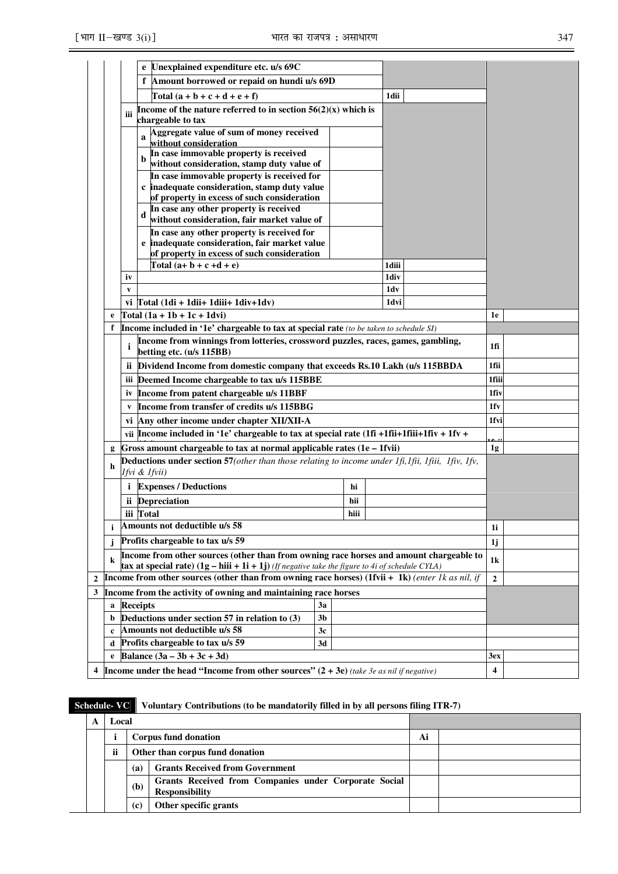|                |                                                                                                                                                                                                                 |                 | e Unexplained expenditure etc. u/s 69C                                                                  |                |      |       |  |                         |  |
|----------------|-----------------------------------------------------------------------------------------------------------------------------------------------------------------------------------------------------------------|-----------------|---------------------------------------------------------------------------------------------------------|----------------|------|-------|--|-------------------------|--|
|                |                                                                                                                                                                                                                 |                 | f Amount borrowed or repaid on hundi u/s 69D                                                            |                |      |       |  |                         |  |
|                |                                                                                                                                                                                                                 |                 | $\text{Total} \left( a + b + c + d + e + f \right)$                                                     |                |      | 1dii  |  |                         |  |
|                |                                                                                                                                                                                                                 | iii             | Income of the nature referred to in section $56(2)(x)$ which is<br>chargeable to tax                    |                |      |       |  |                         |  |
|                |                                                                                                                                                                                                                 | a               | Aggregate value of sum of money received<br>without consideration                                       |                |      |       |  |                         |  |
|                |                                                                                                                                                                                                                 | b               | In case immovable property is received<br>without consideration, stamp duty value of                    |                |      |       |  |                         |  |
|                |                                                                                                                                                                                                                 |                 | In case immovable property is received for<br>c inadequate consideration, stamp duty value              |                |      |       |  |                         |  |
|                |                                                                                                                                                                                                                 | d               | of property in excess of such consideration<br>In case any other property is received                   |                |      |       |  |                         |  |
|                |                                                                                                                                                                                                                 |                 | without consideration, fair market value of<br>In case any other property is received for               |                |      |       |  |                         |  |
|                |                                                                                                                                                                                                                 |                 | e inadequate consideration, fair market value<br>of property in excess of such consideration            |                |      |       |  |                         |  |
|                |                                                                                                                                                                                                                 |                 | Total $(a+b+c+d+e)$                                                                                     |                |      | 1diii |  |                         |  |
|                |                                                                                                                                                                                                                 | iv              |                                                                                                         |                |      | 1div  |  |                         |  |
|                |                                                                                                                                                                                                                 | v               |                                                                                                         |                |      | 1dv   |  |                         |  |
|                |                                                                                                                                                                                                                 |                 | vi $\int \text{Total} (1 \text{di} + 1 \text{dii} + 1 \text{diii} + 1 \text{div} + 1 \text{dv})$        |                |      | 1dvi  |  |                         |  |
|                | e                                                                                                                                                                                                               |                 | Total $(1a + 1b + 1c + 1dv)$                                                                            |                |      |       |  | 1e                      |  |
|                | Income included in '1e' chargeable to tax at special rate (to be taken to schedule SI)<br>f<br>Income from winnings from lotteries, crossword puzzles, races, games, gambling,<br>i<br>betting etc. (u/s 115BB) |                 |                                                                                                         |                |      |       |  | 1fi                     |  |
|                |                                                                                                                                                                                                                 | ij.             | Dividend Income from domestic company that exceeds Rs.10 Lakh (u/s 115BBDA                              |                |      |       |  | 1fii                    |  |
|                |                                                                                                                                                                                                                 | iii             | Deemed Income chargeable to tax u/s 115BBE                                                              |                |      |       |  | 1fiii                   |  |
|                |                                                                                                                                                                                                                 | iv              | Income from patent chargeable u/s 11BBF                                                                 |                |      |       |  | 1fiv                    |  |
|                |                                                                                                                                                                                                                 | $\mathbf{V}$    | Income from transfer of credits u/s 115BBG                                                              |                |      |       |  | 1fv                     |  |
|                |                                                                                                                                                                                                                 |                 | vi Any other income under chapter XII/XII-A                                                             |                |      |       |  | 1fvi                    |  |
|                |                                                                                                                                                                                                                 |                 | vii Income included in '1e' chargeable to tax at special rate $(1fi + 1fii + 1fiii + 1fiv + 1fv +$      |                |      |       |  |                         |  |
|                | g                                                                                                                                                                                                               |                 | Gross amount chargeable to tax at normal applicable rates (1e - 1fvii)                                  |                |      |       |  | 1 <sub>g</sub>          |  |
|                | h                                                                                                                                                                                                               | lfvi & lfvii)   |                                                                                                         |                |      |       |  |                         |  |
|                |                                                                                                                                                                                                                 |                 | <i>i</i> Expenses / Deductions                                                                          |                | hi   |       |  |                         |  |
|                |                                                                                                                                                                                                                 |                 | ii Depreciation                                                                                         |                | hii  |       |  |                         |  |
|                |                                                                                                                                                                                                                 | iii Total       |                                                                                                         |                | hiii |       |  |                         |  |
|                | i                                                                                                                                                                                                               |                 | Amounts not deductible u/s 58                                                                           |                |      |       |  | 1i                      |  |
|                | j                                                                                                                                                                                                               |                 | Profits chargeable to tax u/s 59                                                                        |                |      |       |  | 1j                      |  |
|                | Income from other sources (other than from owning race horses and amount chargeable to<br>k<br>tax at special rate) $(1g - hiii + 1i + 1j)$ (If negative take the figure to 4i of schedule CYLA)                |                 |                                                                                                         |                |      |       |  | 1k                      |  |
| $\overline{2}$ |                                                                                                                                                                                                                 |                 | <b>Income from other sources (other than from owning race horses)</b> (1fvii + 1k) (enter 1k as nil, if |                |      |       |  | $\overline{2}$          |  |
| 3              |                                                                                                                                                                                                                 |                 | Income from the activity of owning and maintaining race horses                                          |                |      |       |  |                         |  |
|                | a                                                                                                                                                                                                               | <b>Receipts</b> |                                                                                                         | 3a             |      |       |  |                         |  |
|                | b                                                                                                                                                                                                               |                 | Deductions under section 57 in relation to (3)                                                          | 3 <sub>b</sub> |      |       |  |                         |  |
|                | $\mathbf c$                                                                                                                                                                                                     |                 | Amounts not deductible u/s 58                                                                           | 3c             |      |       |  |                         |  |
|                | d                                                                                                                                                                                                               |                 | Profits chargeable to tax u/s 59                                                                        | 3d             |      |       |  |                         |  |
|                | e                                                                                                                                                                                                               |                 | Balance $(3a - 3b + 3c + 3d)$                                                                           |                |      |       |  | 3ex                     |  |
| 4              |                                                                                                                                                                                                                 |                 | Income under the head "Income from other sources" $(2 + 3e)$ (take 3e as nil if negative)               |                |      |       |  | $\overline{\mathbf{4}}$ |  |

| <b>Schedule-VC</b>           |                                                                                       |     | Voluntary Contributions (to be mandatorily filled in by all persons filing ITR-7) |    |  |  |  |  |  |
|------------------------------|---------------------------------------------------------------------------------------|-----|-----------------------------------------------------------------------------------|----|--|--|--|--|--|
| A                            | Local                                                                                 |     |                                                                                   |    |  |  |  |  |  |
|                              |                                                                                       |     | Corpus fund donation                                                              | Ai |  |  |  |  |  |
|                              | ii                                                                                    |     | Other than corpus fund donation                                                   |    |  |  |  |  |  |
|                              |                                                                                       | (a) | <b>Grants Received from Government</b>                                            |    |  |  |  |  |  |
|                              | Grants Received from Companies under Corporate Social<br>(b)<br><b>Responsibility</b> |     |                                                                                   |    |  |  |  |  |  |
| Other specific grants<br>(c) |                                                                                       |     |                                                                                   |    |  |  |  |  |  |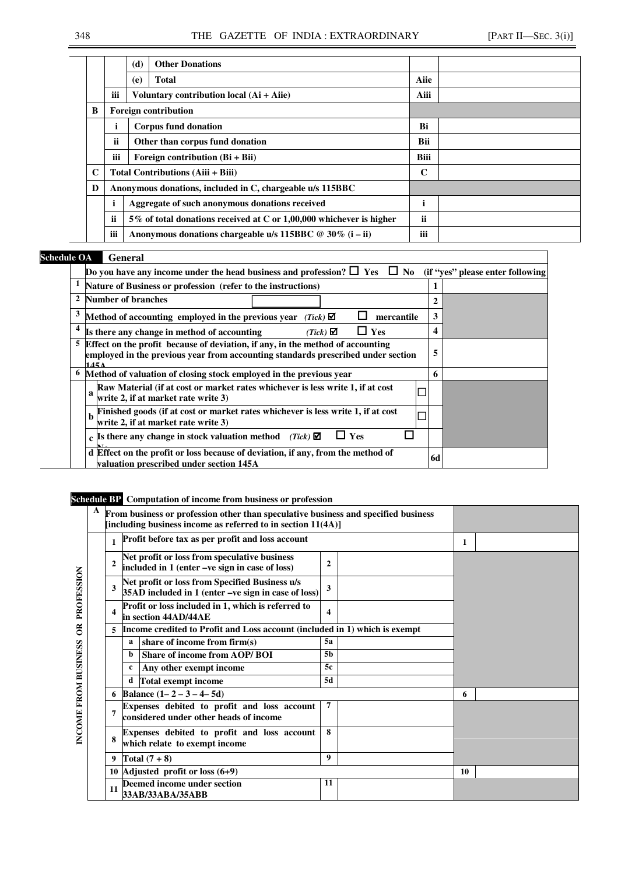|   |                 | (d) | <b>Other Donations</b>                                              |               |  |
|---|-----------------|-----|---------------------------------------------------------------------|---------------|--|
|   |                 | (e) | <b>Total</b>                                                        | Aiie          |  |
|   | iii             |     | Voluntary contribution local $(Ai + Aiie)$                          | Aiii          |  |
| B |                 |     | <b>Foreign contribution</b>                                         |               |  |
|   | i               |     | <b>Corpus fund donation</b>                                         | Bi            |  |
|   | ii.             |     | Other than corpus fund donation                                     | <b>Bii</b>    |  |
|   | $\cdots$<br>ÎÎÎ |     | Foreign contribution $(Bi + Bi)$                                    | <b>Biii</b>   |  |
| C |                 |     | <b>Total Contributions (Aiii + Biii)</b>                            | C             |  |
| D |                 |     | Anonymous donations, included in C, chargeable u/s 115BBC           |               |  |
|   |                 |     | Aggregate of such anonymous donations received                      | ٠             |  |
|   | ii              |     | 5% of total donations received at C or 1,00,000 whichever is higher | <b>ii</b>     |  |
|   | $\cdots$<br>îii |     | Anonymous donations chargeable u/s 115BBC $@ 30\%$ (i – ii)         | $\cdots$<br>Ш |  |

# **Schedule OA** *General*

|                | Do you have any income under the head business and profession? $\Box$ Yes $\Box$ No (if "yes" please enter following                                                          |    |  |
|----------------|-------------------------------------------------------------------------------------------------------------------------------------------------------------------------------|----|--|
|                | Nature of Business or profession (refer to the instructions)                                                                                                                  |    |  |
| $\overline{2}$ | <b>Number of branches</b>                                                                                                                                                     | 2  |  |
|                | Method of accounting employed in the previous year (Tick) $\blacksquare$<br>mercantile                                                                                        | 3  |  |
|                | Yes<br>Is there any change in method of accounting<br>$(Tick)$ $\blacksquare$                                                                                                 | 4  |  |
|                | 5 Effect on the profit because of deviation, if any, in the method of accounting<br>employed in the previous year from accounting standards prescribed under section<br>145 A | 5  |  |
| 6              | Method of valuation of closing stock employed in the previous year                                                                                                            | 6  |  |
|                | Raw Material (if at cost or market rates whichever is less write 1, if at cost<br>write 2, if at market rate write 3)                                                         |    |  |
|                | Finished goods (if at cost or market rates whichever is less write 1, if at cost<br>write 2, if at market rate write 3)                                                       |    |  |
|                | Yes<br>c Is there any change in stock valuation method<br>$(Tick)$ $\Box$                                                                                                     |    |  |
|                | d Effect on the profit or loss because of deviation, if any, from the method of<br>valuation prescribed under section 145A                                                    | 6d |  |

# **Schedule BP Computation of income from business or profession**

|                      | A |    | From business or profession other than speculative business and specified business<br>[including business income as referred to in section $11(4A)$ ] |                                                                                                       |                         |  |    |  |
|----------------------|---|----|-------------------------------------------------------------------------------------------------------------------------------------------------------|-------------------------------------------------------------------------------------------------------|-------------------------|--|----|--|
|                      |   |    |                                                                                                                                                       | Profit before tax as per profit and loss account                                                      | 1                       |  |    |  |
|                      |   |    |                                                                                                                                                       | Net profit or loss from speculative business<br>included in 1 (enter -ve sign in case of loss)        |                         |  |    |  |
| PROFESSION           |   | 3  |                                                                                                                                                       | Net profit or loss from Specified Business u/s<br>35AD included in 1 (enter -ve sign in case of loss) | 3                       |  |    |  |
|                      |   |    |                                                                                                                                                       | Profit or loss included in 1, which is referred to<br>in section 44AD/44AE                            | $\overline{\mathbf{4}}$ |  |    |  |
| $\tilde{e}$          |   | 5  |                                                                                                                                                       | Income credited to Profit and Loss account (included in 1) which is exempt                            |                         |  |    |  |
|                      |   |    | a                                                                                                                                                     | share of income from firm(s)                                                                          | 5a                      |  |    |  |
|                      |   |    | b.                                                                                                                                                    | Share of income from AOP/BOI                                                                          | 5 <sub>b</sub>          |  |    |  |
|                      |   |    | c                                                                                                                                                     | Any other exempt income                                                                               | 5c                      |  |    |  |
|                      |   |    | d                                                                                                                                                     | <b>Total exempt income</b>                                                                            | 5d                      |  |    |  |
|                      |   |    | Balance $(1 - 2 - 3 - 4 - 5d)$                                                                                                                        |                                                                                                       |                         |  | 6  |  |
| INCOME FROM BUSINESS |   |    |                                                                                                                                                       | Expenses debited to profit and loss account<br>considered under other heads of income                 | 7                       |  |    |  |
|                      |   |    |                                                                                                                                                       | Expenses debited to profit and loss account<br>which relate to exempt income                          | 8                       |  |    |  |
|                      |   | 9  |                                                                                                                                                       | Total $(7+8)$                                                                                         | 9                       |  |    |  |
|                      |   |    |                                                                                                                                                       | 10 Adjusted profit or loss $(6+9)$                                                                    |                         |  | 10 |  |
|                      |   | 11 |                                                                                                                                                       | Deemed income under section<br>33AB/33ABA/35ABB                                                       | 11                      |  |    |  |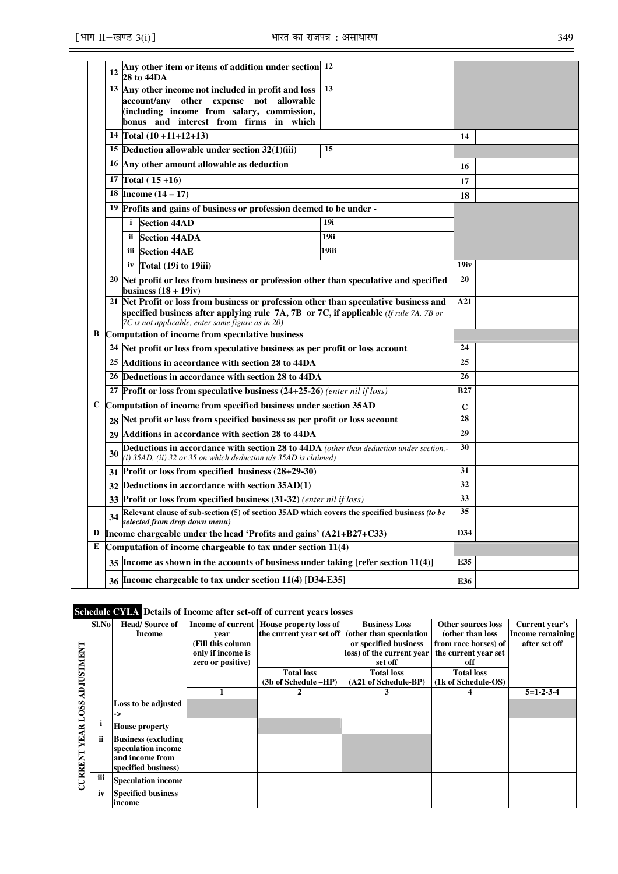|              | 12 | Any other item or items of addition under section 12<br>28 to 44DA                                                                                                   |       |    |              |  |
|--------------|----|----------------------------------------------------------------------------------------------------------------------------------------------------------------------|-------|----|--------------|--|
|              |    | 13 Any other income not included in profit and loss                                                                                                                  | 13    |    |              |  |
|              |    | account/any other expense not allowable                                                                                                                              |       |    |              |  |
|              |    | (including income from salary, commission,                                                                                                                           |       |    |              |  |
|              |    | bonus and interest from firms in which<br>14 Total $(10 + 11 + 12 + 13)$                                                                                             |       |    | 14           |  |
|              |    | 15 Deduction allowable under section $32(1)(iii)$                                                                                                                    | 15    |    |              |  |
|              |    |                                                                                                                                                                      |       |    |              |  |
|              |    | 16 Any other amount allowable as deduction<br>17 Total $(15+16)$                                                                                                     |       | 16 |              |  |
|              |    | 18 <b>Income</b> $(14 - 17)$                                                                                                                                         |       |    | 17           |  |
|              |    |                                                                                                                                                                      |       | 18 |              |  |
|              |    | <sup>19</sup> Profits and gains of business or profession deemed to be under -                                                                                       |       |    |              |  |
|              |    | <b>Section 44AD</b><br>$\mathbf{i}$                                                                                                                                  | 19i   |    |              |  |
|              |    | <b>Section 44ADA</b><br>ii.                                                                                                                                          | 19ii  |    |              |  |
|              |    | iii Section 44AE                                                                                                                                                     | 19iii |    |              |  |
|              |    | Total (19 <i>i</i> to 19 <i>iii</i> )<br>iv                                                                                                                          |       |    | 19iv         |  |
|              |    | 20 Net profit or loss from business or profession other than speculative and specified<br>business $(18 + 19i)$                                                      |       | 20 |              |  |
|              |    | 21 Net Profit or loss from business or profession other than speculative business and                                                                                |       |    | A21          |  |
|              |    | specified business after applying rule $7A$ , $7B$ or $7C$ , if applicable (If rule 7A, 7B or<br>7C is not applicable, enter same figure as in 20)                   |       |    |              |  |
| B            |    | Computation of income from speculative business                                                                                                                      |       |    |              |  |
|              |    | 24 Net profit or loss from speculative business as per profit or loss account                                                                                        |       |    | 24           |  |
|              |    | 25 Additions in accordance with section 28 to 44DA                                                                                                                   |       |    | 25           |  |
|              |    | 26 Deductions in accordance with section 28 to 44DA                                                                                                                  |       |    | 26           |  |
|              |    | 27 Profit or loss from speculative business $(24+25-26)$ (enter nil if loss)                                                                                         |       |    | <b>B27</b>   |  |
| $\mathbf{C}$ |    | Computation of income from specified business under section 35AD                                                                                                     |       |    | $\mathbf{C}$ |  |
|              | 28 | Net profit or loss from specified business as per profit or loss account                                                                                             |       |    | 28           |  |
|              | 29 | Additions in accordance with section 28 to 44DA                                                                                                                      |       |    | 29           |  |
|              | 30 | Deductions in accordance with section 28 to 44DA (other than deduction under section,-<br>(i) $35AD$ , (ii) $32$ or $35$ on which deduction $u/s$ $35AD$ is claimed) |       |    | 30           |  |
|              | 31 | Profit or loss from specified business (28+29-30)                                                                                                                    |       |    | 31           |  |
|              | 32 | Deductions in accordance with section 35AD(1)                                                                                                                        |       |    | 32           |  |
|              | 33 | <b>Profit or loss from specified business (31-32)</b> (enter nil if loss)                                                                                            |       | 33 |              |  |
|              |    |                                                                                                                                                                      | 35    |    |              |  |
|              | 34 | Relevant clause of sub-section (5) of section 35AD which covers the specified business (to be<br>selected from drop down menu)                                       |       |    |              |  |
| D            |    | Income chargeable under the head 'Profits and gains' $(A21+B27+C33)$                                                                                                 |       |    | D34          |  |
| E            |    | Computation of income chargeable to tax under section $11(4)$                                                                                                        |       |    |              |  |
|              |    | 35 Income as shown in the accounts of business under taking [refer section $11(4)$ ]                                                                                 |       |    | E35          |  |

# **Schedule CYLA Details of Income after set-off of current years losses**

|                | Sl.No     | <b>Head/Source of</b>      |                   | Income of current   House property loss of | <b>Business Loss</b>                             | <b>Other sources loss</b> | Current year's          |
|----------------|-----------|----------------------------|-------------------|--------------------------------------------|--------------------------------------------------|---------------------------|-------------------------|
|                |           | Income                     | vear              |                                            | the current year set off (other than speculation | (other than loss          | <b>Income remaining</b> |
|                |           |                            | (Fill this column |                                            | or specified business                            | from race horses) of      | after set off           |
|                |           |                            | only if income is |                                            | loss) of the current year                        | the current year set      |                         |
|                |           |                            | zero or positive) |                                            | set off                                          | off                       |                         |
|                |           |                            |                   | <b>Total loss</b>                          | <b>Total loss</b>                                | <b>Total loss</b>         |                         |
|                |           |                            |                   | (3b of Schedule -HP)                       | (A21 of Schedule-BP)                             | (1k of Schedule-OS)       |                         |
| ADJUSTMENT     |           |                            |                   |                                            | 3                                                |                           | $5=1-2-3-4$             |
|                |           | Loss to be adjusted        |                   |                                            |                                                  |                           |                         |
| LOSS           |           | ->                         |                   |                                            |                                                  |                           |                         |
|                |           | <b>House property</b>      |                   |                                            |                                                  |                           |                         |
| <b>YEAR</b>    | <b>ii</b> | <b>Business (excluding</b> |                   |                                            |                                                  |                           |                         |
|                |           | speculation income         |                   |                                            |                                                  |                           |                         |
|                |           | and income from            |                   |                                            |                                                  |                           |                         |
|                |           | specified business)        |                   |                                            |                                                  |                           |                         |
| <b>CURRENT</b> | iii       | <b>Speculation income</b>  |                   |                                            |                                                  |                           |                         |
|                | iv        | <b>Specified business</b>  |                   |                                            |                                                  |                           |                         |
|                |           | income                     |                   |                                            |                                                  |                           |                         |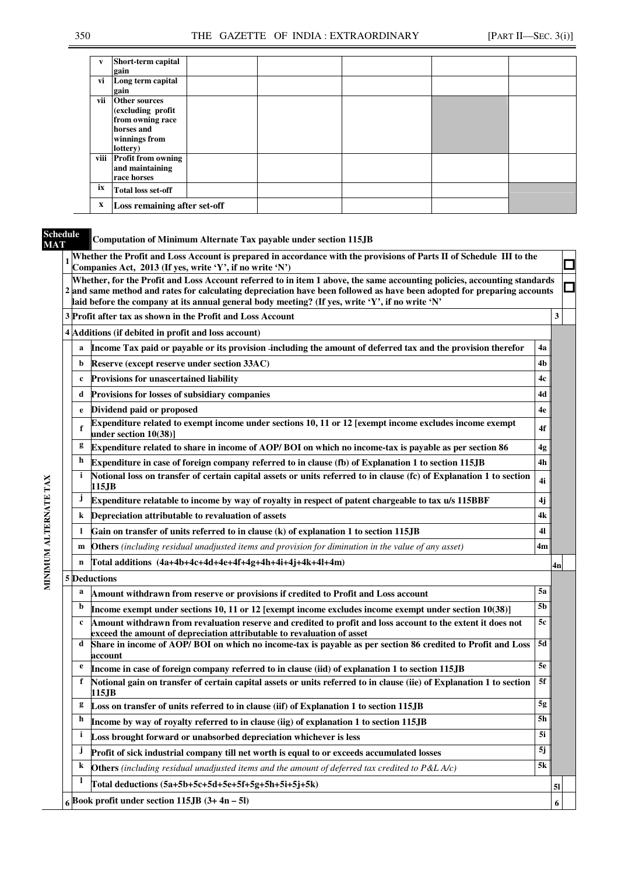| v            | Short-term capital           |  |  |  |
|--------------|------------------------------|--|--|--|
|              | gain                         |  |  |  |
|              |                              |  |  |  |
| vi           | Long term capital            |  |  |  |
|              | gain                         |  |  |  |
| vii          | Other sources                |  |  |  |
|              | (excluding profit            |  |  |  |
|              | from owning race             |  |  |  |
|              | horses and                   |  |  |  |
|              |                              |  |  |  |
|              | winnings from                |  |  |  |
|              | lottery)                     |  |  |  |
|              | viii Profit from owning      |  |  |  |
|              | and maintaining              |  |  |  |
|              | race horses                  |  |  |  |
|              |                              |  |  |  |
| ix           | <b>Total loss set-off</b>    |  |  |  |
| $\mathbf{x}$ | Loss remaining after set-off |  |  |  |

**Schedule** 

### **MAT Computation of Minimum Alternate Tax payable under section 115JB**

|                       |              | Whether the Profit and Loss Account is prepared in accordance with the provisions of Parts II of Schedule III to the<br>Companies Act, 2013 (If yes, write 'Y', if no write 'N')                                                                                                                                                                       |           | $\mathcal{L}_{\mathcal{A}}$ |  |  |  |  |  |  |  |  |  |
|-----------------------|--------------|--------------------------------------------------------------------------------------------------------------------------------------------------------------------------------------------------------------------------------------------------------------------------------------------------------------------------------------------------------|-----------|-----------------------------|--|--|--|--|--|--|--|--|--|
|                       |              | Whether, for the Profit and Loss Account referred to in item 1 above, the same accounting policies, accounting standards<br>2 and same method and rates for calculating depreciation have been followed as have been adopted for preparing accounts<br>laid before the company at its annual general body meeting? (If yes, write 'Y', if no write 'N' |           |                             |  |  |  |  |  |  |  |  |  |
|                       |              | 3 Profit after tax as shown in the Profit and Loss Account                                                                                                                                                                                                                                                                                             |           |                             |  |  |  |  |  |  |  |  |  |
|                       |              | 4 Additions (if debited in profit and loss account)                                                                                                                                                                                                                                                                                                    |           |                             |  |  |  |  |  |  |  |  |  |
|                       | a            | Income Tax paid or payable or its provision -including the amount of deferred tax and the provision therefor                                                                                                                                                                                                                                           | 4a        |                             |  |  |  |  |  |  |  |  |  |
|                       | b            | Reserve (except reserve under section 33AC)                                                                                                                                                                                                                                                                                                            | 4b        |                             |  |  |  |  |  |  |  |  |  |
|                       | $\mathbf c$  | <b>Provisions for unascertained liability</b>                                                                                                                                                                                                                                                                                                          | 4c        |                             |  |  |  |  |  |  |  |  |  |
|                       | d            | Provisions for losses of subsidiary companies                                                                                                                                                                                                                                                                                                          | 4d        |                             |  |  |  |  |  |  |  |  |  |
|                       | e            | Dividend paid or proposed                                                                                                                                                                                                                                                                                                                              | 4e        |                             |  |  |  |  |  |  |  |  |  |
|                       | f            | Expenditure related to exempt income under sections 10, 11 or 12 [exempt income excludes income exempt<br>under section 10(38)]                                                                                                                                                                                                                        | 4f        |                             |  |  |  |  |  |  |  |  |  |
| MINIMUM ALTERNATE TAX | g            | Expenditure related to share in income of AOP/BOI on which no income-tax is payable as per section 86                                                                                                                                                                                                                                                  | 4g        |                             |  |  |  |  |  |  |  |  |  |
|                       | h            | Expenditure in case of foreign company referred to in clause (fb) of Explanation 1 to section 115JB                                                                                                                                                                                                                                                    | 4h        |                             |  |  |  |  |  |  |  |  |  |
|                       | i            | Notional loss on transfer of certain capital assets or units referred to in clause (fc) of Explanation 1 to section<br>115.JB                                                                                                                                                                                                                          | 4i        |                             |  |  |  |  |  |  |  |  |  |
|                       | j            | Expenditure relatable to income by way of royalty in respect of patent chargeable to tax u/s 115BBF                                                                                                                                                                                                                                                    | 4j        |                             |  |  |  |  |  |  |  |  |  |
|                       | k            | Depreciation attributable to revaluation of assets                                                                                                                                                                                                                                                                                                     | 4k        |                             |  |  |  |  |  |  |  |  |  |
|                       | 1            | Gain on transfer of units referred to in clause (k) of explanation 1 to section 115JB                                                                                                                                                                                                                                                                  | 41        |                             |  |  |  |  |  |  |  |  |  |
|                       | m            | Others (including residual unadjusted items and provision for diminution in the value of any asset)                                                                                                                                                                                                                                                    | 4m        |                             |  |  |  |  |  |  |  |  |  |
|                       | n            | Total additions (4a+4b+4c+4d+4e+4f+4g+4h+4i+4j+4k+4l+4m)                                                                                                                                                                                                                                                                                               |           | 4n                          |  |  |  |  |  |  |  |  |  |
|                       |              | 5 Deductions                                                                                                                                                                                                                                                                                                                                           |           |                             |  |  |  |  |  |  |  |  |  |
|                       | a            | Amount withdrawn from reserve or provisions if credited to Profit and Loss account                                                                                                                                                                                                                                                                     | 5a        |                             |  |  |  |  |  |  |  |  |  |
|                       | b            | Income exempt under sections 10, 11 or 12 [exempt income excludes income exempt under section 10(38)]                                                                                                                                                                                                                                                  | 5b        |                             |  |  |  |  |  |  |  |  |  |
|                       | c            | Amount withdrawn from revaluation reserve and credited to profit and loss account to the extent it does not<br>exceed the amount of depreciation attributable to revaluation of asset                                                                                                                                                                  | 5c        |                             |  |  |  |  |  |  |  |  |  |
|                       | d            | Share in income of AOP/BOI on which no income-tax is payable as per section 86 credited to Profit and Loss<br>account                                                                                                                                                                                                                                  | 5d        |                             |  |  |  |  |  |  |  |  |  |
|                       | e            | Income in case of foreign company referred to in clause (iid) of explanation 1 to section 115JB                                                                                                                                                                                                                                                        | <b>5e</b> |                             |  |  |  |  |  |  |  |  |  |
|                       | f            | Notional gain on transfer of certain capital assets or units referred to in clause (iie) of Explanation 1 to section<br>115.JB                                                                                                                                                                                                                         | 5f        |                             |  |  |  |  |  |  |  |  |  |
|                       |              | Loss on transfer of units referred to in clause (iif) of Explanation 1 to section 115JB                                                                                                                                                                                                                                                                | 5g        |                             |  |  |  |  |  |  |  |  |  |
|                       | h            | Income by way of royalty referred to in clause (iig) of explanation 1 to section 115JB                                                                                                                                                                                                                                                                 | 5h        |                             |  |  |  |  |  |  |  |  |  |
|                       | i            | Loss brought forward or unabsorbed depreciation whichever is less                                                                                                                                                                                                                                                                                      | 5i        |                             |  |  |  |  |  |  |  |  |  |
|                       | Ĵ            | Profit of sick industrial company till net worth is equal to or exceeds accumulated losses                                                                                                                                                                                                                                                             | 5j        |                             |  |  |  |  |  |  |  |  |  |
|                       | k            | <b>Others</b> (including residual unadjusted items and the amount of deferred tax credited to P&L A/c)                                                                                                                                                                                                                                                 | 5k        |                             |  |  |  |  |  |  |  |  |  |
|                       | $\mathbf{l}$ | Total deductions (5a+5b+5c+5d+5e+5f+5g+5h+5i+5j+5k)                                                                                                                                                                                                                                                                                                    |           | 51                          |  |  |  |  |  |  |  |  |  |
|                       |              | $6$ Book profit under section 115JB $(3+4n-5l)$                                                                                                                                                                                                                                                                                                        |           | 6                           |  |  |  |  |  |  |  |  |  |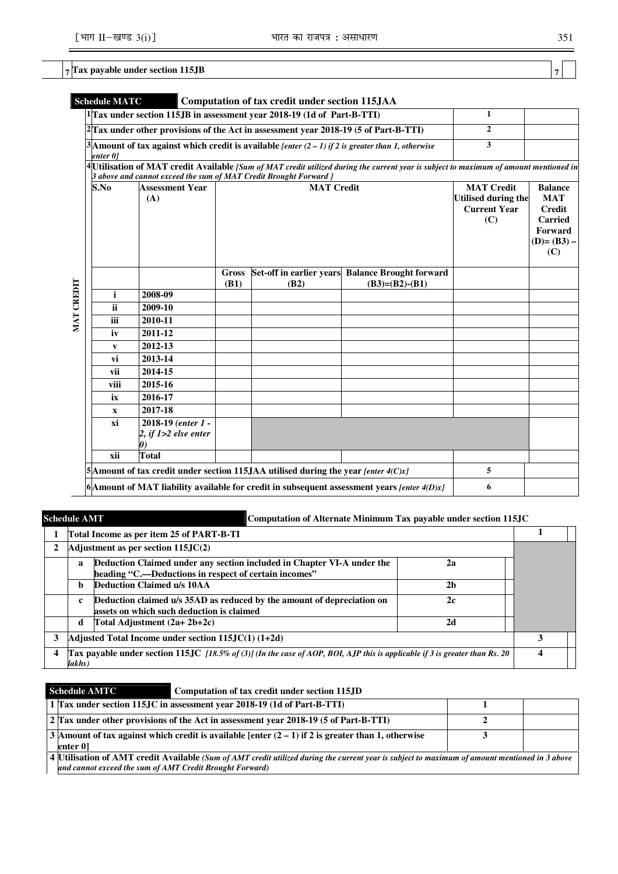# **7 Tax payable under section 115JB 7**

|            | <b>Schedule MATC</b> |                                                                                        |                                                                               | Computation of tax credit under section 115JAA                                             |                                                                                                                                        |                |  |
|------------|----------------------|----------------------------------------------------------------------------------------|-------------------------------------------------------------------------------|--------------------------------------------------------------------------------------------|----------------------------------------------------------------------------------------------------------------------------------------|----------------|--|
|            |                      |                                                                                        |                                                                               | 1 Tax under section 115JB in assessment year 2018-19 (1d of Part-B-TTI)                    |                                                                                                                                        | 1              |  |
|            |                      |                                                                                        |                                                                               | Tax under other provisions of the Act in assessment year 2018-19 (5 of Part-B-TTI)         |                                                                                                                                        | $\overline{2}$ |  |
|            | enter 01             |                                                                                        |                                                                               |                                                                                            | 3 Amount of tax against which credit is available [enter $(2 – 1)$ if 2 is greater than 1, otherwise                                   | 3              |  |
|            |                      |                                                                                        |                                                                               |                                                                                            | 4 Utilisation of MAT credit Available [Sum of MAT credit utilized during the current year is subject to maximum of amount mentioned in |                |  |
|            |                      | 3 above and cannot exceed the sum of MAT Credit Brought Forward ]                      |                                                                               |                                                                                            |                                                                                                                                        |                |  |
|            | S.No                 | <b>Assessment Year</b><br>(A)                                                          | <b>MAT Credit</b><br><b>Utilised during the</b><br><b>Current Year</b><br>(C) | <b>Balance</b><br><b>MAT</b><br><b>Credit</b><br>Carried<br>Forward<br>$(D)=(B3) -$<br>(C) |                                                                                                                                        |                |  |
|            |                      |                                                                                        | Gross<br>(B1)                                                                 | (B2)                                                                                       | Set-off in earlier years Balance Brought forward<br>$(B3)=(B2)-(B1)$                                                                   |                |  |
|            | i                    | 2008-09                                                                                |                                                                               |                                                                                            |                                                                                                                                        |                |  |
| MAT CREDIT | <b>ii</b>            | 2009-10                                                                                |                                                                               |                                                                                            |                                                                                                                                        |                |  |
|            | iii                  | 2010-11                                                                                |                                                                               |                                                                                            |                                                                                                                                        |                |  |
|            | iv                   | 2011-12                                                                                |                                                                               |                                                                                            |                                                                                                                                        |                |  |
|            | V                    | 2012-13                                                                                |                                                                               |                                                                                            |                                                                                                                                        |                |  |
|            | vi                   | 2013-14                                                                                |                                                                               |                                                                                            |                                                                                                                                        |                |  |
|            | vii                  | 2014-15                                                                                |                                                                               |                                                                                            |                                                                                                                                        |                |  |
|            | viii                 | 2015-16                                                                                |                                                                               |                                                                                            |                                                                                                                                        |                |  |
|            | ix                   | 2016-17                                                                                |                                                                               |                                                                                            |                                                                                                                                        |                |  |
|            | X                    | 2017-18                                                                                |                                                                               |                                                                                            |                                                                                                                                        |                |  |
|            | xi                   | 2018-19 (enter 1 -<br>2, if $1>2$ else enter                                           |                                                                               |                                                                                            |                                                                                                                                        |                |  |
|            | xii                  | <b>Total</b>                                                                           |                                                                               |                                                                                            |                                                                                                                                        |                |  |
|            |                      | 5 Amount of tax credit under section 115 JAA utilised during the year [enter $4(C)x$ ] |                                                                               | 5                                                                                          |                                                                                                                                        |                |  |
|            |                      |                                                                                        |                                                                               |                                                                                            | $ 6 $ Amount of MAT liability available for credit in subsequent assessment years [enter 4(D)x]                                        | 6              |  |

|              | <b>Schedule AMT</b>                                                                                                                   |                                                                                                                                 | Computation of Alternate Minimum Tax payable under section 115JC |  |  |  |  |
|--------------|---------------------------------------------------------------------------------------------------------------------------------------|---------------------------------------------------------------------------------------------------------------------------------|------------------------------------------------------------------|--|--|--|--|
|              |                                                                                                                                       | Total Income as per item 25 of PART-B-TI                                                                                        |                                                                  |  |  |  |  |
| $\mathbf{2}$ |                                                                                                                                       | Adjustment as per section $115JC(2)$                                                                                            |                                                                  |  |  |  |  |
|              | a                                                                                                                                     | Deduction Claimed under any section included in Chapter VI-A under the<br>heading "C.—Deductions in respect of certain incomes" | 2a                                                               |  |  |  |  |
|              | b                                                                                                                                     | Deduction Claimed u/s 10AA                                                                                                      | 2 <sub>b</sub>                                                   |  |  |  |  |
|              | $\mathbf c$                                                                                                                           | Deduction claimed u/s 35AD as reduced by the amount of depreciation on<br>assets on which such deduction is claimed             | 2c                                                               |  |  |  |  |
|              | d                                                                                                                                     | Total Adjustment (2a+ 2b+2c)                                                                                                    | 2d                                                               |  |  |  |  |
| 3            | Adjusted Total Income under section $115JC(1)$ $(1+2d)$                                                                               |                                                                                                                                 |                                                                  |  |  |  |  |
| 4            | Tax payable under section 115JC [18.5% of (3)] (In the case of AOP, BOI, AJP this is applicable if 3 is greater than Rs. 20<br>lakhs) |                                                                                                                                 |                                                                  |  |  |  |  |

| <b>Schedule AMTC</b>                                                                 | Computation of tax credit under section 115JD                                                                                                  |  |
|--------------------------------------------------------------------------------------|------------------------------------------------------------------------------------------------------------------------------------------------|--|
|                                                                                      | 1 Tax under section 115.JC in assessment year 2018-19 (1d of Part-B-TTI)                                                                       |  |
| 2 Tax under other provisions of the Act in assessment year 2018-19 (5 of Part-B-TTI) |                                                                                                                                                |  |
| enter 01                                                                             | 3 Amount of tax against which credit is available [enter $(2 - 1)$ if 2 is greater than 1, otherwise                                           |  |
| and cannot exceed the sum of AMT Credit Brought Forward)                             | 4 Utilisation of AMT credit Available (Sum of AMT credit utilized during the current year is subject to maximum of amount mentioned in 3 above |  |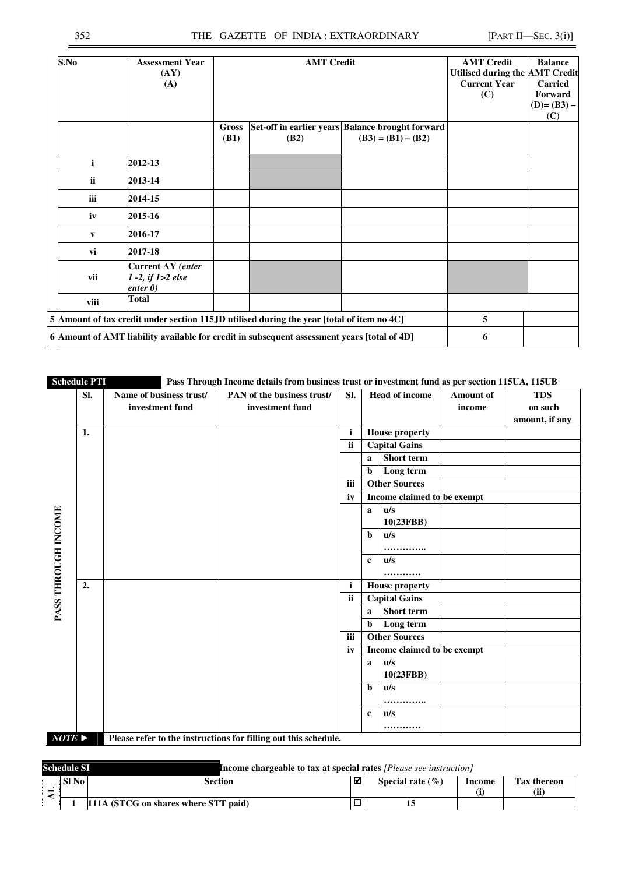| S.No         | <b>Assessment Year</b><br>(AY)<br>(A)                                                       |                             | <b>AMT Credit</b> |                                                                          | <b>AMT Credit</b><br>Utilised during the AMT Credit<br><b>Current Year</b><br>(C) | <b>Balance</b><br><b>Carried</b><br>Forward<br>$(D)=(B3) -$<br>(C) |
|--------------|---------------------------------------------------------------------------------------------|-----------------------------|-------------------|--------------------------------------------------------------------------|-----------------------------------------------------------------------------------|--------------------------------------------------------------------|
|              |                                                                                             | <b>Gross</b><br><b>(B1)</b> | <b>(B2)</b>       | Set-off in earlier years Balance brought forward<br>$(B3) = (B1) - (B2)$ |                                                                                   |                                                                    |
| $\mathbf{i}$ | 2012-13                                                                                     |                             |                   |                                                                          |                                                                                   |                                                                    |
| ii.          | 2013-14                                                                                     |                             |                   |                                                                          |                                                                                   |                                                                    |
| <b>iii</b>   | 2014-15                                                                                     |                             |                   |                                                                          |                                                                                   |                                                                    |
| iv           | 2015-16                                                                                     |                             |                   |                                                                          |                                                                                   |                                                                    |
| V            | 2016-17                                                                                     |                             |                   |                                                                          |                                                                                   |                                                                    |
| vi           | 2017-18                                                                                     |                             |                   |                                                                          |                                                                                   |                                                                    |
| vii          | <b>Current AY</b> (enter<br>$1 - 2$ , if $1 > 2$ else<br>enter 0)                           |                             |                   |                                                                          |                                                                                   |                                                                    |
| viii         | <b>Total</b>                                                                                |                             |                   |                                                                          |                                                                                   |                                                                    |
|              | 5 Amount of tax credit under section 115JD utilised during the year [total of item no 4C]   | 5                           |                   |                                                                          |                                                                                   |                                                                    |
|              | 6 Amount of AMT liability available for credit in subsequent assessment years [total of 4D] |                             | 6                 |                                                                          |                                                                                   |                                                                    |

|                       | <b>Schedule PTI</b> |                                            | Pass Through Income details from business trust or investment fund as per section 115UA, 115UB |              |              |                             |                            |                                         |
|-----------------------|---------------------|--------------------------------------------|------------------------------------------------------------------------------------------------|--------------|--------------|-----------------------------|----------------------------|-----------------------------------------|
|                       | SI.                 | Name of business trust/<br>investment fund | PAN of the business trust/<br>investment fund                                                  | SI.          |              | <b>Head of income</b>       | <b>Amount of</b><br>income | <b>TDS</b><br>on such<br>amount, if any |
|                       | 1.                  |                                            |                                                                                                | $\mathbf{i}$ |              | <b>House property</b>       |                            |                                         |
|                       |                     |                                            |                                                                                                | ii           |              | <b>Capital Gains</b>        |                            |                                         |
|                       |                     |                                            |                                                                                                |              | a            | Short term                  |                            |                                         |
|                       |                     |                                            |                                                                                                |              | $\mathbf b$  | Long term                   |                            |                                         |
|                       |                     |                                            |                                                                                                | iii          |              | <b>Other Sources</b>        |                            |                                         |
|                       |                     |                                            |                                                                                                | iv           |              | Income claimed to be exempt |                            |                                         |
|                       |                     |                                            |                                                                                                |              | a            | u/s                         |                            |                                         |
|                       |                     |                                            |                                                                                                |              |              | 10(23FBB)                   |                            |                                         |
| PASS THROUGH INCOME   |                     |                                            |                                                                                                |              | b.           | u/s                         |                            |                                         |
|                       |                     |                                            |                                                                                                |              |              | .                           |                            |                                         |
|                       |                     |                                            |                                                                                                |              | $\mathbf{c}$ | $\mathbf{u}/\mathbf{s}$     |                            |                                         |
|                       |                     |                                            |                                                                                                |              |              | .                           |                            |                                         |
|                       | 2.                  |                                            |                                                                                                | $\mathbf i$  |              | <b>House property</b>       |                            |                                         |
|                       |                     |                                            |                                                                                                | ii           |              | <b>Capital Gains</b>        |                            |                                         |
|                       |                     |                                            |                                                                                                |              | a            | Short term                  |                            |                                         |
|                       |                     |                                            |                                                                                                |              | b            | Long term                   |                            |                                         |
|                       |                     |                                            |                                                                                                | iii          |              | <b>Other Sources</b>        |                            |                                         |
|                       |                     |                                            |                                                                                                | iv           |              | Income claimed to be exempt |                            |                                         |
|                       |                     |                                            |                                                                                                |              | a            | u/s                         |                            |                                         |
|                       |                     |                                            |                                                                                                |              |              | 10(23FBB)                   |                            |                                         |
|                       |                     |                                            |                                                                                                |              | b            | u/s                         |                            |                                         |
|                       |                     |                                            |                                                                                                |              |              |                             |                            |                                         |
|                       |                     |                                            |                                                                                                |              | $\mathbf c$  | $\mathbf{u}/\mathbf{s}$     |                            |                                         |
| $NOTE \triangleright$ |                     |                                            | Please refer to the instructions for filling out this schedule.                                |              |              |                             |                            |                                         |
|                       |                     |                                            |                                                                                                |              |              |                             |                            |                                         |

| <b>Schedule SI</b> |                                      | <b>Income chargeable to tax at special rates</b> <i>[Please see instruction]</i> |                      |        |                     |  |  |  |
|--------------------|--------------------------------------|----------------------------------------------------------------------------------|----------------------|--------|---------------------|--|--|--|
| l SI No            | Section                              | ⊠                                                                                | Special rate $(\% )$ | Income | Tax thereon<br>(ii) |  |  |  |
|                    | 111A (STCG on shares where STT paid) |                                                                                  |                      |        |                     |  |  |  |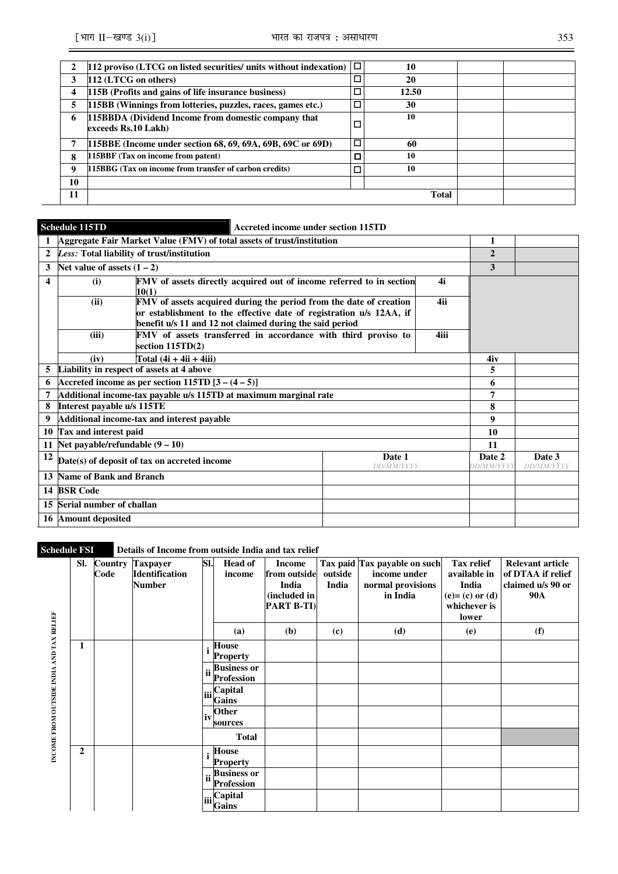|    | 112 proviso (LTCG on listed securities/ units without indexation)          | □ | 10           |  |
|----|----------------------------------------------------------------------------|---|--------------|--|
| 3  | 112 (LTCG on others)                                                       |   | 20           |  |
| 4  | 115B (Profits and gains of life insurance business)                        |   | 12.50        |  |
| 5  | 115BB (Winnings from lotteries, puzzles, races, games etc.)                |   | 30           |  |
| 6  | 115BBDA (Dividend Income from domestic company that<br>exceeds Rs.10 Lakh) |   | 10           |  |
| 7  | 115BBE (Income under section 68, 69, 69A, 69B, 69C or 69D)                 |   | 60           |  |
| 8  | 115BBF (Tax on income from patent)                                         |   | 10           |  |
| 9  | 15BBG (Tax on income from transfer of carbon credits)                      |   | 10           |  |
| 10 |                                                                            |   |              |  |
| 11 |                                                                            |   | <b>Total</b> |  |

# **Schedule 115TD Accreted income under section 115TD**

|                  | Aggregate Fair Market Value (FMV) of total assets of trust/institution                                                                                                                                        |      |                             | 1                           |  |
|------------------|---------------------------------------------------------------------------------------------------------------------------------------------------------------------------------------------------------------|------|-----------------------------|-----------------------------|--|
| $\overline{2}$   | Less: Total liability of trust/institution                                                                                                                                                                    |      |                             | $\mathbf{2}$                |  |
| 3                | Net value of assets $(1 – 2)$                                                                                                                                                                                 |      |                             | 3                           |  |
| $\boldsymbol{4}$ | FMV of assets directly acquired out of income referred to in section<br>(i)<br>10(1)                                                                                                                          |      | 4i                          |                             |  |
|                  | (ii)<br>FMV of assets acquired during the period from the date of creation<br>or establishment to the effective date of registration u/s 12AA, if<br>benefit u/s 11 and 12 not claimed during the said period | 4ii  |                             |                             |  |
|                  | FMV of assets transferred in accordance with third proviso to<br>(iii)<br>section 115TD(2)                                                                                                                    | 4iii |                             |                             |  |
|                  | Total $(4i + 4ii + 4iii)$<br>(iv)                                                                                                                                                                             |      | 4iv                         |                             |  |
| 5                | Liability in respect of assets at 4 above                                                                                                                                                                     |      | 5                           |                             |  |
| 6                | Accreted income as per section $115TD$ $[3 - (4 - 5)]$                                                                                                                                                        |      | 6                           |                             |  |
| 7                | Additional income-tax payable u/s 115TD at maximum marginal rate                                                                                                                                              |      | 7                           |                             |  |
| 8                | Interest payable u/s 115TE                                                                                                                                                                                    |      |                             | 8                           |  |
| 9                | Additional income-tax and interest payable                                                                                                                                                                    |      |                             | 9                           |  |
| 10               | Tax and interest paid                                                                                                                                                                                         |      |                             | 10                          |  |
| 11               | Net payable/refundable $(9 - 10)$                                                                                                                                                                             |      |                             | 11                          |  |
| 12               | Date(s) of deposit of tax on accreted income                                                                                                                                                                  |      | Date 2<br><b>DD/MM/YYYY</b> | Date 3<br><b>DD/MM/YYYY</b> |  |
| 13               | <b>Name of Bank and Branch</b>                                                                                                                                                                                |      |                             |                             |  |
| 14               | <b>BSR Code</b>                                                                                                                                                                                               |      |                             |                             |  |
| 15               | Serial number of challan                                                                                                                                                                                      |      |                             |                             |  |
| 16               | <b>Amount deposited</b>                                                                                                                                                                                       |      |                             |                             |  |

# **Schedule FSI** Details of Income from outside India and tax relief

| INCOME FROM OUTSIDE INDIA AND TAX RELIEF | SI.          | Code | <b>Country Taxpayer</b><br><b>Identification</b><br><b>Number</b> | SI.              | <b>Head of</b><br>income                | <b>Income</b><br>from outside<br>India<br>(included in<br><b>PART B-TI)</b> | outside<br>India | Tax paid Tax payable on such<br>income under<br>normal provisions<br>in India | Tax relief<br>available in<br>India<br>$(e) = (c)$ or $(d)$<br>whichever is<br>lower | <b>Relevant article</b><br>of DTAA if relief<br>claimed u/s 90 or<br><b>90A</b> |
|------------------------------------------|--------------|------|-------------------------------------------------------------------|------------------|-----------------------------------------|-----------------------------------------------------------------------------|------------------|-------------------------------------------------------------------------------|--------------------------------------------------------------------------------------|---------------------------------------------------------------------------------|
|                                          |              |      |                                                                   |                  | (a)                                     | ( <b>b</b> )                                                                | (c)              | (d)                                                                           | (e)                                                                                  | (f)                                                                             |
|                                          | 1            |      |                                                                   |                  | <b>House</b><br><b>Property</b>         |                                                                             |                  |                                                                               |                                                                                      |                                                                                 |
|                                          |              |      |                                                                   |                  | <b>Business or</b><br><b>Profession</b> |                                                                             |                  |                                                                               |                                                                                      |                                                                                 |
|                                          |              |      | liii                                                              | Capital<br>Gains |                                         |                                                                             |                  |                                                                               |                                                                                      |                                                                                 |
|                                          |              |      |                                                                   | liv              | Other<br>sources                        |                                                                             |                  |                                                                               |                                                                                      |                                                                                 |
|                                          |              |      |                                                                   |                  | <b>Total</b>                            |                                                                             |                  |                                                                               |                                                                                      |                                                                                 |
|                                          | $\mathbf{2}$ |      |                                                                   |                  | House<br><b>Property</b>                |                                                                             |                  |                                                                               |                                                                                      |                                                                                 |
|                                          |              |      |                                                                   |                  | <b>Business or</b><br><b>Profession</b> |                                                                             |                  |                                                                               |                                                                                      |                                                                                 |
|                                          |              |      |                                                                   |                  | Capital<br>Gains                        |                                                                             |                  |                                                                               |                                                                                      |                                                                                 |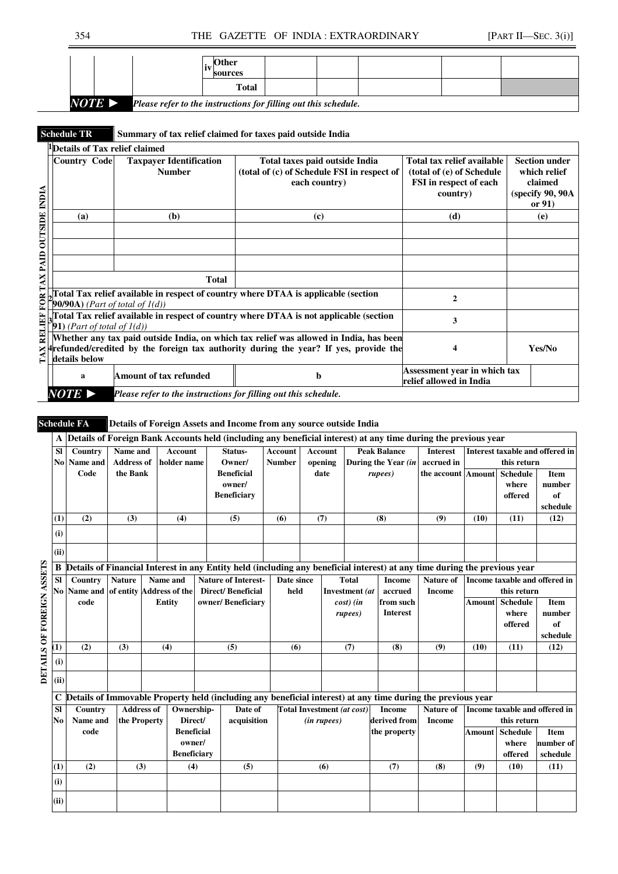|                                                                           |  |  | <b>Other</b><br>li<br>sources |  |  |  |  |  |
|---------------------------------------------------------------------------|--|--|-------------------------------|--|--|--|--|--|
|                                                                           |  |  | <b>Total</b>                  |  |  |  |  |  |
| NOTE D<br>Please refer to the instructions for filling out this schedule. |  |  |                               |  |  |  |  |  |

### **Schedule TR** Summary of tax relief claimed for taxes paid outside India

|                                  | <sup>1</sup> Details of Tax relief claimed                |                                                                 |                                                                                        |                              |                      |
|----------------------------------|-----------------------------------------------------------|-----------------------------------------------------------------|----------------------------------------------------------------------------------------|------------------------------|----------------------|
|                                  | <b>Country Code</b>                                       | <b>Taxpayer Identification</b>                                  | Total taxes paid outside India                                                         | Total tax relief available   | <b>Section under</b> |
|                                  |                                                           | <b>Number</b>                                                   | (total of (c) of Schedule FSI in respect of                                            | (total of (e) of Schedule    | which relief         |
|                                  |                                                           |                                                                 | each country)                                                                          | FSI in respect of each       | claimed              |
|                                  |                                                           |                                                                 |                                                                                        | country)                     | (specify 90, 90A)    |
|                                  |                                                           |                                                                 |                                                                                        |                              | or $91)$             |
|                                  | (a)                                                       | (b)                                                             | (c)                                                                                    | (d)                          | (e)                  |
|                                  |                                                           |                                                                 |                                                                                        |                              |                      |
| <b>OUTSIDE INDIA</b>             |                                                           |                                                                 |                                                                                        |                              |                      |
|                                  |                                                           |                                                                 |                                                                                        |                              |                      |
|                                  |                                                           |                                                                 |                                                                                        |                              |                      |
| FOR TAX PAID                     |                                                           | <b>Total</b>                                                    |                                                                                        |                              |                      |
|                                  |                                                           |                                                                 | 'otal Tax relief available in respect of country where DTAA is applicable (section     | 2                            |                      |
|                                  | $\left( \text{90/90A} \right)$ (Part of total of $I(d)$ ) |                                                                 |                                                                                        |                              |                      |
|                                  |                                                           |                                                                 | Total Tax relief available in respect of country where DTAA is not applicable (section | 3                            |                      |
| RELIEF                           | 1) (Part of total of $l(d)$ )                             |                                                                 |                                                                                        |                              |                      |
|                                  |                                                           |                                                                 | Whether any tax paid outside India, on which tax relief was allowed in India, has been |                              |                      |
| $\sum_{i=1}^{n} \frac{d_i}{d_i}$ |                                                           |                                                                 | efunded/credited by the foreign tax authority during the year? If yes, provide the     |                              | Yes/No               |
|                                  | details below                                             |                                                                 |                                                                                        |                              |                      |
|                                  | a                                                         | Amount of tax refunded                                          | b                                                                                      | Assessment year in which tax |                      |
|                                  |                                                           |                                                                 |                                                                                        | relief allowed in India      |                      |
|                                  | $NOTE \triangleright$                                     | Please refer to the instructions for filling out this schedule. |                                                                                        |                              |                      |

# **Schedule FA Details of Foreign Assets and Income from any source outside India**

|                           |                |                                                                                                                           | A Details of Foreign Bank Accounts held (including any beneficial interest) at any time during the previous year |                            |                    |                            |                                                                                                             |         |                            |                |                                   |                     |                  |                                              |                               |             |  |
|---------------------------|----------------|---------------------------------------------------------------------------------------------------------------------------|------------------------------------------------------------------------------------------------------------------|----------------------------|--------------------|----------------------------|-------------------------------------------------------------------------------------------------------------|---------|----------------------------|----------------|-----------------------------------|---------------------|------------------|----------------------------------------------|-------------------------------|-------------|--|
|                           | <b>SI</b>      | Country                                                                                                                   |                                                                                                                  | Name and<br><b>Account</b> |                    |                            | Status-                                                                                                     | Account |                            | <b>Account</b> |                                   | <b>Peak Balance</b> | <b>Interest</b>  | Interest taxable and offered in              |                               |             |  |
|                           | Nol            | <b>Address of</b><br>Name and<br>Code<br>the Bank                                                                         |                                                                                                                  | holder name                |                    | Owner/                     | <b>Number</b>                                                                                               | opening |                            |                | During the Year (in               | accrued in          | this return      |                                              |                               |             |  |
|                           |                |                                                                                                                           |                                                                                                                  |                            |                    | <b>Beneficial</b>          |                                                                                                             |         | date                       |                | rupees)                           | the account Amount  |                  | <b>Schedule</b>                              | <b>Item</b>                   |             |  |
|                           |                |                                                                                                                           |                                                                                                                  |                            |                    |                            | owner/                                                                                                      |         |                            |                |                                   |                     |                  |                                              | where                         | number      |  |
|                           |                |                                                                                                                           |                                                                                                                  |                            |                    |                            | <b>Beneficiary</b>                                                                                          |         |                            |                |                                   |                     |                  |                                              | offered                       | of          |  |
|                           |                |                                                                                                                           |                                                                                                                  |                            |                    |                            |                                                                                                             |         |                            |                |                                   |                     |                  |                                              |                               | schedule    |  |
|                           | (1)            | (2)                                                                                                                       | (3)                                                                                                              |                            | (4)                |                            | (5)                                                                                                         |         | (7)<br>(6)                 |                | (8)                               |                     | (9)              | (10)                                         | (11)                          | (12)        |  |
|                           | (i)            |                                                                                                                           |                                                                                                                  |                            |                    |                            |                                                                                                             |         |                            |                |                                   |                     |                  |                                              |                               |             |  |
|                           | (ii)           |                                                                                                                           |                                                                                                                  |                            |                    |                            |                                                                                                             |         |                            |                |                                   |                     |                  |                                              |                               |             |  |
|                           | В              | Details of Financial Interest in any Entity held (including any beneficial interest) at any time during the previous year |                                                                                                                  |                            |                    |                            |                                                                                                             |         |                            |                |                                   |                     |                  |                                              |                               |             |  |
|                           | <b>SI</b>      | Country                                                                                                                   | <b>Nature</b>                                                                                                    | Name and                   |                    | <b>Nature of Interest-</b> |                                                                                                             |         | <b>Total</b><br>Date since |                |                                   | <b>Income</b>       | Nature of        |                                              | Income taxable and offered in |             |  |
|                           |                | of entity Address of the<br>No Name and<br><b>Entity</b><br>code                                                          |                                                                                                                  |                            |                    | <b>Direct/Beneficial</b>   |                                                                                                             | held    |                            | Investment (at | accrued                           | <b>Income</b>       | this return      |                                              |                               |             |  |
|                           |                |                                                                                                                           |                                                                                                                  |                            |                    | owner/Beneficiary          |                                                                                                             |         | cost) (in                  |                | from such                         |                     | Amount           | <b>Schedule</b>                              | <b>Item</b>                   |             |  |
|                           |                |                                                                                                                           |                                                                                                                  |                            |                    |                            |                                                                                                             |         |                            | rupees)        | <b>Interest</b>                   |                     |                  | where                                        | number                        |             |  |
|                           |                |                                                                                                                           |                                                                                                                  |                            |                    |                            |                                                                                                             |         |                            |                |                                   |                     |                  |                                              | offered                       | of          |  |
|                           |                |                                                                                                                           |                                                                                                                  |                            |                    |                            |                                                                                                             |         |                            |                |                                   |                     |                  |                                              | schedule                      |             |  |
|                           | (1)            | (2)                                                                                                                       | (3)<br>(4)                                                                                                       |                            |                    | (5)                        |                                                                                                             | (6)     |                            | (7)            |                                   | (8)                 | (9)              | (10)                                         | (11)                          | (12)        |  |
| DETAILS OF FOREIGN ASSETS | (i)            |                                                                                                                           |                                                                                                                  |                            |                    |                            |                                                                                                             |         |                            |                |                                   |                     |                  |                                              |                               |             |  |
|                           | (ii)           |                                                                                                                           |                                                                                                                  |                            |                    |                            |                                                                                                             |         |                            |                |                                   |                     |                  |                                              |                               |             |  |
|                           |                |                                                                                                                           |                                                                                                                  |                            |                    |                            | Details of Immovable Property held (including any beneficial interest) at any time during the previous year |         |                            |                |                                   |                     |                  |                                              |                               |             |  |
|                           | <b>SI</b>      | Country                                                                                                                   |                                                                                                                  | <b>Address of</b>          | Ownership-         |                            | Date of                                                                                                     |         |                            |                | <b>Total Investment</b> (at cost) | <b>Income</b>       | <b>Nature of</b> |                                              |                               |             |  |
|                           | N <sub>0</sub> | Name and                                                                                                                  | the Property                                                                                                     |                            | Direct/            |                            | acquisition                                                                                                 |         |                            | (in rupees)    |                                   | derived from        | <b>Income</b>    | Income taxable and offered in<br>this return |                               |             |  |
|                           |                | code                                                                                                                      |                                                                                                                  |                            |                    |                            |                                                                                                             |         |                            |                |                                   | the property        |                  | <b>Amount</b>                                | <b>Schedule</b>               | <b>Item</b> |  |
|                           |                |                                                                                                                           | <b>Beneficial</b><br>owner/                                                                                      |                            |                    |                            |                                                                                                             |         |                            |                |                                   |                     | where            | number of                                    |                               |             |  |
|                           |                |                                                                                                                           |                                                                                                                  |                            | <b>Beneficiary</b> |                            |                                                                                                             |         |                            |                |                                   |                     |                  |                                              | offered                       | schedule    |  |
|                           | (1)            | (2)                                                                                                                       |                                                                                                                  | (3)                        | (4)                |                            | (5)                                                                                                         |         | (6)                        |                |                                   | (7)                 | (8)              | (9)                                          | (10)                          | (11)        |  |
|                           | (i)            |                                                                                                                           |                                                                                                                  |                            |                    |                            |                                                                                                             |         |                            |                |                                   |                     |                  |                                              |                               |             |  |
|                           |                |                                                                                                                           |                                                                                                                  |                            |                    |                            |                                                                                                             |         |                            |                |                                   |                     |                  |                                              |                               |             |  |
|                           | (ii)           |                                                                                                                           |                                                                                                                  |                            |                    |                            |                                                                                                             |         |                            |                |                                   |                     |                  |                                              |                               |             |  |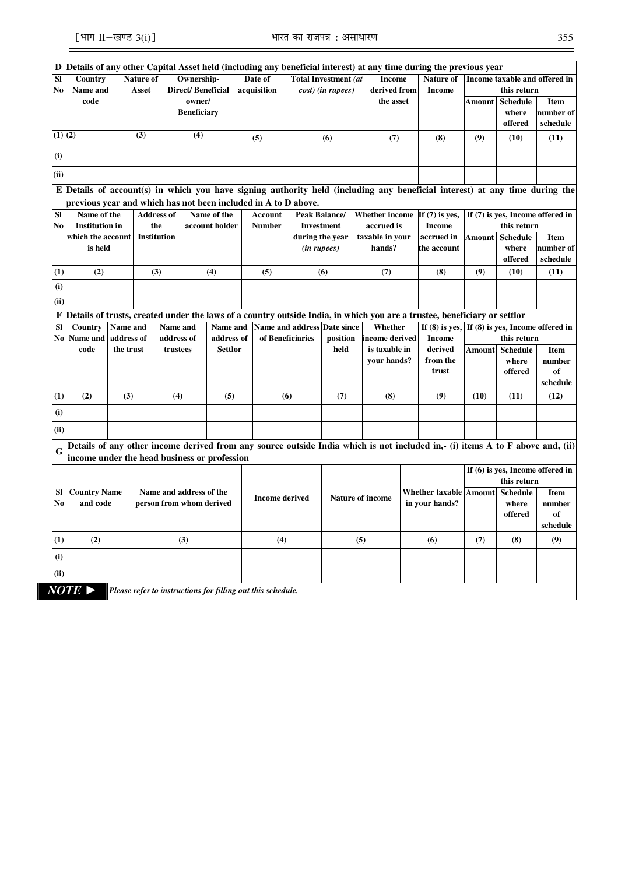$\overline{a}$ 

| D           |                                                                                                                             |            |                         |                             |                |                  |                             |                             |                         |  |                       | Details of any other Capital Asset held (including any beneficial interest) at any time during the previous year              |                               |                                    |                                    |
|-------------|-----------------------------------------------------------------------------------------------------------------------------|------------|-------------------------|-----------------------------|----------------|------------------|-----------------------------|-----------------------------|-------------------------|--|-----------------------|-------------------------------------------------------------------------------------------------------------------------------|-------------------------------|------------------------------------|------------------------------------|
| <b>SI</b>   | Country                                                                                                                     |            | Nature of<br>Ownership- |                             |                | Date of          |                             | <b>Total Investment (at</b> |                         |  | <b>Income</b>         | Nature of                                                                                                                     | Income taxable and offered in |                                    |                                    |
| No          | Name and                                                                                                                    |            | <b>Asset</b>            | Direct/Beneficial<br>owner/ |                | acquisition      |                             | cost) (in rupees)           |                         |  | derived from          | <b>Income</b>                                                                                                                 |                               | this return                        |                                    |
|             | code                                                                                                                        |            |                         | <b>Beneficiary</b>          |                |                  |                             |                             |                         |  | the asset             |                                                                                                                               | Amount                        | <b>Schedule</b><br>where           | Item<br>number of                  |
|             |                                                                                                                             |            |                         |                             |                |                  |                             |                             |                         |  |                       |                                                                                                                               |                               | offered                            | schedule                           |
| $(1)$ $(2)$ |                                                                                                                             |            | (3)                     | (4)                         |                |                  |                             |                             |                         |  |                       |                                                                                                                               |                               |                                    |                                    |
|             |                                                                                                                             |            |                         |                             |                |                  | (5)                         |                             | (6)                     |  | (7)                   | (8)                                                                                                                           | (9)                           | (10)                               | (11)                               |
| (i)         |                                                                                                                             |            |                         |                             |                |                  |                             |                             |                         |  |                       |                                                                                                                               |                               |                                    |                                    |
| (ii)        |                                                                                                                             |            |                         |                             |                |                  |                             |                             |                         |  |                       |                                                                                                                               |                               |                                    |                                    |
|             | E Details of account(s) in which you have signing authority held (including any beneficial interest) at any time during the |            |                         |                             |                |                  |                             |                             |                         |  |                       |                                                                                                                               |                               |                                    |                                    |
|             | previous vear and which has not been included in A to D above.                                                              |            |                         |                             |                |                  |                             |                             |                         |  |                       |                                                                                                                               |                               |                                    |                                    |
| <b>SI</b>   | Name of the                                                                                                                 |            | <b>Address of</b>       |                             | Name of the    |                  | Account                     |                             | Peak Balance/           |  | <b>Whether income</b> | If $(7)$ is yes,                                                                                                              |                               |                                    | If $(7)$ is yes, Income offered in |
| No          | <b>Institution</b> in                                                                                                       |            | the                     |                             | account holder |                  | <b>Number</b>               |                             | <b>Investment</b>       |  | accrued is            | <b>Income</b>                                                                                                                 |                               | this return                        |                                    |
|             | which the account                                                                                                           |            | <b>Institution</b>      |                             |                |                  |                             |                             | during the year         |  | taxable in your       | accrued in                                                                                                                    | Amount                        | <b>Schedule</b>                    | <b>Item</b>                        |
|             | is held                                                                                                                     |            |                         |                             |                |                  |                             | ( <i>in rupees</i> )        |                         |  | hands?                | the account                                                                                                                   |                               | where                              | number of                          |
|             |                                                                                                                             |            |                         |                             |                |                  |                             |                             |                         |  |                       |                                                                                                                               |                               | offered                            | schedule                           |
| (1)         | (2)                                                                                                                         |            | (3)                     |                             | (4)            |                  | (5)                         |                             | (6)                     |  | (7)                   | (8)                                                                                                                           | (9)                           | (10)                               | (11)                               |
| (i)         |                                                                                                                             |            |                         |                             |                |                  |                             |                             |                         |  |                       |                                                                                                                               |                               |                                    |                                    |
| (ii)        |                                                                                                                             |            |                         |                             |                |                  |                             |                             |                         |  |                       |                                                                                                                               |                               |                                    |                                    |
| F           |                                                                                                                             |            |                         |                             |                |                  |                             |                             |                         |  |                       | Details of trusts, created under the laws of a country outside India, in which you are a trustee, beneficiary or settlor      |                               |                                    |                                    |
| <b>SI</b>   | Country                                                                                                                     | Name and   |                         | Name and                    | Name and       |                  | Name and address Date since |                             |                         |  | Whether               | If $(8)$ is yes,                                                                                                              |                               | If $(8)$ is yes, Income offered in |                                    |
|             | No Name and                                                                                                                 | address of |                         | address of<br>address of    |                | of Beneficiaries |                             |                             | position                |  | income derived        | <b>Income</b>                                                                                                                 |                               | this return                        |                                    |
|             | code                                                                                                                        | the trust  |                         | trustees                    | <b>Settlor</b> |                  |                             |                             | held                    |  | is taxable in         | derived                                                                                                                       | <b>Amount</b>                 | <b>Schedule</b>                    | Item                               |
|             |                                                                                                                             |            |                         |                             |                |                  |                             |                             |                         |  | your hands?           | from the<br>trust                                                                                                             |                               | where                              | number                             |
|             |                                                                                                                             |            |                         |                             |                |                  |                             |                             |                         |  |                       |                                                                                                                               |                               | offered                            | of<br>schedule                     |
| (1)         | (2)                                                                                                                         | (3)        |                         | (4)                         | (5)            |                  | (6)                         |                             | (7)                     |  | (8)                   | (9)                                                                                                                           | (10)                          | (11)                               | (12)                               |
| (i)         |                                                                                                                             |            |                         |                             |                |                  |                             |                             |                         |  |                       |                                                                                                                               |                               |                                    |                                    |
| (ii)        |                                                                                                                             |            |                         |                             |                |                  |                             |                             |                         |  |                       |                                                                                                                               |                               |                                    |                                    |
|             |                                                                                                                             |            |                         |                             |                |                  |                             |                             |                         |  |                       | Details of any other income derived from any source outside India which is not included in,- (i) items A to F above and, (ii) |                               |                                    |                                    |
| G           | income under the head business or profession                                                                                |            |                         |                             |                |                  |                             |                             |                         |  |                       |                                                                                                                               |                               |                                    |                                    |
|             |                                                                                                                             |            |                         |                             |                |                  |                             |                             |                         |  |                       |                                                                                                                               |                               |                                    | If $(6)$ is yes, Income offered in |
|             |                                                                                                                             |            |                         |                             |                |                  |                             |                             |                         |  |                       |                                                                                                                               |                               | this return                        |                                    |
| <b>SI</b>   | <b>Country Name</b>                                                                                                         |            |                         | Name and address of the     |                |                  |                             |                             |                         |  |                       | <b>Whether taxable Amount</b>                                                                                                 |                               | <b>Schedule</b>                    | Item                               |
| No          | and code                                                                                                                    |            |                         | person from whom derived    |                |                  | <b>Income derived</b>       |                             | <b>Nature of income</b> |  |                       | in your hands?                                                                                                                |                               | where                              | number                             |
|             |                                                                                                                             |            |                         |                             |                |                  |                             |                             |                         |  |                       |                                                                                                                               |                               | offered                            | of                                 |
|             |                                                                                                                             |            |                         |                             |                |                  |                             |                             |                         |  |                       |                                                                                                                               |                               |                                    | schedule                           |
| (1)         | (2)                                                                                                                         |            |                         | (3)                         |                |                  | (4)                         |                             | (5)                     |  |                       | (6)                                                                                                                           | (7)                           | (8)                                | (9)                                |
| (i)         |                                                                                                                             |            |                         |                             |                |                  |                             |                             |                         |  |                       |                                                                                                                               |                               |                                    |                                    |
|             |                                                                                                                             |            |                         |                             |                |                  |                             |                             |                         |  |                       |                                                                                                                               |                               |                                    |                                    |
| (ii)        |                                                                                                                             |            |                         |                             |                |                  |                             |                             |                         |  |                       |                                                                                                                               |                               |                                    |                                    |